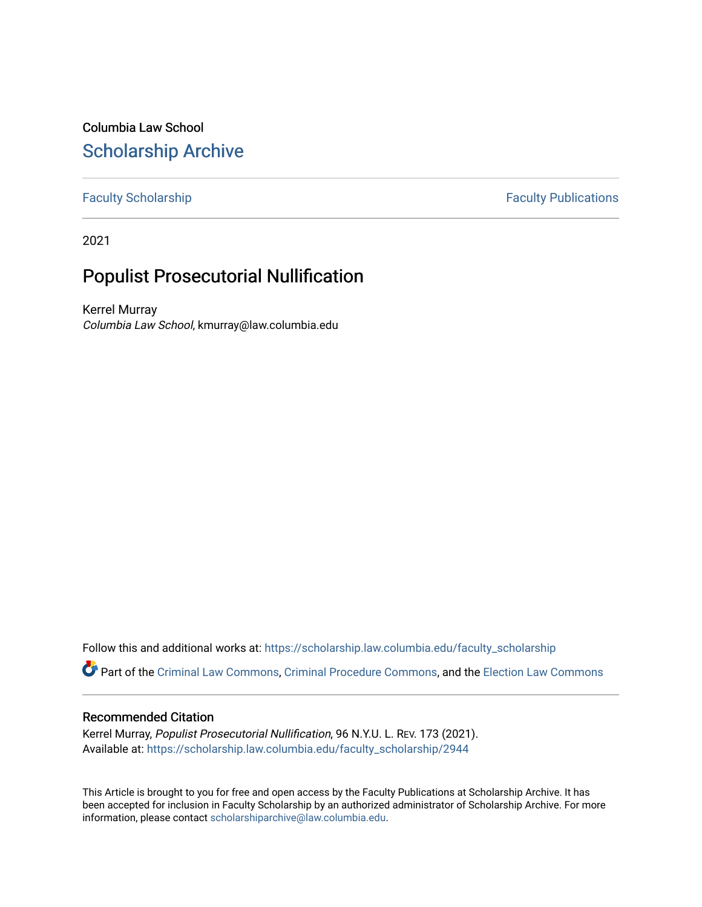# Columbia Law School [Scholarship Archive](https://scholarship.law.columbia.edu/)

# [Faculty Scholarship](https://scholarship.law.columbia.edu/faculty_scholarship) **Faculty Publications**

2021

# Populist Prosecutorial Nullification

Kerrel Murray Columbia Law School, kmurray@law.columbia.edu

Follow this and additional works at: [https://scholarship.law.columbia.edu/faculty\\_scholarship](https://scholarship.law.columbia.edu/faculty_scholarship?utm_source=scholarship.law.columbia.edu%2Ffaculty_scholarship%2F2944&utm_medium=PDF&utm_campaign=PDFCoverPages)

Part of the [Criminal Law Commons,](http://network.bepress.com/hgg/discipline/912?utm_source=scholarship.law.columbia.edu%2Ffaculty_scholarship%2F2944&utm_medium=PDF&utm_campaign=PDFCoverPages) [Criminal Procedure Commons,](http://network.bepress.com/hgg/discipline/1073?utm_source=scholarship.law.columbia.edu%2Ffaculty_scholarship%2F2944&utm_medium=PDF&utm_campaign=PDFCoverPages) and the [Election Law Commons](http://network.bepress.com/hgg/discipline/1121?utm_source=scholarship.law.columbia.edu%2Ffaculty_scholarship%2F2944&utm_medium=PDF&utm_campaign=PDFCoverPages) 

#### Recommended Citation

Kerrel Murray, Populist Prosecutorial Nullification, 96 N.Y.U. L. REV. 173 (2021). Available at: [https://scholarship.law.columbia.edu/faculty\\_scholarship/2944](https://scholarship.law.columbia.edu/faculty_scholarship/2944?utm_source=scholarship.law.columbia.edu%2Ffaculty_scholarship%2F2944&utm_medium=PDF&utm_campaign=PDFCoverPages)

This Article is brought to you for free and open access by the Faculty Publications at Scholarship Archive. It has been accepted for inclusion in Faculty Scholarship by an authorized administrator of Scholarship Archive. For more information, please contact [scholarshiparchive@law.columbia.edu.](mailto:scholarshiparchive@law.columbia.edu)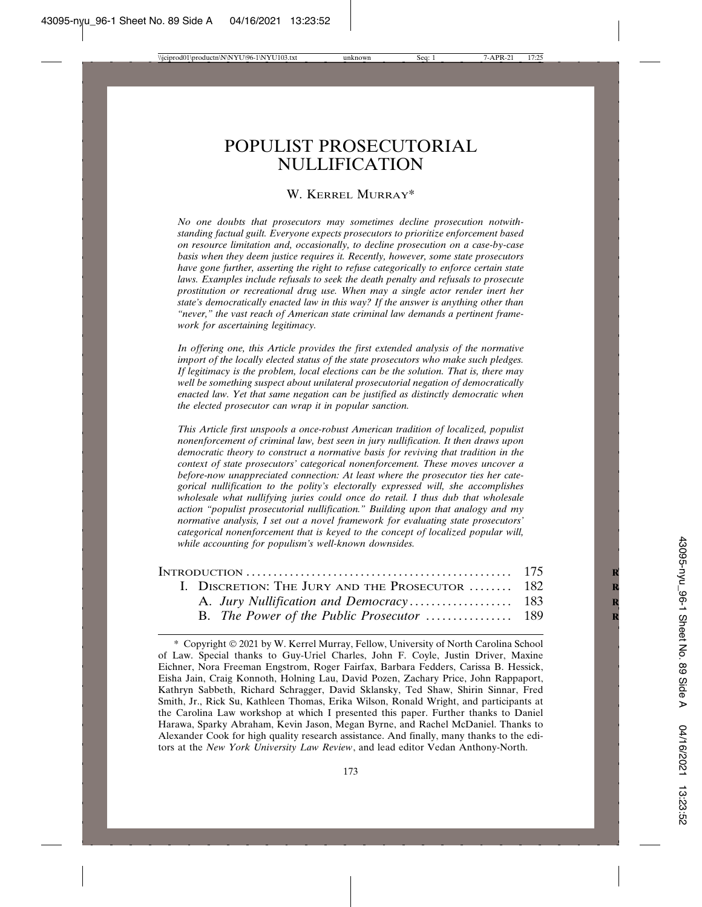# POPULIST PROSECUTORIAL NULLIFICATION

### W. KERREL MURRAY\*

*No one doubts that prosecutors may sometimes decline prosecution notwithstanding factual guilt. Everyone expects prosecutors to prioritize enforcement based on resource limitation and, occasionally, to decline prosecution on a case-by-case basis when they deem justice requires it. Recently, however, some state prosecutors have gone further, asserting the right to refuse categorically to enforce certain state laws. Examples include refusals to seek the death penalty and refusals to prosecute prostitution or recreational drug use. When may a single actor render inert her state's democratically enacted law in this way? If the answer is anything other than "never," the vast reach of American state criminal law demands a pertinent framework for ascertaining legitimacy.* 

*In offering one, this Article provides the first extended analysis of the normative import of the locally elected status of the state prosecutors who make such pledges. If legitimacy is the problem, local elections can be the solution. That is, there may well be something suspect about unilateral prosecutorial negation of democratically enacted law. Yet that same negation can be justified as distinctly democratic when the elected prosecutor can wrap it in popular sanction.*

*This Article first unspools a once-robust American tradition of localized, populist nonenforcement of criminal law, best seen in jury nullification. It then draws upon democratic theory to construct a normative basis for reviving that tradition in the context of state prosecutors' categorical nonenforcement. These moves uncover a before-now unappreciated connection: At least where the prosecutor ties her categorical nullification to the polity's electorally expressed will, she accomplishes wholesale what nullifying juries could once do retail. I thus dub that wholesale action "populist prosecutorial nullification." Building upon that analogy and my normative analysis, I set out a novel framework for evaluating state prosecutors' categorical nonenforcement that is keyed to the concept of localized popular will, while accounting for populism's well-known downsides.*

| I. DISCRETION: THE JURY AND THE PROSECUTOR  182 |  |
|-------------------------------------------------|--|
|                                                 |  |
|                                                 |  |

<sup>\*</sup> Copyright © 2021 by W. Kerrel Murray, Fellow, University of North Carolina School of Law. Special thanks to Guy-Uriel Charles, John F. Coyle, Justin Driver, Maxine Eichner, Nora Freeman Engstrom, Roger Fairfax, Barbara Fedders, Carissa B. Hessick, Eisha Jain, Craig Konnoth, Holning Lau, David Pozen, Zachary Price, John Rappaport, Kathryn Sabbeth, Richard Schragger, David Sklansky, Ted Shaw, Shirin Sinnar, Fred Smith, Jr., Rick Su, Kathleen Thomas, Erika Wilson, Ronald Wright, and participants at the Carolina Law workshop at which I presented this paper. Further thanks to Daniel Harawa, Sparky Abraham, Kevin Jason, Megan Byrne, and Rachel McDaniel. Thanks to Alexander Cook for high quality research assistance. And finally, many thanks to the editors at the *New York University Law Review*, and lead editor Vedan Anthony-North.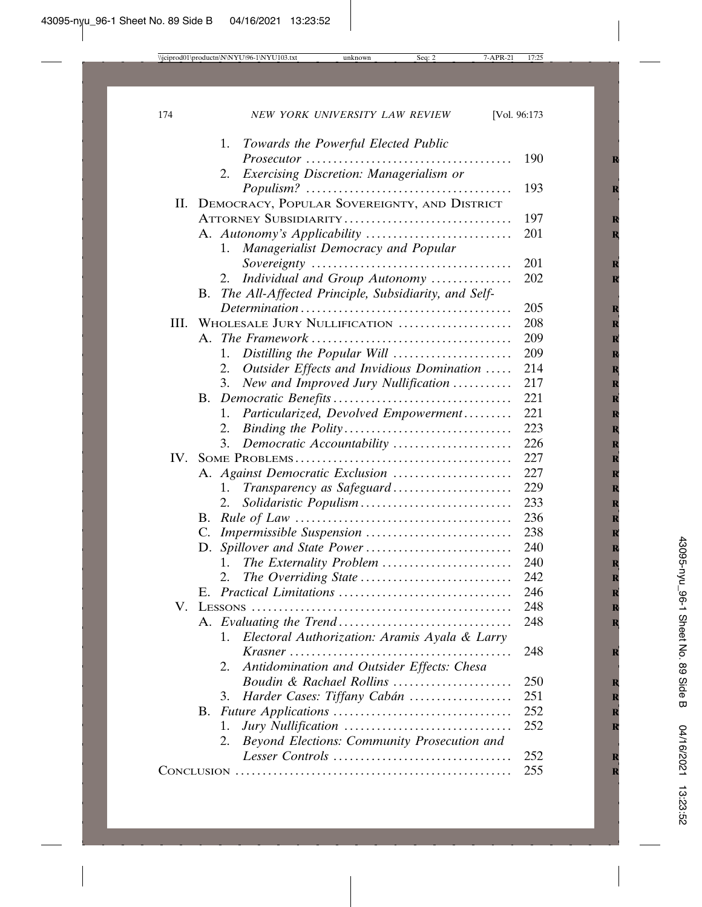|      | 1.<br>Towards the Powerful Elected Public                 |     |
|------|-----------------------------------------------------------|-----|
|      |                                                           | 190 |
|      | Exercising Discretion: Managerialism or<br>2.             |     |
|      |                                                           | 193 |
|      | II. DEMOCRACY, POPULAR SOVEREIGNTY, AND DISTRICT          |     |
|      | ATTORNEY SUBSIDIARITY                                     | 197 |
|      |                                                           | 201 |
|      | Managerialist Democracy and Popular<br>1.                 |     |
|      |                                                           | 201 |
|      | Individual and Group Autonomy<br>2.                       | 202 |
|      | The All-Affected Principle, Subsidiarity, and Self-<br>В. |     |
|      |                                                           | 205 |
| III. | WHOLESALE JURY NULLIFICATION                              | 208 |
|      |                                                           | 209 |
|      | Distilling the Popular Will<br>1.                         | 209 |
|      | Outsider Effects and Invidious Domination<br>2.           | 214 |
|      | New and Improved Jury Nullification<br>3.                 | 217 |
|      | <b>B.</b>                                                 | 221 |
|      | Particularized, Devolved Empowerment<br>1.                | 221 |
|      | 2.                                                        | 223 |
|      | Democratic Accountability<br>3.                           | 226 |
| IV.  |                                                           | 227 |
|      | A. Against Democratic Exclusion                           | 227 |
|      | Transparency as Safeguard<br>1.                           | 229 |
|      | 2.<br>Solidaristic Populism                               | 233 |
|      | В.                                                        | 236 |
|      | Impermissible Suspension<br>C.                            | 238 |
|      |                                                           | 240 |
|      | The Externality Problem<br>1.                             | 240 |
|      | 2.                                                        | 242 |
|      |                                                           | 246 |
| V.   |                                                           | 248 |
|      |                                                           | 248 |
|      | Electoral Authorization: Aramis Ayala & Larry<br>1.       |     |
|      |                                                           | 248 |
|      | Antidomination and Outsider Effects: Chesa<br>2.          |     |
|      | Boudin & Rachael Rollins                                  | 250 |
|      | Harder Cases: Tiffany Cabán<br>3.                         | 251 |
|      | В.                                                        | 252 |
|      | 1.                                                        | 252 |
|      | Beyond Elections: Community Prosecution and<br>2.         |     |
|      | Lesser Controls                                           | 252 |
|      |                                                           | 255 |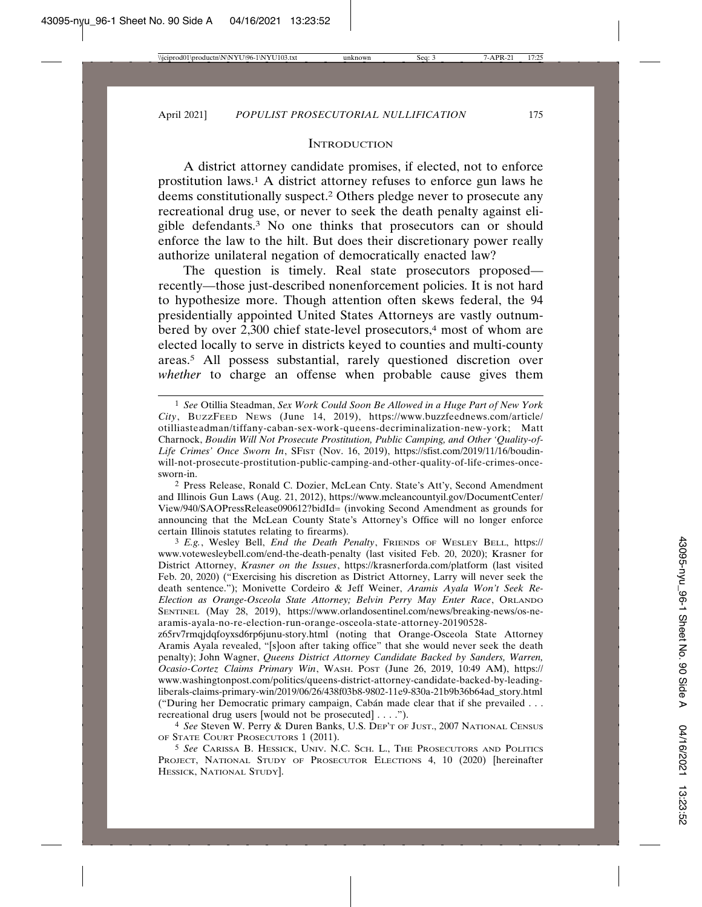#### **INTRODUCTION**

A district attorney candidate promises, if elected, not to enforce prostitution laws.1 A district attorney refuses to enforce gun laws he deems constitutionally suspect.2 Others pledge never to prosecute any recreational drug use, or never to seek the death penalty against eligible defendants.3 No one thinks that prosecutors can or should enforce the law to the hilt. But does their discretionary power really authorize unilateral negation of democratically enacted law?

The question is timely. Real state prosecutors proposed recently—those just-described nonenforcement policies. It is not hard to hypothesize more. Though attention often skews federal, the 94 presidentially appointed United States Attorneys are vastly outnumbered by over 2,300 chief state-level prosecutors,<sup>4</sup> most of whom are elected locally to serve in districts keyed to counties and multi-county areas.5 All possess substantial, rarely questioned discretion over *whether* to charge an offense when probable cause gives them

3 *E.g.*, Wesley Bell, *End the Death Penalty*, FRIENDS OF WESLEY BELL, https:// www.votewesleybell.com/end-the-death-penalty (last visited Feb. 20, 2020); Krasner for District Attorney, *Krasner on the Issues*, https://krasnerforda.com/platform (last visited Feb. 20, 2020) ("Exercising his discretion as District Attorney, Larry will never seek the death sentence."); Monivette Cordeiro & Jeff Weiner, *Aramis Ayala Won't Seek Re-Election as Orange-Osceola State Attorney; Belvin Perry May Enter Race*, ORLANDO SENTINEL (May 28, 2019), https://www.orlandosentinel.com/news/breaking-news/os-nearamis-ayala-no-re-election-run-orange-osceola-state-attorney-20190528-

z65rv7rmqjdqfoyxsd6rp6junu-story.html (noting that Orange-Osceola State Attorney Aramis Ayala revealed, "[s]oon after taking office" that she would never seek the death penalty); John Wagner, *Queens District Attorney Candidate Backed by Sanders, Warren, Ocasio-Cortez Claims Primary Win*, WASH. POST (June 26, 2019, 10:49 AM), https:// www.washingtonpost.com/politics/queens-district-attorney-candidate-backed-by-leadingliberals-claims-primary-win/2019/06/26/438f03b8-9802-11e9-830a-21b9b36b64ad\_story.html ("During her Democratic primary campaign, Cabán made clear that if she prevailed  $\ldots$ ) recreational drug users [would not be prosecuted] . . . .").

4 *See* Steven W. Perry & Duren Banks, U.S. DEP'T OF JUST., 2007 NATIONAL CENSUS OF STATE COURT PROSECUTORS 1 (2011).

5 *See* CARISSA B. HESSICK, UNIV. N.C. SCH. L., THE PROSECUTORS AND POLITICS PROJECT, NATIONAL STUDY OF PROSECUTOR ELECTIONS 4, 10 (2020) [hereinafter HESSICK, NATIONAL STUDY].

<sup>1</sup> *See* Otillia Steadman, *Sex Work Could Soon Be Allowed in a Huge Part of New York City*, BUZZFEED NEWS (June 14, 2019), https://www.buzzfeednews.com/article/ otilliasteadman/tiffany-caban-sex-work-queens-decriminalization-new-york; Matt Charnock, *Boudin Will Not Prosecute Prostitution, Public Camping, and Other 'Quality-of-*Life Crimes' Once Sworn In, SFIST (Nov. 16, 2019), https://sfist.com/2019/11/16/boudinwill-not-prosecute-prostitution-public-camping-and-other-quality-of-life-crimes-oncesworn-in.

<sup>2</sup> Press Release, Ronald C. Dozier, McLean Cnty. State's Att'y, Second Amendment and Illinois Gun Laws (Aug. 21, 2012), https://www.mcleancountyil.gov/DocumentCenter/ View/940/SAOPressRelease090612?bidId= (invoking Second Amendment as grounds for announcing that the McLean County State's Attorney's Office will no longer enforce certain Illinois statutes relating to firearms).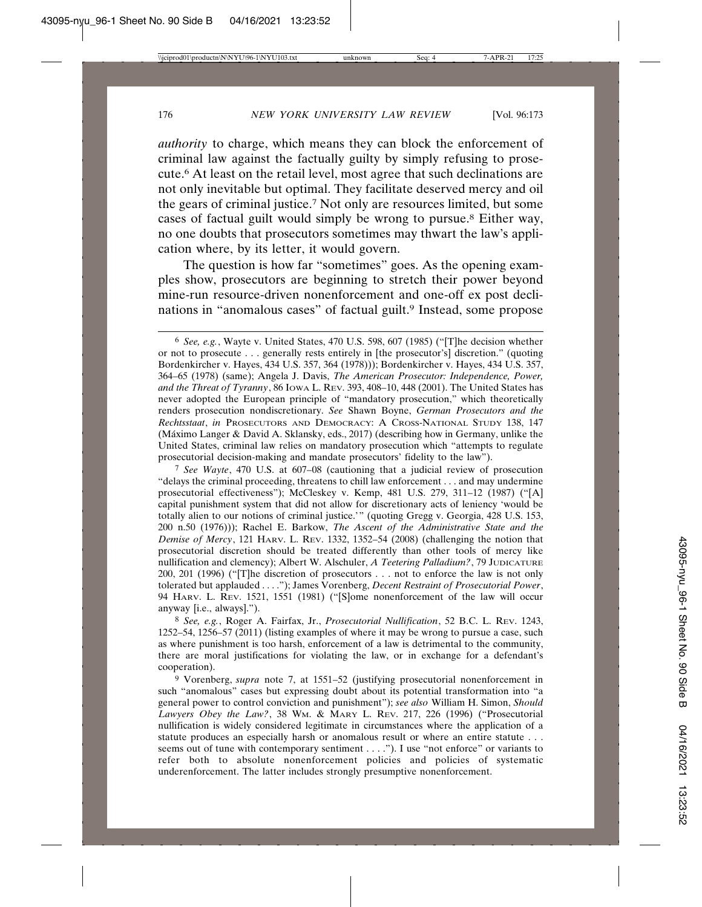*authority* to charge, which means they can block the enforcement of criminal law against the factually guilty by simply refusing to prosecute.6 At least on the retail level, most agree that such declinations are not only inevitable but optimal. They facilitate deserved mercy and oil the gears of criminal justice.7 Not only are resources limited, but some cases of factual guilt would simply be wrong to pursue.8 Either way, no one doubts that prosecutors sometimes may thwart the law's application where, by its letter, it would govern.

The question is how far "sometimes" goes. As the opening examples show, prosecutors are beginning to stretch their power beyond mine-run resource-driven nonenforcement and one-off ex post declinations in "anomalous cases" of factual guilt.<sup>9</sup> Instead, some propose

7 *See Wayte*, 470 U.S. at 607–08 (cautioning that a judicial review of prosecution "delays the criminal proceeding, threatens to chill law enforcement . . . and may undermine prosecutorial effectiveness"); McCleskey v. Kemp, 481 U.S. 279, 311–12 (1987) ("[A] capital punishment system that did not allow for discretionary acts of leniency 'would be totally alien to our notions of criminal justice.'" (quoting Gregg v. Georgia, 428 U.S. 153, 200 n.50 (1976))); Rachel E. Barkow, *The Ascent of the Administrative State and the Demise of Mercy*, 121 HARV. L. REV. 1332, 1352–54 (2008) (challenging the notion that prosecutorial discretion should be treated differently than other tools of mercy like nullification and clemency); Albert W. Alschuler, *A Teetering Palladium*?, 79 JUDICATURE 200, 201 (1996) ("[T]he discretion of prosecutors . . . not to enforce the law is not only tolerated but applauded . . . ."); James Vorenberg, *Decent Restraint of Prosecutorial Power*, 94 HARV. L. REV. 1521, 1551 (1981) ("[S]ome nonenforcement of the law will occur anyway [i.e., always].").

8 *See, e.g.*, Roger A. Fairfax, Jr., *Prosecutorial Nullification*, 52 B.C. L. REV. 1243, 1252–54, 1256–57 (2011) (listing examples of where it may be wrong to pursue a case, such as where punishment is too harsh, enforcement of a law is detrimental to the community, there are moral justifications for violating the law, or in exchange for a defendant's cooperation).

9 Vorenberg, *supra* note 7, at 1551–52 (justifying prosecutorial nonenforcement in such "anomalous" cases but expressing doubt about its potential transformation into "a general power to control conviction and punishment"); *see also* William H. Simon, *Should Lawyers Obey the Law?*, 38 WM. & MARY L. REV. 217, 226 (1996) ("Prosecutorial nullification is widely considered legitimate in circumstances where the application of a statute produces an especially harsh or anomalous result or where an entire statute . . . seems out of tune with contemporary sentiment . . . ."). I use "not enforce" or variants to refer both to absolute nonenforcement policies and policies of systematic underenforcement. The latter includes strongly presumptive nonenforcement.

<sup>6</sup> *See, e.g.*, Wayte v. United States, 470 U.S. 598, 607 (1985) ("[T]he decision whether or not to prosecute . . . generally rests entirely in [the prosecutor's] discretion." (quoting Bordenkircher v. Hayes, 434 U.S. 357, 364 (1978))); Bordenkircher v. Hayes, 434 U.S. 357, 364–65 (1978) (same); Angela J. Davis, *The American Prosecutor: Independence, Power, and the Threat of Tyranny*, 86 IOWA L. REV. 393, 408–10, 448 (2001). The United States has never adopted the European principle of "mandatory prosecution," which theoretically renders prosecution nondiscretionary. *See* Shawn Boyne, *German Prosecutors and the Rechtsstaat*, *in* PROSECUTORS AND DEMOCRACY: A CROSS-NATIONAL STUDY 138, 147 (Máximo Langer  $\&$  David A. Sklansky, eds., 2017) (describing how in Germany, unlike the United States, criminal law relies on mandatory prosecution which "attempts to regulate prosecutorial decision-making and mandate prosecutors' fidelity to the law").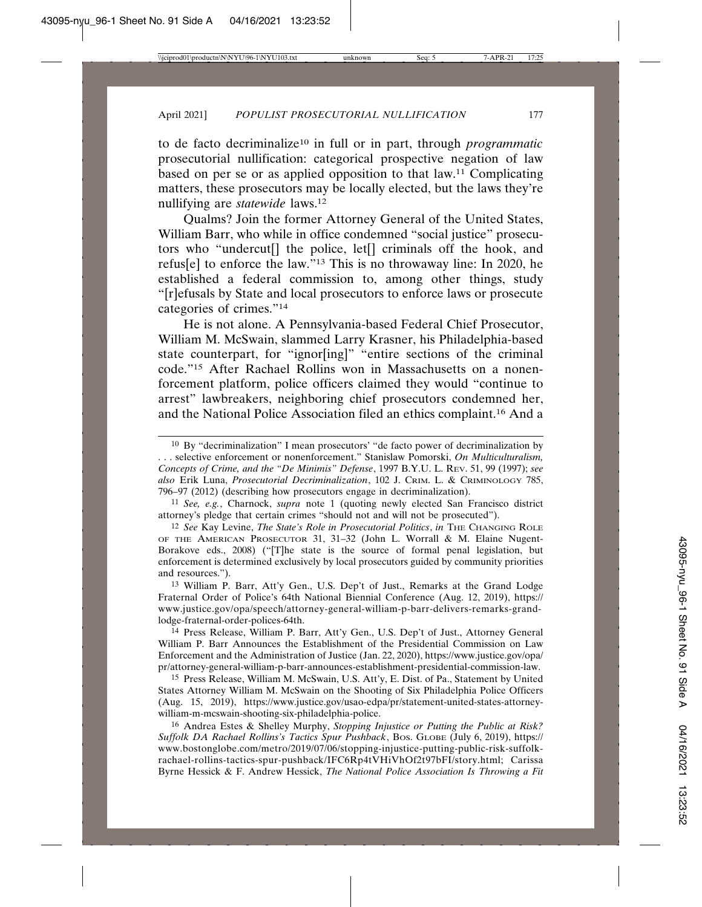to de facto decriminalize10 in full or in part, through *programmatic* prosecutorial nullification: categorical prospective negation of law based on per se or as applied opposition to that law.11 Complicating matters, these prosecutors may be locally elected, but the laws they're nullifying are *statewide* laws.12

Qualms? Join the former Attorney General of the United States, William Barr, who while in office condemned "social justice" prosecutors who "undercut[] the police, let[] criminals off the hook, and refus[e] to enforce the law."13 This is no throwaway line: In 2020, he established a federal commission to, among other things, study "[r]efusals by State and local prosecutors to enforce laws or prosecute categories of crimes."14

He is not alone. A Pennsylvania-based Federal Chief Prosecutor, William M. McSwain, slammed Larry Krasner, his Philadelphia-based state counterpart, for "ignor[ing]" "entire sections of the criminal code."15 After Rachael Rollins won in Massachusetts on a nonenforcement platform, police officers claimed they would "continue to arrest" lawbreakers, neighboring chief prosecutors condemned her, and the National Police Association filed an ethics complaint.16 And a

14 Press Release, William P. Barr, Att'y Gen., U.S. Dep't of Just., Attorney General William P. Barr Announces the Establishment of the Presidential Commission on Law Enforcement and the Administration of Justice (Jan. 22, 2020), https://www.justice.gov/opa/ pr/attorney-general-william-p-barr-announces-establishment-presidential-commission-law.

15 Press Release, William M. McSwain, U.S. Att'y, E. Dist. of Pa., Statement by United States Attorney William M. McSwain on the Shooting of Six Philadelphia Police Officers (Aug. 15, 2019), https://www.justice.gov/usao-edpa/pr/statement-united-states-attorneywilliam-m-mcswain-shooting-six-philadelphia-police.

16 Andrea Estes & Shelley Murphy, *Stopping Injustice or Putting the Public at Risk? Suffolk DA Rachael Rollins's Tactics Spur Pushback*, BOS. GLOBE (July 6, 2019), https:// www.bostonglobe.com/metro/2019/07/06/stopping-injustice-putting-public-risk-suffolkrachael-rollins-tactics-spur-pushback/IFC6Rp4tVHiVhOf2t97bFI/story.html; Carissa Byrne Hessick & F. Andrew Hessick, *The National Police Association Is Throwing a Fit*

<sup>10</sup> By "decriminalization" I mean prosecutors' "de facto power of decriminalization by . . . selective enforcement or nonenforcement." Stanislaw Pomorski, *On Multiculturalism, Concepts of Crime, and the "De Minimis" Defense*, 1997 B.Y.U. L. REV. 51, 99 (1997); *see also* Erik Luna, *Prosecutorial Decriminalization*, 102 J. CRIM. L. & CRIMINOLOGY 785, 796–97 (2012) (describing how prosecutors engage in decriminalization).

<sup>11</sup> *See, e.g.*, Charnock, *supra* note 1 (quoting newly elected San Francisco district attorney's pledge that certain crimes "should not and will not be prosecuted").

<sup>&</sup>lt;sup>12</sup> *See* Kay Levine, *The State's Role in Prosecutorial Politics*, *in* THE CHANGING ROLE OF THE AMERICAN PROSECUTOR 31, 31–32 (John L. Worrall & M. Elaine Nugent-Borakove eds., 2008) ("[T]he state is the source of formal penal legislation, but enforcement is determined exclusively by local prosecutors guided by community priorities and resources.").

<sup>13</sup> William P. Barr, Att'y Gen., U.S. Dep't of Just., Remarks at the Grand Lodge Fraternal Order of Police's 64th National Biennial Conference (Aug. 12, 2019), https:// www.justice.gov/opa/speech/attorney-general-william-p-barr-delivers-remarks-grandlodge-fraternal-order-polices-64th.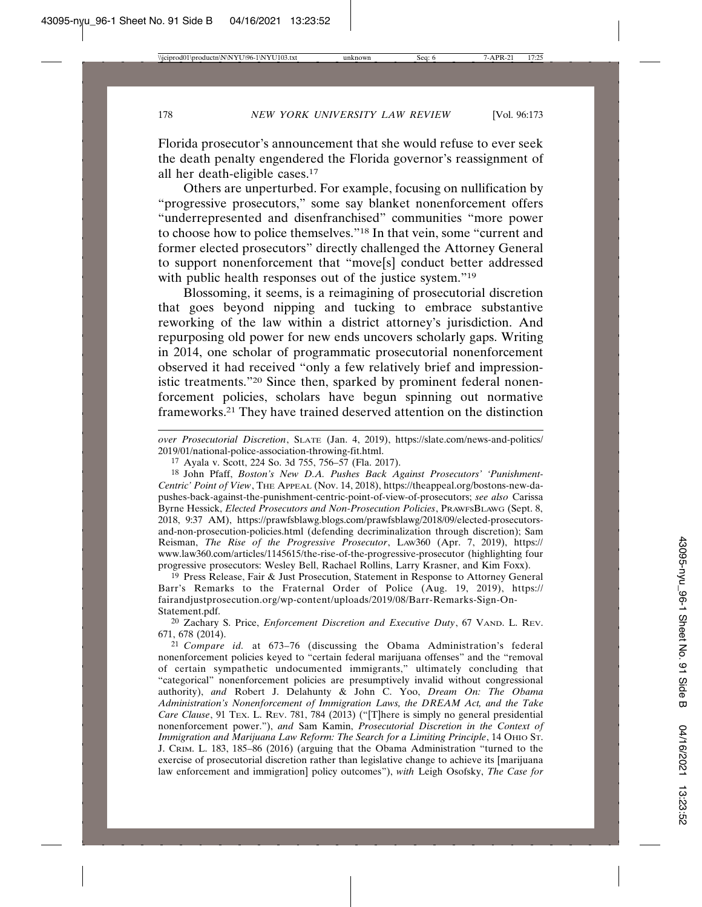Florida prosecutor's announcement that she would refuse to ever seek the death penalty engendered the Florida governor's reassignment of all her death-eligible cases.17

Others are unperturbed. For example, focusing on nullification by "progressive prosecutors," some say blanket nonenforcement offers "underrepresented and disenfranchised" communities "more power to choose how to police themselves."18 In that vein, some "current and former elected prosecutors" directly challenged the Attorney General to support nonenforcement that "move[s] conduct better addressed with public health responses out of the justice system."<sup>19</sup>

Blossoming, it seems, is a reimagining of prosecutorial discretion that goes beyond nipping and tucking to embrace substantive reworking of the law within a district attorney's jurisdiction. And repurposing old power for new ends uncovers scholarly gaps. Writing in 2014, one scholar of programmatic prosecutorial nonenforcement observed it had received "only a few relatively brief and impressionistic treatments."20 Since then, sparked by prominent federal nonenforcement policies, scholars have begun spinning out normative frameworks.21 They have trained deserved attention on the distinction

*over Prosecutorial Discretion*, SLATE (Jan. 4, 2019), https://slate.com/news-and-politics/ 2019/01/national-police-association-throwing-fit.html.

18 John Pfaff, *Boston's New D.A. Pushes Back Against Prosecutors' 'Punishment-Centric' Point of View*, THE APPEAL (Nov. 14, 2018), https://theappeal.org/bostons-new-dapushes-back-against-the-punishment-centric-point-of-view-of-prosecutors; *see also* Carissa Byrne Hessick, *Elected Prosecutors and Non-Prosecution Policies*, PRAWFSBLAWG (Sept. 8, 2018, 9:37 AM), https://prawfsblawg.blogs.com/prawfsblawg/2018/09/elected-prosecutorsand-non-prosecution-policies.html (defending decriminalization through discretion); Sam Reisman, *The Rise of the Progressive Prosecutor*, LAW360 (Apr. 7, 2019), https:// www.law360.com/articles/1145615/the-rise-of-the-progressive-prosecutor (highlighting four progressive prosecutors: Wesley Bell, Rachael Rollins, Larry Krasner, and Kim Foxx).

19 Press Release, Fair & Just Prosecution, Statement in Response to Attorney General Barr's Remarks to the Fraternal Order of Police (Aug. 19, 2019), https:// fairandjustprosecution.org/wp-content/uploads/2019/08/Barr-Remarks-Sign-On-Statement.pdf.

20 Zachary S. Price, *Enforcement Discretion and Executive Duty*, 67 VAND. L. REV. 671, 678 (2014).

21 *Compare id.* at 673–76 (discussing the Obama Administration's federal nonenforcement policies keyed to "certain federal marijuana offenses" and the "removal of certain sympathetic undocumented immigrants," ultimately concluding that "categorical" nonenforcement policies are presumptively invalid without congressional authority), *and* Robert J. Delahunty & John C. Yoo, *Dream On: The Obama Administration's Nonenforcement of Immigration Laws, the DREAM Act, and the Take Care Clause*, 91 TEX. L. REV. 781, 784 (2013) ("[T]here is simply no general presidential nonenforcement power."), *and* Sam Kamin, *Prosecutorial Discretion in the Context of Immigration and Marijuana Law Reform: The Search for a Limiting Principle*, 14 OHIO ST. J. CRIM. L. 183, 185–86 (2016) (arguing that the Obama Administration "turned to the exercise of prosecutorial discretion rather than legislative change to achieve its [marijuana law enforcement and immigration] policy outcomes"), *with* Leigh Osofsky, *The Case for*

<sup>17</sup> Ayala v. Scott, 224 So. 3d 755, 756–57 (Fla. 2017).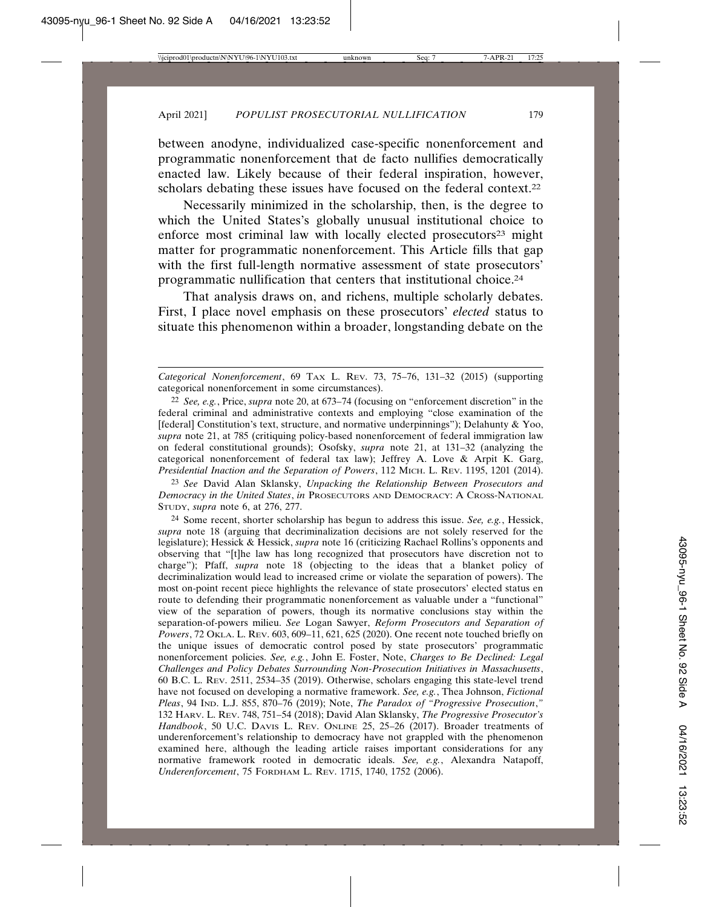between anodyne, individualized case-specific nonenforcement and programmatic nonenforcement that de facto nullifies democratically enacted law. Likely because of their federal inspiration, however, scholars debating these issues have focused on the federal context.22

Necessarily minimized in the scholarship, then, is the degree to which the United States's globally unusual institutional choice to enforce most criminal law with locally elected prosecutors<sup>23</sup> might matter for programmatic nonenforcement. This Article fills that gap with the first full-length normative assessment of state prosecutors' programmatic nullification that centers that institutional choice.24

That analysis draws on, and richens, multiple scholarly debates. First, I place novel emphasis on these prosecutors' *elected* status to situate this phenomenon within a broader, longstanding debate on the

23 *See* David Alan Sklansky, *Unpacking the Relationship Between Prosecutors and Democracy in the United States*, *in* PROSECUTORS AND DEMOCRACY: A CROSS-NATIONAL STUDY, *supra* note 6, at 276, 277.

24 Some recent, shorter scholarship has begun to address this issue. *See, e.g.*, Hessick, *supra* note 18 (arguing that decriminalization decisions are not solely reserved for the legislature); Hessick & Hessick, *supra* note 16 (criticizing Rachael Rollins's opponents and observing that "[t]he law has long recognized that prosecutors have discretion not to charge"); Pfaff, *supra* note 18 (objecting to the ideas that a blanket policy of decriminalization would lead to increased crime or violate the separation of powers). The most on-point recent piece highlights the relevance of state prosecutors' elected status en route to defending their programmatic nonenforcement as valuable under a "functional" view of the separation of powers, though its normative conclusions stay within the separation-of-powers milieu. *See* Logan Sawyer, *Reform Prosecutors and Separation of Powers*, 72 OKLA. L. REV. 603, 609–11, 621, 625 (2020). One recent note touched briefly on the unique issues of democratic control posed by state prosecutors' programmatic nonenforcement policies. *See, e.g.*, John E. Foster, Note, *Charges to Be Declined: Legal Challenges and Policy Debates Surrounding Non-Prosecution Initiatives in Massachusetts*, 60 B.C. L. REV. 2511, 2534–35 (2019). Otherwise, scholars engaging this state-level trend have not focused on developing a normative framework. *See, e.g.*, Thea Johnson, *Fictional Pleas*, 94 IND. L.J. 855, 870–76 (2019); Note, *The Paradox of "Progressive Prosecution*,*"* 132 HARV. L. REV. 748, 751–54 (2018); David Alan Sklansky, *The Progressive Prosecutor's Handbook*, 50 U.C. DAVIS L. REV. ONLINE 25, 25–26 (2017). Broader treatments of underenforcement's relationship to democracy have not grappled with the phenomenon examined here, although the leading article raises important considerations for any normative framework rooted in democratic ideals. *See, e.g.*, Alexandra Natapoff, *Underenforcement*, 75 FORDHAM L. REV. 1715, 1740, 1752 (2006).

*Categorical Nonenforcement*, 69 TAX L. REV. 73, 75–76, 131–32 (2015) (supporting categorical nonenforcement in some circumstances).

<sup>22</sup> *See, e.g.*, Price, *supra* note 20, at 673–74 (focusing on "enforcement discretion" in the federal criminal and administrative contexts and employing "close examination of the [federal] Constitution's text, structure, and normative underpinnings"); Delahunty & Yoo, *supra* note 21, at 785 (critiquing policy-based nonenforcement of federal immigration law on federal constitutional grounds); Osofsky, *supra* note 21, at 131–32 (analyzing the categorical nonenforcement of federal tax law); Jeffrey A. Love & Arpit K. Garg, *Presidential Inaction and the Separation of Powers*, 112 MICH. L. REV. 1195, 1201 (2014).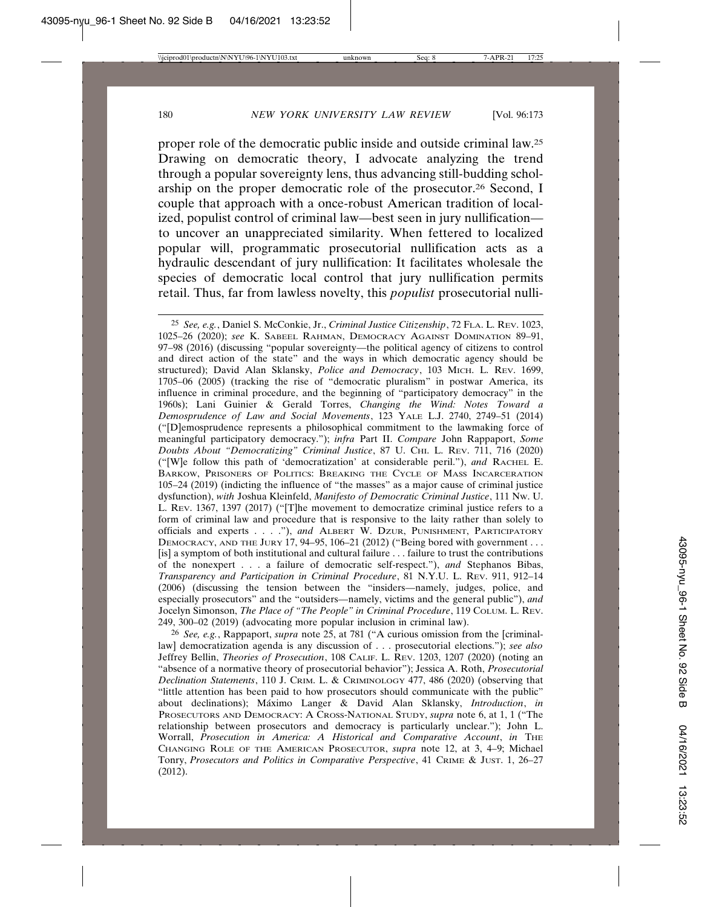proper role of the democratic public inside and outside criminal law.25 Drawing on democratic theory, I advocate analyzing the trend through a popular sovereignty lens, thus advancing still-budding scholarship on the proper democratic role of the prosecutor.26 Second, I couple that approach with a once-robust American tradition of localized, populist control of criminal law—best seen in jury nullification to uncover an unappreciated similarity. When fettered to localized popular will, programmatic prosecutorial nullification acts as a hydraulic descendant of jury nullification: It facilitates wholesale the species of democratic local control that jury nullification permits retail. Thus, far from lawless novelty, this *populist* prosecutorial nulli-

<sup>25</sup> *See, e.g.*, Daniel S. McConkie, Jr., *Criminal Justice Citizenship*, 72 FLA. L. REV. 1023, 1025–26 (2020); *see* K. SABEEL RAHMAN, DEMOCRACY AGAINST DOMINATION 89–91, 97–98 (2016) (discussing "popular sovereignty—the political agency of citizens to control and direct action of the state" and the ways in which democratic agency should be structured); David Alan Sklansky, *Police and Democracy*, 103 MICH. L. REV. 1699, 1705–06 (2005) (tracking the rise of "democratic pluralism" in postwar America, its influence in criminal procedure, and the beginning of "participatory democracy" in the 1960s); Lani Guinier & Gerald Torres, *Changing the Wind: Notes Toward a Demosprudence of Law and Social Movements*, 123 YALE L.J. 2740, 2749–51 (2014) ("[D]emosprudence represents a philosophical commitment to the lawmaking force of meaningful participatory democracy."); *infra* Part II. *Compare* John Rappaport, *Some Doubts About "Democratizing" Criminal Justice*, 87 U. CHI. L. REV. 711, 716 (2020) ("[W]e follow this path of 'democratization' at considerable peril."), *and* RACHEL E. BARKOW, PRISONERS OF POLITICS: BREAKING THE CYCLE OF MASS INCARCERATION 105–24 (2019) (indicting the influence of "the masses" as a major cause of criminal justice dysfunction), *with* Joshua Kleinfeld, *Manifesto of Democratic Criminal Justice*, 111 NW. U. L. REV. 1367, 1397 (2017) ("[T]he movement to democratize criminal justice refers to a form of criminal law and procedure that is responsive to the laity rather than solely to officials and experts . . . ."), *and* ALBERT W. DZUR, PUNISHMENT, PARTICIPATORY DEMOCRACY, AND THE JURY 17, 94–95, 106–21 (2012) ("Being bored with government . . . [is] a symptom of both institutional and cultural failure . . . failure to trust the contributions of the nonexpert . . . a failure of democratic self-respect."), *and* Stephanos Bibas, *Transparency and Participation in Criminal Procedure*, 81 N.Y.U. L. REV. 911, 912–14 (2006) (discussing the tension between the "insiders—namely, judges, police, and especially prosecutors" and the "outsiders—namely, victims and the general public"), *and* Jocelyn Simonson, *The Place of "The People" in Criminal Procedure*, 119 COLUM. L. REV. 249, 300–02 (2019) (advocating more popular inclusion in criminal law).

<sup>26</sup> *See, e.g.*, Rappaport, *supra* note 25, at 781 ("A curious omission from the [criminallaw] democratization agenda is any discussion of . . . prosecutorial elections."); *see also* Jeffrey Bellin, *Theories of Prosecution*, 108 CALIF. L. REV. 1203, 1207 (2020) (noting an "absence of a normative theory of prosecutorial behavior"); Jessica A. Roth, *Prosecutorial Declination Statements*, 110 J. CRIM. L. & CRIMINOLOGY 477, 486 (2020) (observing that "little attention has been paid to how prosecutors should communicate with the public" about declinations); Máximo Langer & David Alan Sklansky, *Introduction*, *in* PROSECUTORS AND DEMOCRACY: A CROSS-NATIONAL STUDY, *supra* note 6, at 1, 1 ("The relationship between prosecutors and democracy is particularly unclear."); John L. Worrall, *Prosecution in America: A Historical and Comparative Account*, *in* THE CHANGING ROLE OF THE AMERICAN PROSECUTOR, *supra* note 12, at 3, 4–9; Michael Tonry, *Prosecutors and Politics in Comparative Perspective*, 41 CRIME & JUST. 1, 26–27 (2012).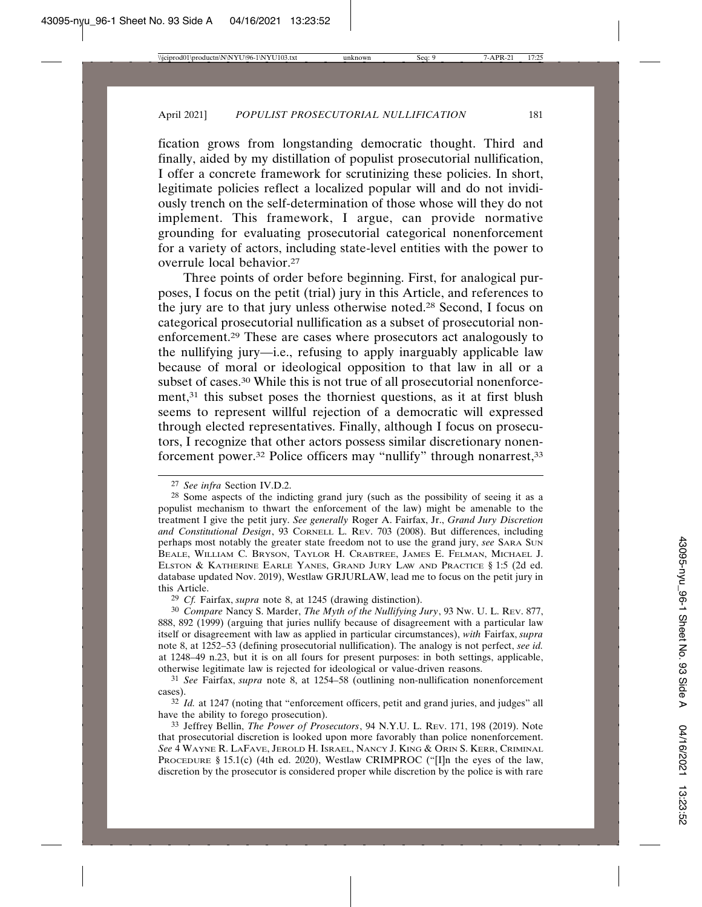fication grows from longstanding democratic thought. Third and finally, aided by my distillation of populist prosecutorial nullification, I offer a concrete framework for scrutinizing these policies. In short, legitimate policies reflect a localized popular will and do not invidiously trench on the self-determination of those whose will they do not implement. This framework, I argue, can provide normative grounding for evaluating prosecutorial categorical nonenforcement for a variety of actors, including state-level entities with the power to overrule local behavior.27

Three points of order before beginning. First, for analogical purposes, I focus on the petit (trial) jury in this Article, and references to the jury are to that jury unless otherwise noted.28 Second, I focus on categorical prosecutorial nullification as a subset of prosecutorial nonenforcement.29 These are cases where prosecutors act analogously to the nullifying jury—i.e., refusing to apply inarguably applicable law because of moral or ideological opposition to that law in all or a subset of cases.<sup>30</sup> While this is not true of all prosecutorial nonenforcement,31 this subset poses the thorniest questions, as it at first blush seems to represent willful rejection of a democratic will expressed through elected representatives. Finally, although I focus on prosecutors, I recognize that other actors possess similar discretionary nonenforcement power.<sup>32</sup> Police officers may "nullify" through nonarrest,<sup>33</sup>

<sup>32</sup> *Id.* at 1247 (noting that "enforcement officers, petit and grand juries, and judges" all have the ability to forego prosecution).

<sup>27</sup> *See infra* Section IV.D.2.

<sup>28</sup> Some aspects of the indicting grand jury (such as the possibility of seeing it as a populist mechanism to thwart the enforcement of the law) might be amenable to the treatment I give the petit jury. *See generally* Roger A. Fairfax, Jr., *Grand Jury Discretion and Constitutional Design*, 93 CORNELL L. REV. 703 (2008). But differences, including perhaps most notably the greater state freedom not to use the grand jury, *see* SARA SUN BEALE, WILLIAM C. BRYSON, TAYLOR H. CRABTREE, JAMES E. FELMAN, MICHAEL J. ELSTON & KATHERINE EARLE YANES, GRAND JURY LAW AND PRACTICE § 1:5 (2d ed. database updated Nov. 2019), Westlaw GRJURLAW, lead me to focus on the petit jury in this Article.

<sup>29</sup> *Cf.* Fairfax, *supra* note 8, at 1245 (drawing distinction).

<sup>30</sup> *Compare* Nancy S. Marder, *The Myth of the Nullifying Jury*, 93 NW. U. L. REV. 877, 888, 892 (1999) (arguing that juries nullify because of disagreement with a particular law itself or disagreement with law as applied in particular circumstances), *with* Fairfax, *supra* note 8, at 1252–53 (defining prosecutorial nullification). The analogy is not perfect, *see id.* at 1248–49 n.23, but it is on all fours for present purposes: in both settings, applicable, otherwise legitimate law is rejected for ideological or value-driven reasons.

<sup>31</sup> *See* Fairfax, *supra* note 8, at 1254–58 (outlining non-nullification nonenforcement cases).

<sup>33</sup> Jeffrey Bellin, *The Power of Prosecutors*, 94 N.Y.U. L. REV. 171, 198 (2019). Note that prosecutorial discretion is looked upon more favorably than police nonenforcement. *See* 4 WAYNE R. LAFAVE, JEROLD H. ISRAEL, NANCY J. KING & ORIN S. KERR, CRIMINAL PROCEDURE § 15.1(c) (4th ed. 2020), Westlaw CRIMPROC ("[I]n the eyes of the law, discretion by the prosecutor is considered proper while discretion by the police is with rare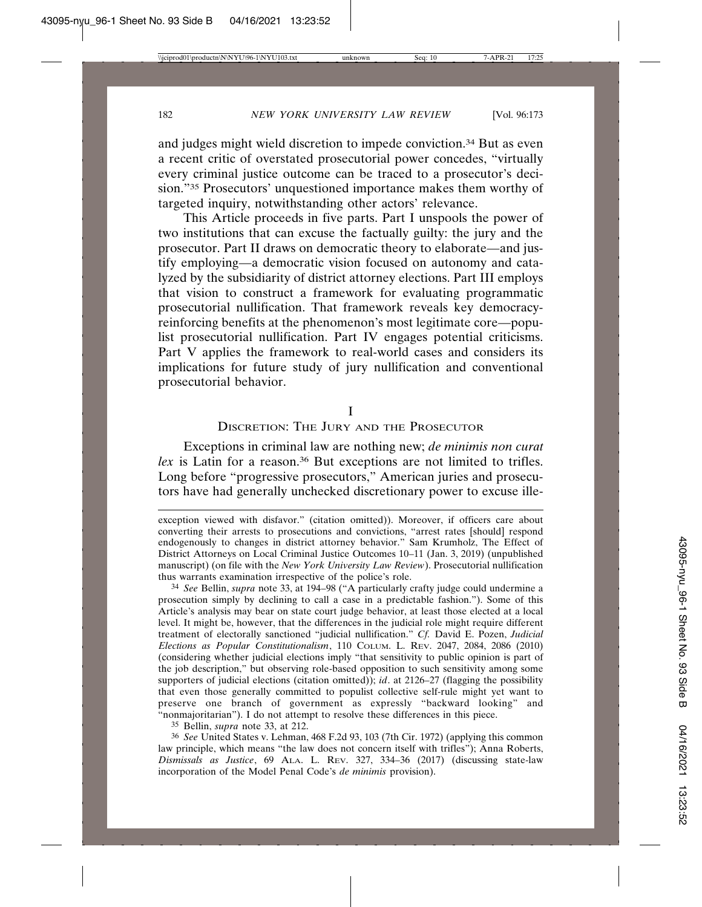and judges might wield discretion to impede conviction.34 But as even a recent critic of overstated prosecutorial power concedes, "virtually every criminal justice outcome can be traced to a prosecutor's decision."35 Prosecutors' unquestioned importance makes them worthy of targeted inquiry, notwithstanding other actors' relevance.

This Article proceeds in five parts. Part I unspools the power of two institutions that can excuse the factually guilty: the jury and the prosecutor. Part II draws on democratic theory to elaborate—and justify employing—a democratic vision focused on autonomy and catalyzed by the subsidiarity of district attorney elections. Part III employs that vision to construct a framework for evaluating programmatic prosecutorial nullification. That framework reveals key democracyreinforcing benefits at the phenomenon's most legitimate core—populist prosecutorial nullification. Part IV engages potential criticisms. Part V applies the framework to real-world cases and considers its implications for future study of jury nullification and conventional prosecutorial behavior.

I

#### DISCRETION: THE JURY AND THE PROSECUTOR

Exceptions in criminal law are nothing new; *de minimis non curat lex* is Latin for a reason.<sup>36</sup> But exceptions are not limited to trifles. Long before "progressive prosecutors," American juries and prosecutors have had generally unchecked discretionary power to excuse ille-

35 Bellin, *supra* note 33, at 212.

36 *See* United States v. Lehman, 468 F.2d 93, 103 (7th Cir. 1972) (applying this common law principle, which means "the law does not concern itself with trifles"); Anna Roberts, *Dismissals as Justice*, 69 ALA. L. REV. 327, 334–36 (2017) (discussing state-law incorporation of the Model Penal Code's *de minimis* provision).

exception viewed with disfavor." (citation omitted)). Moreover, if officers care about converting their arrests to prosecutions and convictions, "arrest rates [should] respond endogenously to changes in district attorney behavior." Sam Krumholz, The Effect of District Attorneys on Local Criminal Justice Outcomes 10–11 (Jan. 3, 2019) (unpublished manuscript) (on file with the *New York University Law Review*). Prosecutorial nullification thus warrants examination irrespective of the police's role.

<sup>34</sup> *See* Bellin, *supra* note 33, at 194–98 ("A particularly crafty judge could undermine a prosecution simply by declining to call a case in a predictable fashion."). Some of this Article's analysis may bear on state court judge behavior, at least those elected at a local level. It might be, however, that the differences in the judicial role might require different treatment of electorally sanctioned "judicial nullification." *Cf.* David E. Pozen, *Judicial Elections as Popular Constitutionalism*, 110 COLUM. L. REV. 2047, 2084, 2086 (2010) (considering whether judicial elections imply "that sensitivity to public opinion is part of the job description," but observing role-based opposition to such sensitivity among some supporters of judicial elections (citation omitted)); *id*. at 2126–27 (flagging the possibility that even those generally committed to populist collective self-rule might yet want to preserve one branch of government as expressly "backward looking" and "nonmajoritarian"). I do not attempt to resolve these differences in this piece.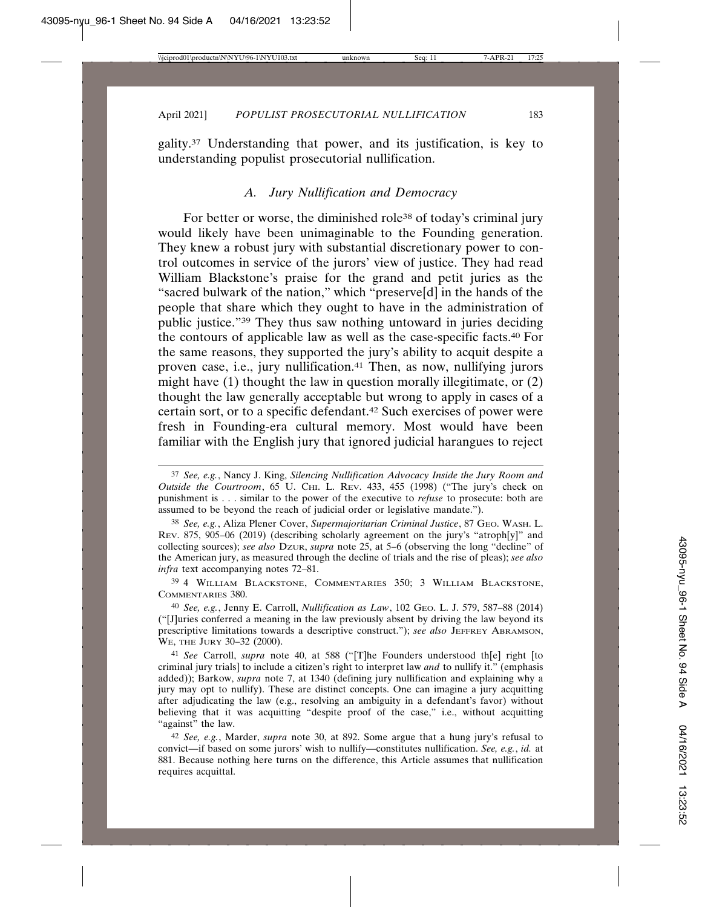gality.37 Understanding that power, and its justification, is key to understanding populist prosecutorial nullification.

#### *A. Jury Nullification and Democracy*

For better or worse, the diminished role<sup>38</sup> of today's criminal jury would likely have been unimaginable to the Founding generation. They knew a robust jury with substantial discretionary power to control outcomes in service of the jurors' view of justice. They had read William Blackstone's praise for the grand and petit juries as the "sacred bulwark of the nation," which "preserve[d] in the hands of the people that share which they ought to have in the administration of public justice."39 They thus saw nothing untoward in juries deciding the contours of applicable law as well as the case-specific facts.40 For the same reasons, they supported the jury's ability to acquit despite a proven case, i.e., jury nullification.41 Then, as now, nullifying jurors might have (1) thought the law in question morally illegitimate, or (2) thought the law generally acceptable but wrong to apply in cases of a certain sort, or to a specific defendant.42 Such exercises of power were fresh in Founding-era cultural memory. Most would have been familiar with the English jury that ignored judicial harangues to reject

<sup>37</sup> *See, e.g.*, Nancy J. King, *Silencing Nullification Advocacy Inside the Jury Room and Outside the Courtroom*, 65 U. CHI. L. REV. 433, 455 (1998) ("The jury's check on punishment is . . . similar to the power of the executive to *refuse* to prosecute: both are assumed to be beyond the reach of judicial order or legislative mandate.").

<sup>38</sup> *See, e.g.*, Aliza Plener Cover, *Supermajoritarian Criminal Justice*, 87 GEO. WASH. L. Rev. 875, 905–06 (2019) (describing scholarly agreement on the jury's "atroph[y]" and collecting sources); *see also* Dzur, *supra* note 25, at 5–6 (observing the long "decline" of the American jury, as measured through the decline of trials and the rise of pleas); *see also infra* text accompanying notes 72–81.

<sup>39</sup> 4 WILLIAM BLACKSTONE, COMMENTARIES 350; 3 WILLIAM BLACKSTONE, COMMENTARIES 380.

<sup>40</sup> *See, e.g.*, Jenny E. Carroll, *Nullification as Law*, 102 GEO. L. J. 579, 587–88 (2014) ("[J]uries conferred a meaning in the law previously absent by driving the law beyond its prescriptive limitations towards a descriptive construct."); *see also* JEFFREY ABRAMSON, WE, THE JURY 30–32 (2000).

<sup>41</sup> *See* Carroll, *supra* note 40, at 588 ("[T]he Founders understood th[e] right [to criminal jury trials] to include a citizen's right to interpret law *and* to nullify it." (emphasis added)); Barkow, *supra* note 7, at 1340 (defining jury nullification and explaining why a jury may opt to nullify). These are distinct concepts. One can imagine a jury acquitting after adjudicating the law (e.g., resolving an ambiguity in a defendant's favor) without believing that it was acquitting "despite proof of the case," i.e., without acquitting "against" the law.

<sup>42</sup> *See, e.g.*, Marder, *supra* note 30, at 892. Some argue that a hung jury's refusal to convict—if based on some jurors' wish to nullify—constitutes nullification. *See, e.g.*, *id.* at 881. Because nothing here turns on the difference, this Article assumes that nullification requires acquittal.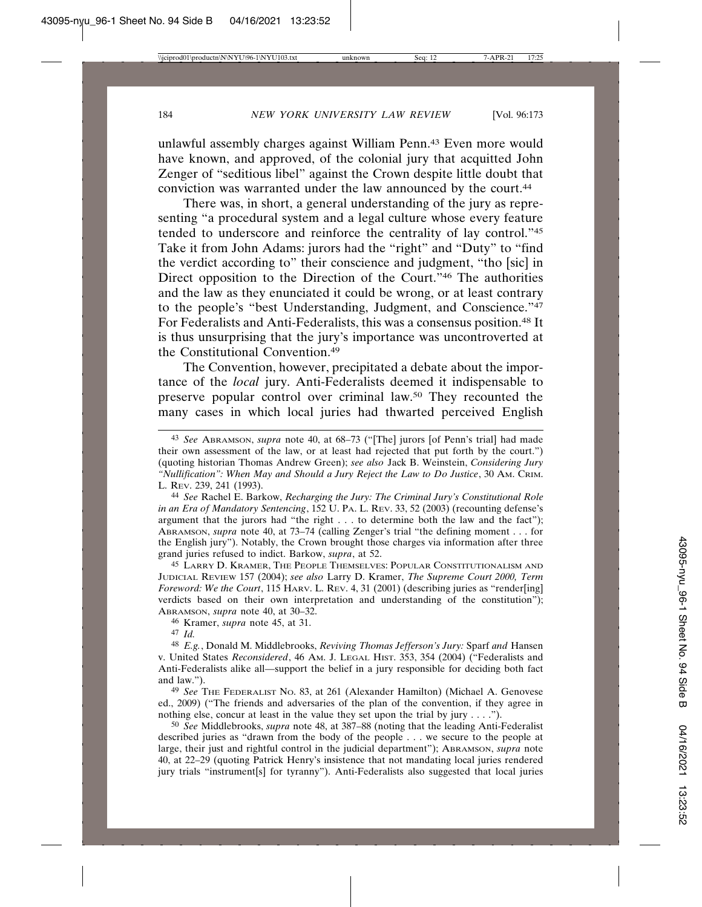unlawful assembly charges against William Penn.43 Even more would have known, and approved, of the colonial jury that acquitted John Zenger of "seditious libel" against the Crown despite little doubt that conviction was warranted under the law announced by the court.44

There was, in short, a general understanding of the jury as representing "a procedural system and a legal culture whose every feature tended to underscore and reinforce the centrality of lay control."45 Take it from John Adams: jurors had the "right" and "Duty" to "find the verdict according to" their conscience and judgment, "tho [sic] in Direct opposition to the Direction of the Court."46 The authorities and the law as they enunciated it could be wrong, or at least contrary to the people's "best Understanding, Judgment, and Conscience."47 For Federalists and Anti-Federalists, this was a consensus position.<sup>48</sup> It is thus unsurprising that the jury's importance was uncontroverted at the Constitutional Convention.49

The Convention, however, precipitated a debate about the importance of the *local* jury. Anti-Federalists deemed it indispensable to preserve popular control over criminal law.50 They recounted the many cases in which local juries had thwarted perceived English

44 *See* Rachel E. Barkow, *Recharging the Jury: The Criminal Jury's Constitutional Role in an Era of Mandatory Sentencing*, 152 U. PA. L. REV. 33, 52 (2003) (recounting defense's argument that the jurors had "the right . . . to determine both the law and the fact"); ABRAMSON, *supra* note 40, at 73–74 (calling Zenger's trial "the defining moment . . . for the English jury"). Notably, the Crown brought those charges via information after three grand juries refused to indict. Barkow, *supra*, at 52.

45 LARRY D. KRAMER, THE PEOPLE THEMSELVES: POPULAR CONSTITUTIONALISM AND JUDICIAL REVIEW 157 (2004); *see also* Larry D. Kramer, *The Supreme Court 2000, Term Foreword: We the Court*, 115 HARV. L. REV. 4, 31 (2001) (describing juries as "render[ing] verdicts based on their own interpretation and understanding of the constitution"); ABRAMSON, *supra* note 40, at 30–32.

46 Kramer, *supra* note 45, at 31.

47 *Id.*

48 *E.g.*, Donald M. Middlebrooks, *Reviving Thomas Jefferson's Jury:* Sparf *and* Hansen v. United States *Reconsidered*, 46 AM. J. LEGAL HIST. 353, 354 (2004) ("Federalists and Anti-Federalists alike all—support the belief in a jury responsible for deciding both fact and law.").

49 *See* THE FEDERALIST NO. 83, at 261 (Alexander Hamilton) (Michael A. Genovese ed., 2009) ("The friends and adversaries of the plan of the convention, if they agree in nothing else, concur at least in the value they set upon the trial by jury . . . .").

50 *See* Middlebrooks, *supra* note 48, at 387–88 (noting that the leading Anti-Federalist described juries as "drawn from the body of the people . . . we secure to the people at large, their just and rightful control in the judicial department"); ABRAMSON, *supra* note 40, at 22–29 (quoting Patrick Henry's insistence that not mandating local juries rendered jury trials "instrument[s] for tyranny"). Anti-Federalists also suggested that local juries

<sup>43</sup> *See* ABRAMSON, *supra* note 40, at 68–73 ("[The] jurors [of Penn's trial] had made their own assessment of the law, or at least had rejected that put forth by the court.") (quoting historian Thomas Andrew Green); *see also* Jack B. Weinstein, *Considering Jury "Nullification": When May and Should a Jury Reject the Law to Do Justice*, 30 AM. CRIM. L. REV. 239, 241 (1993).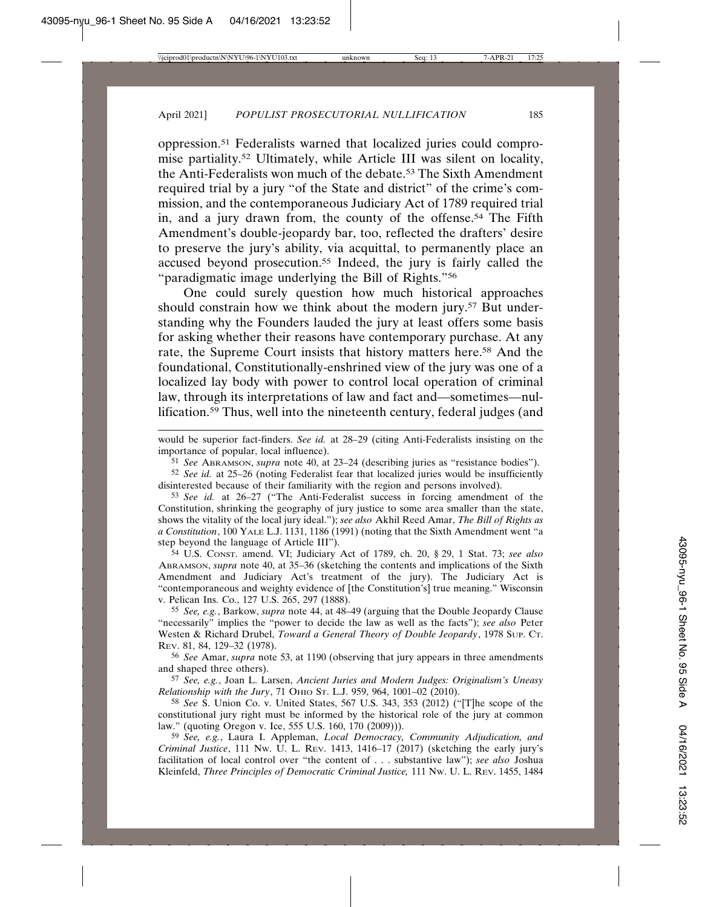oppression.51 Federalists warned that localized juries could compromise partiality.52 Ultimately, while Article III was silent on locality, the Anti-Federalists won much of the debate.53 The Sixth Amendment required trial by a jury "of the State and district" of the crime's commission, and the contemporaneous Judiciary Act of 1789 required trial in, and a jury drawn from, the county of the offense.<sup>54</sup> The Fifth Amendment's double-jeopardy bar, too, reflected the drafters' desire to preserve the jury's ability, via acquittal, to permanently place an accused beyond prosecution.55 Indeed, the jury is fairly called the "paradigmatic image underlying the Bill of Rights."56

One could surely question how much historical approaches should constrain how we think about the modern jury.<sup>57</sup> But understanding why the Founders lauded the jury at least offers some basis for asking whether their reasons have contemporary purchase. At any rate, the Supreme Court insists that history matters here.58 And the foundational, Constitutionally-enshrined view of the jury was one of a localized lay body with power to control local operation of criminal law, through its interpretations of law and fact and—sometimes—nullification.59 Thus, well into the nineteenth century, federal judges (and

would be superior fact-finders. *See id.* at 28–29 (citing Anti-Federalists insisting on the importance of popular, local influence).

51 *See* ABRAMSON, *supra* note 40, at 23–24 (describing juries as "resistance bodies").

52 *See id.* at 25–26 (noting Federalist fear that localized juries would be insufficiently disinterested because of their familiarity with the region and persons involved).

53 *See id.* at 26–27 ("The Anti-Federalist success in forcing amendment of the Constitution, shrinking the geography of jury justice to some area smaller than the state, shows the vitality of the local jury ideal."); *see also* Akhil Reed Amar, *The Bill of Rights as a Constitution*, 100 YALE L.J. 1131, 1186 (1991) (noting that the Sixth Amendment went "a step beyond the language of Article III").

54 U.S. CONST. amend. VI; Judiciary Act of 1789, ch. 20, § 29, 1 Stat. 73; *see also* ABRAMSON, *supra* note 40, at 35–36 (sketching the contents and implications of the Sixth Amendment and Judiciary Act's treatment of the jury). The Judiciary Act is "contemporaneous and weighty evidence of [the Constitution's] true meaning." Wisconsin v. Pelican Ins. Co., 127 U.S. 265, 297 (1888).

55 *See, e.g.*, Barkow, *supra* note 44, at 48–49 (arguing that the Double Jeopardy Clause "necessarily" implies the "power to decide the law as well as the facts"); *see also* Peter Westen & Richard Drubel, *Toward a General Theory of Double Jeopardy*, 1978 SUP. CT. REV. 81, 84, 129–32 (1978).

56 *See* Amar, *supra* note 53, at 1190 (observing that jury appears in three amendments and shaped three others).

57 *See, e.g.*, Joan L. Larsen, *Ancient Juries and Modern Judges: Originalism's Uneasy Relationship with the Jury*, 71 OHIO ST. L.J. 959, 964, 1001–02 (2010).

58 *See* S. Union Co. v. United States, 567 U.S. 343, 353 (2012) ("[T]he scope of the constitutional jury right must be informed by the historical role of the jury at common law." (quoting Oregon v. Ice, 555 U.S. 160, 170 (2009))).

59 *See, e.g.*, Laura I. Appleman, *Local Democracy, Community Adjudication, and Criminal Justice*, 111 NW. U. L. REV. 1413, 1416–17 (2017) (sketching the early jury's facilitation of local control over "the content of . . . substantive law"); *see also* Joshua Kleinfeld, *Three Principles of Democratic Criminal Justice,* 111 NW. U. L. REV. 1455, 1484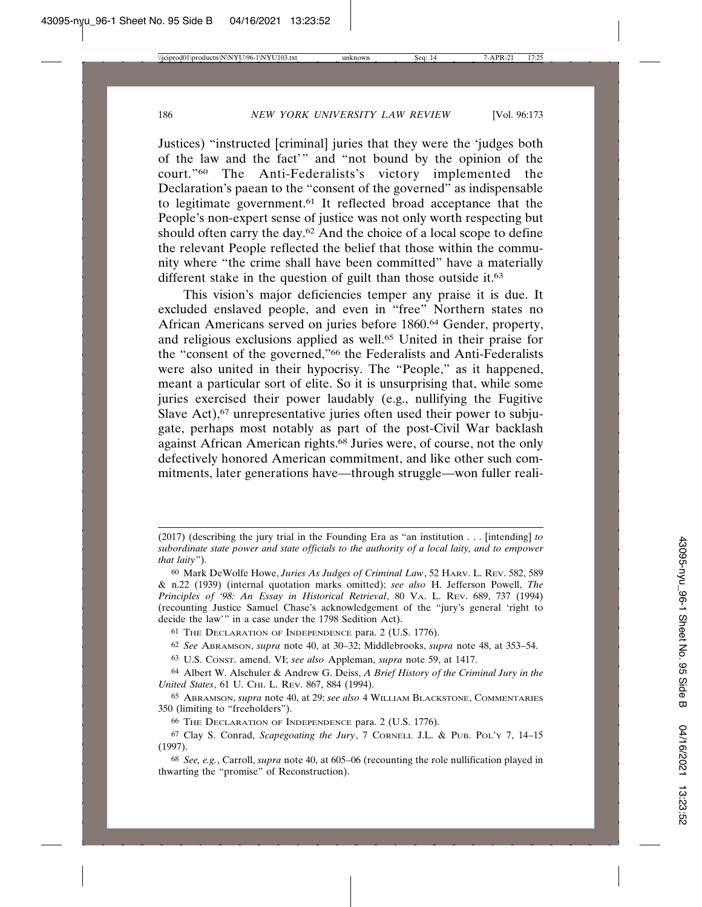Justices) "instructed [criminal] juries that they were the 'judges both of the law and the fact'" and "not bound by the opinion of the court."60 The Anti-Federalists's victory implemented the Declaration's paean to the "consent of the governed" as indispensable to legitimate government.61 It reflected broad acceptance that the People's non-expert sense of justice was not only worth respecting but should often carry the day.<sup>62</sup> And the choice of a local scope to define the relevant People reflected the belief that those within the community where "the crime shall have been committed" have a materially different stake in the question of guilt than those outside it.<sup>63</sup>

This vision's major deficiencies temper any praise it is due. It excluded enslaved people, and even in "free" Northern states no African Americans served on juries before 1860.64 Gender, property, and religious exclusions applied as well.65 United in their praise for the "consent of the governed,"66 the Federalists and Anti-Federalists were also united in their hypocrisy. The "People," as it happened, meant a particular sort of elite. So it is unsurprising that, while some juries exercised their power laudably (e.g., nullifying the Fugitive Slave Act),<sup>67</sup> unrepresentative juries often used their power to subjugate, perhaps most notably as part of the post-Civil War backlash against African American rights.68 Juries were, of course, not the only defectively honored American commitment, and like other such commitments, later generations have—through struggle—won fuller reali-

<sup>(2017) (</sup>describing the jury trial in the Founding Era as "an institution . . . [intending] *to subordinate state power and state officials to the authority of a local laity, and to empower that laity*").

<sup>60</sup> Mark DeWolfe Howe, *Juries As Judges of Criminal Law*, 52 HARV. L. REV. 582, 589 & n.22 (1939) (internal quotation marks omitted); *see also* H. Jefferson Powell, *The Principles of '98: An Essay in Historical Retrieval*, 80 VA. L. REV. 689, 737 (1994) (recounting Justice Samuel Chase's acknowledgement of the "jury's general 'right to decide the law'" in a case under the 1798 Sedition Act).

<sup>61</sup> THE DECLARATION OF INDEPENDENCE para. 2 (U.S. 1776).

<sup>62</sup> *See* ABRAMSON, *supra* note 40, at 30–32; Middlebrooks, *supra* note 48, at 353–54.

<sup>63</sup> U.S. CONST. amend. VI; *see also* Appleman, *supra* note 59, at 1417.

<sup>64</sup> Albert W. Alschuler & Andrew G. Deiss, *A Brief History of the Criminal Jury in the United States*, 61 U. CHI. L. REV. 867, 884 (1994).

<sup>65</sup> ABRAMSON, *supra* note 40, at 29; *see also* 4 WILLIAM BLACKSTONE, COMMENTARIES 350 (limiting to "freeholders").

<sup>66</sup> THE DECLARATION OF INDEPENDENCE para. 2 (U.S. 1776).

<sup>67</sup> Clay S. Conrad, *Scapegoating the Jury*, 7 CORNELL J.L. & PUB. POL'Y 7, 14–15 (1997).

<sup>68</sup> *See, e.g.*, Carroll, *supra* note 40, at 605–06 (recounting the role nullification played in thwarting the "promise" of Reconstruction).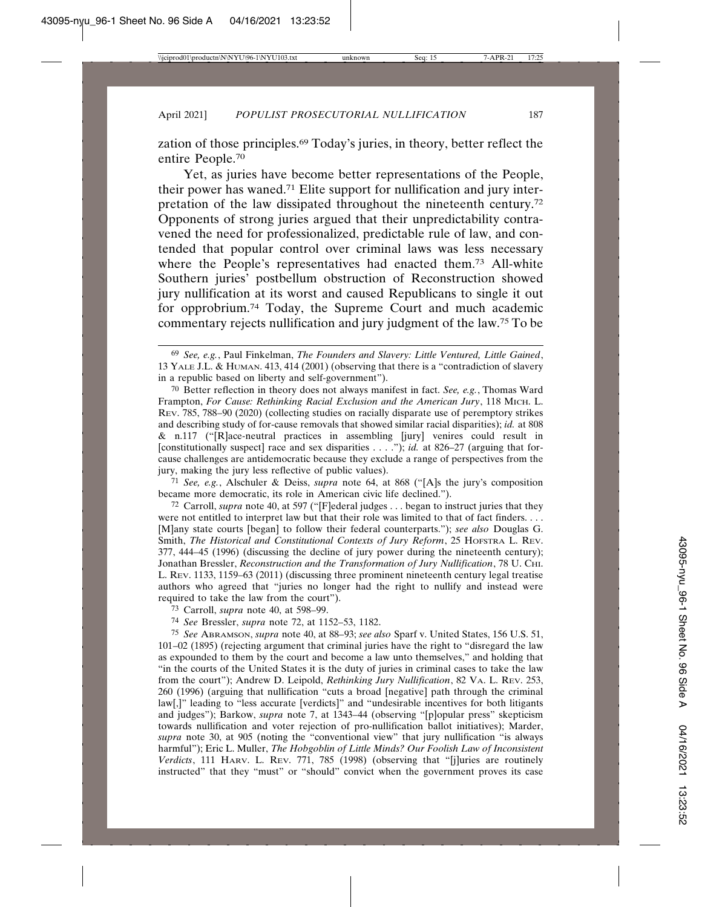zation of those principles.69 Today's juries, in theory, better reflect the entire People.70

Yet, as juries have become better representations of the People, their power has waned.71 Elite support for nullification and jury interpretation of the law dissipated throughout the nineteenth century.72 Opponents of strong juries argued that their unpredictability contravened the need for professionalized, predictable rule of law, and contended that popular control over criminal laws was less necessary where the People's representatives had enacted them.<sup>73</sup> All-white Southern juries' postbellum obstruction of Reconstruction showed jury nullification at its worst and caused Republicans to single it out for opprobrium.74 Today, the Supreme Court and much academic commentary rejects nullification and jury judgment of the law.75 To be

70 Better reflection in theory does not always manifest in fact. *See, e.g.*, Thomas Ward Frampton, *For Cause: Rethinking Racial Exclusion and the American Jury*, 118 MICH. L. REV. 785, 788–90 (2020) (collecting studies on racially disparate use of peremptory strikes and describing study of for-cause removals that showed similar racial disparities); *id.* at 808 & n.117 ("[R]ace-neutral practices in assembling [jury] venires could result in [constitutionally suspect] race and sex disparities . . . ."); *id.* at 826–27 (arguing that forcause challenges are antidemocratic because they exclude a range of perspectives from the jury, making the jury less reflective of public values).

71 *See, e.g.*, Alschuler & Deiss, *supra* note 64, at 868 ("[A]s the jury's composition became more democratic, its role in American civic life declined.").

72 Carroll, *supra* note 40, at 597 ("[F]ederal judges . . . began to instruct juries that they were not entitled to interpret law but that their role was limited to that of fact finders. . . . [M]any state courts [began] to follow their federal counterparts."); *see also* Douglas G. Smith, *The Historical and Constitutional Contexts of Jury Reform*, 25 HOFSTRA L. REV. 377, 444–45 (1996) (discussing the decline of jury power during the nineteenth century); Jonathan Bressler, *Reconstruction and the Transformation of Jury Nullification*, 78 U. CHI. L. REV. 1133, 1159–63 (2011) (discussing three prominent nineteenth century legal treatise authors who agreed that "juries no longer had the right to nullify and instead were required to take the law from the court").

73 Carroll, *supra* note 40, at 598–99.

74 *See* Bressler, *supra* note 72, at 1152–53, 1182.

75 *See* ABRAMSON, *supra* note 40, at 88–93; *see also* Sparf v. United States, 156 U.S. 51, 101–02 (1895) (rejecting argument that criminal juries have the right to "disregard the law as expounded to them by the court and become a law unto themselves," and holding that "in the courts of the United States it is the duty of juries in criminal cases to take the law from the court"); Andrew D. Leipold, *Rethinking Jury Nullification*, 82 VA. L. REV. 253, 260 (1996) (arguing that nullification "cuts a broad [negative] path through the criminal law[,]" leading to "less accurate [verdicts]" and "undesirable incentives for both litigants and judges"); Barkow, *supra* note 7, at 1343–44 (observing "[p]opular press" skepticism towards nullification and voter rejection of pro-nullification ballot initiatives); Marder, *supra* note 30, at 905 (noting the "conventional view" that jury nullification "is always harmful"); Eric L. Muller, *The Hobgoblin of Little Minds? Our Foolish Law of Inconsistent Verdicts*, 111 HARV. L. REV. 771, 785 (1998) (observing that "[j]uries are routinely instructed" that they "must" or "should" convict when the government proves its case

<sup>69</sup> *See, e.g.*, Paul Finkelman, *The Founders and Slavery: Little Ventured, Little Gained*, 13 YALE J.L. & HUMAN. 413, 414 (2001) (observing that there is a "contradiction of slavery in a republic based on liberty and self-government").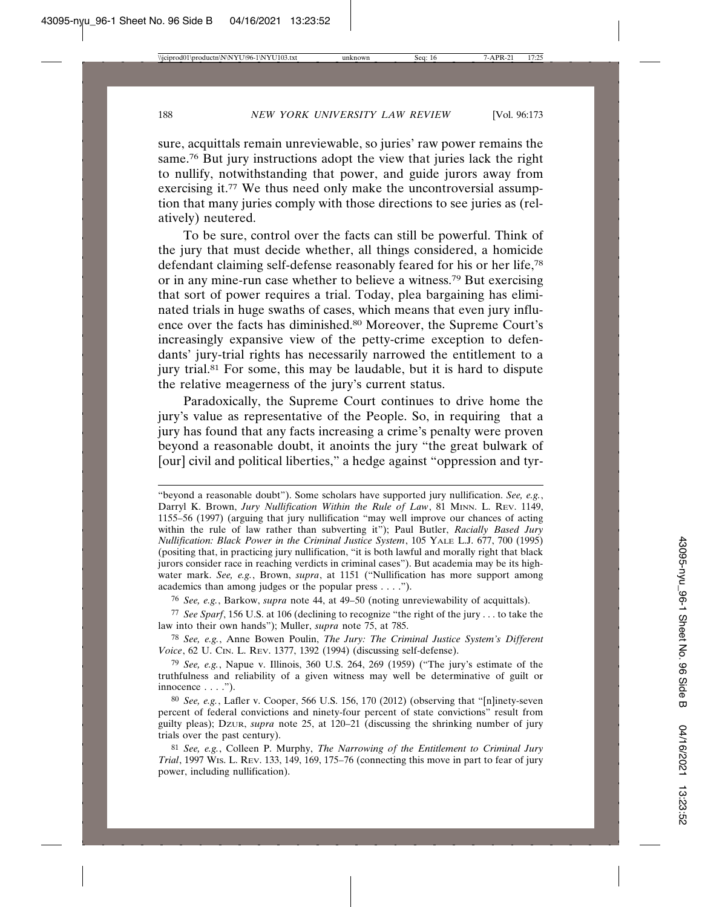sure, acquittals remain unreviewable, so juries' raw power remains the same.<sup>76</sup> But jury instructions adopt the view that juries lack the right to nullify, notwithstanding that power, and guide jurors away from exercising it.<sup>77</sup> We thus need only make the uncontroversial assumption that many juries comply with those directions to see juries as (relatively) neutered.

To be sure, control over the facts can still be powerful. Think of the jury that must decide whether, all things considered, a homicide defendant claiming self-defense reasonably feared for his or her life,78 or in any mine-run case whether to believe a witness.79 But exercising that sort of power requires a trial. Today, plea bargaining has eliminated trials in huge swaths of cases, which means that even jury influence over the facts has diminished.80 Moreover, the Supreme Court's increasingly expansive view of the petty-crime exception to defendants' jury-trial rights has necessarily narrowed the entitlement to a jury trial.81 For some, this may be laudable, but it is hard to dispute the relative meagerness of the jury's current status.

Paradoxically, the Supreme Court continues to drive home the jury's value as representative of the People. So, in requiring that a jury has found that any facts increasing a crime's penalty were proven beyond a reasonable doubt, it anoints the jury "the great bulwark of [our] civil and political liberties," a hedge against "oppression and tyr-

76 *See, e.g.*, Barkow, *supra* note 44, at 49–50 (noting unreviewability of acquittals).

77 *See Sparf*, 156 U.S. at 106 (declining to recognize "the right of the jury . . . to take the law into their own hands"); Muller, *supra* note 75, at 785.

78 *See, e.g.*, Anne Bowen Poulin, *The Jury: The Criminal Justice System's Different Voice*, 62 U. CIN. L. REV. 1377, 1392 (1994) (discussing self-defense).

79 *See, e.g.*, Napue v. Illinois, 360 U.S. 264, 269 (1959) ("The jury's estimate of the truthfulness and reliability of a given witness may well be determinative of guilt or innocence  $\dots$ .").

80 *See, e.g.*, Lafler v. Cooper, 566 U.S. 156, 170 (2012) (observing that "[n]inety-seven percent of federal convictions and ninety-four percent of state convictions" result from guilty pleas); DZUR, *supra* note 25, at 120–21 (discussing the shrinking number of jury trials over the past century).

81 *See, e.g.*, Colleen P. Murphy, *The Narrowing of the Entitlement to Criminal Jury Trial*, 1997 WIS. L. REV. 133, 149, 169, 175–76 (connecting this move in part to fear of jury power, including nullification).

<sup>&</sup>quot;beyond a reasonable doubt"). Some scholars have supported jury nullification. *See, e.g.*, Darryl K. Brown, *Jury Nullification Within the Rule of Law*, 81 MINN. L. REV. 1149, 1155–56 (1997) (arguing that jury nullification "may well improve our chances of acting within the rule of law rather than subverting it"); Paul Butler, *Racially Based Jury Nullification: Black Power in the Criminal Justice System*, 105 YALE L.J. 677, 700 (1995) (positing that, in practicing jury nullification, "it is both lawful and morally right that black jurors consider race in reaching verdicts in criminal cases"). But academia may be its highwater mark. *See, e.g.*, Brown, *supra*, at 1151 ("Nullification has more support among academics than among judges or the popular press . . . .").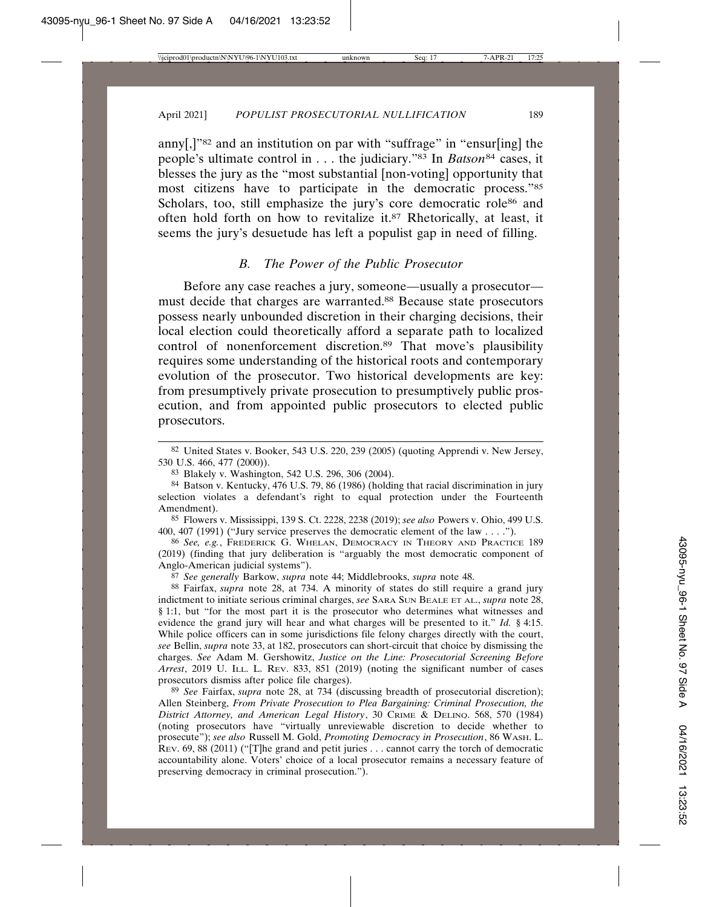anny[,]"82 and an institution on par with "suffrage" in "ensur[ing] the people's ultimate control in . . . the judiciary."83 In *Batson*<sup>84</sup> cases, it blesses the jury as the "most substantial [non-voting] opportunity that most citizens have to participate in the democratic process."85 Scholars, too, still emphasize the jury's core democratic role<sup>86</sup> and often hold forth on how to revitalize it.87 Rhetorically, at least, it seems the jury's desuetude has left a populist gap in need of filling.

#### *B. The Power of the Public Prosecutor*

Before any case reaches a jury, someone—usually a prosecutor must decide that charges are warranted.88 Because state prosecutors possess nearly unbounded discretion in their charging decisions, their local election could theoretically afford a separate path to localized control of nonenforcement discretion.<sup>89</sup> That move's plausibility requires some understanding of the historical roots and contemporary evolution of the prosecutor. Two historical developments are key: from presumptively private prosecution to presumptively public prosecution, and from appointed public prosecutors to elected public prosecutors.

85 Flowers v. Mississippi, 139 S. Ct. 2228, 2238 (2019); *see also* Powers v. Ohio, 499 U.S. 400, 407 (1991) ("Jury service preserves the democratic element of the law . . . .").

86 *See, e.g.*, FREDERICK G. WHELAN, DEMOCRACY IN THEORY AND PRACTICE 189 (2019) (finding that jury deliberation is "arguably the most democratic component of Anglo-American judicial systems").

87 *See generally* Barkow, *supra* note 44; Middlebrooks, *supra* note 48.

88 Fairfax, *supra* note 28, at 734. A minority of states do still require a grand jury indictment to initiate serious criminal charges, *see* SARA SUN BEALE ET AL., *supra* note 28, § 1:1, but "for the most part it is the prosecutor who determines what witnesses and evidence the grand jury will hear and what charges will be presented to it." *Id.* § 4:15. While police officers can in some jurisdictions file felony charges directly with the court, *see* Bellin, *supra* note 33, at 182, prosecutors can short-circuit that choice by dismissing the charges. *See* Adam M. Gershowitz, *Justice on the Line: Prosecutorial Screening Before Arrest*, 2019 U. ILL. L. REV. 833, 851 (2019) (noting the significant number of cases prosecutors dismiss after police file charges).

89 *See* Fairfax, *supra* note 28, at 734 (discussing breadth of prosecutorial discretion); Allen Steinberg, *From Private Prosecution to Plea Bargaining: Criminal Prosecution, the District Attorney, and American Legal History*, 30 CRIME & DELINQ. 568, 570 (1984) (noting prosecutors have "virtually unreviewable discretion to decide whether to prosecute"); *see also* Russell M. Gold, *Promoting Democracy in Prosecution*, 86 WASH. L. REV. 69, 88 (2011) ("[T]he grand and petit juries . . . cannot carry the torch of democratic accountability alone. Voters' choice of a local prosecutor remains a necessary feature of preserving democracy in criminal prosecution.").

<sup>82</sup> United States v. Booker, 543 U.S. 220, 239 (2005) (quoting Apprendi v. New Jersey, 530 U.S. 466, 477 (2000)).

<sup>83</sup> Blakely v. Washington, 542 U.S. 296, 306 (2004).

<sup>84</sup> Batson v. Kentucky, 476 U.S. 79, 86 (1986) (holding that racial discrimination in jury selection violates a defendant's right to equal protection under the Fourteenth Amendment).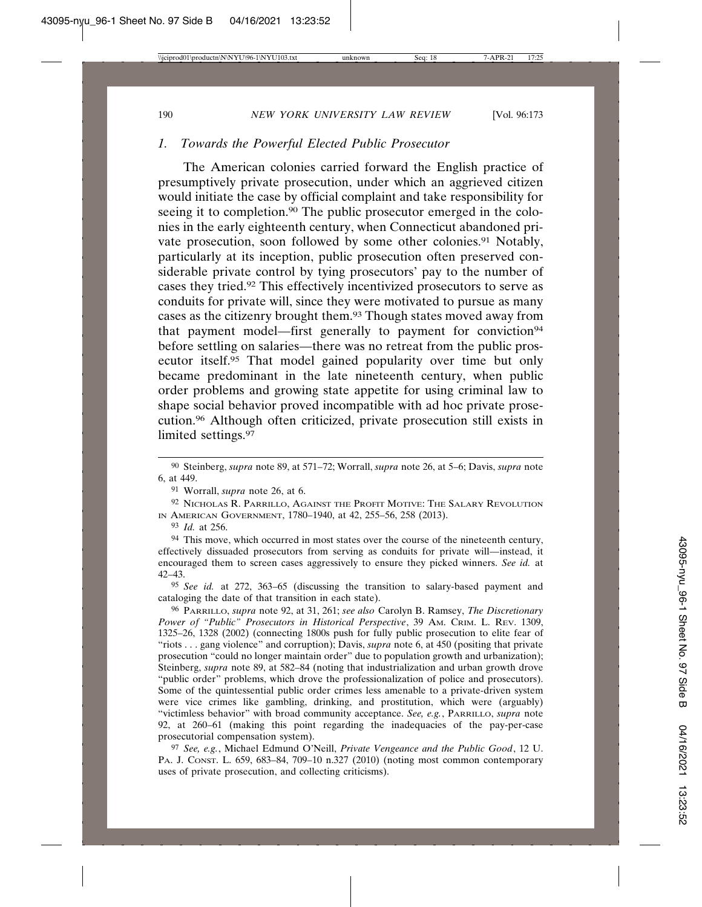#### *1. Towards the Powerful Elected Public Prosecutor*

The American colonies carried forward the English practice of presumptively private prosecution, under which an aggrieved citizen would initiate the case by official complaint and take responsibility for seeing it to completion.<sup>90</sup> The public prosecutor emerged in the colonies in the early eighteenth century, when Connecticut abandoned private prosecution, soon followed by some other colonies.<sup>91</sup> Notably, particularly at its inception, public prosecution often preserved considerable private control by tying prosecutors' pay to the number of cases they tried.92 This effectively incentivized prosecutors to serve as conduits for private will, since they were motivated to pursue as many cases as the citizenry brought them.93 Though states moved away from that payment model—first generally to payment for conviction<sup>94</sup> before settling on salaries—there was no retreat from the public prosecutor itself.95 That model gained popularity over time but only became predominant in the late nineteenth century, when public order problems and growing state appetite for using criminal law to shape social behavior proved incompatible with ad hoc private prosecution.96 Although often criticized, private prosecution still exists in limited settings.<sup>97</sup>

91 Worrall, *supra* note 26, at 6.

92 NICHOLAS R. PARRILLO, AGAINST THE PROFIT MOTIVE: THE SALARY REVOLUTION IN AMERICAN GOVERNMENT, 1780–1940, at 42, 255–56, 258 (2013).

93 *Id.* at 256.

<sup>94</sup> This move, which occurred in most states over the course of the nineteenth century, effectively dissuaded prosecutors from serving as conduits for private will—instead, it encouraged them to screen cases aggressively to ensure they picked winners. *See id.* at 42–43.

95 *See id.* at 272, 363–65 (discussing the transition to salary-based payment and cataloging the date of that transition in each state).

96 PARRILLO, *supra* note 92, at 31, 261; *see also* Carolyn B. Ramsey, *The Discretionary Power of "Public" Prosecutors in Historical Perspective*, 39 AM. CRIM. L. REV. 1309, 1325–26, 1328 (2002) (connecting 1800s push for fully public prosecution to elite fear of "riots . . . gang violence" and corruption); Davis, *supra* note 6, at 450 (positing that private prosecution "could no longer maintain order" due to population growth and urbanization); Steinberg, *supra* note 89, at 582–84 (noting that industrialization and urban growth drove "public order" problems, which drove the professionalization of police and prosecutors). Some of the quintessential public order crimes less amenable to a private-driven system were vice crimes like gambling, drinking, and prostitution, which were (arguably) "victimless behavior" with broad community acceptance. *See, e.g.*, PARRILLO, *supra* note 92, at 260–61 (making this point regarding the inadequacies of the pay-per-case prosecutorial compensation system).

97 *See, e.g.*, Michael Edmund O'Neill, *Private Vengeance and the Public Good*, 12 U. PA. J. CONST. L. 659, 683–84, 709–10 n.327 (2010) (noting most common contemporary uses of private prosecution, and collecting criticisms).

<sup>90</sup> Steinberg, *supra* note 89, at 571–72; Worrall, *supra* note 26, at 5–6; Davis, *supra* note 6, at 449.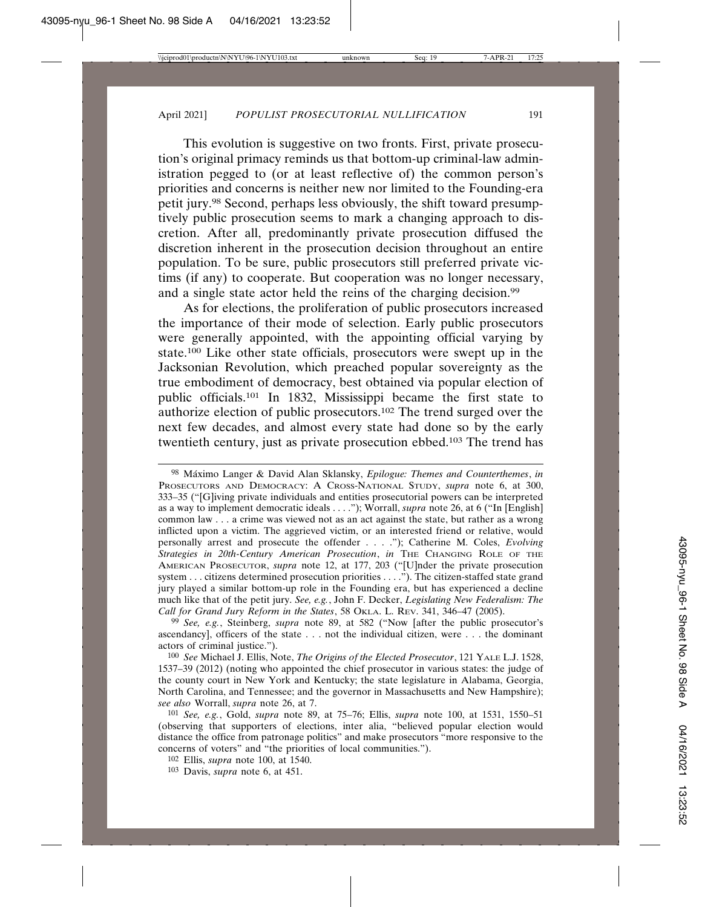This evolution is suggestive on two fronts. First, private prosecution's original primacy reminds us that bottom-up criminal-law administration pegged to (or at least reflective of) the common person's priorities and concerns is neither new nor limited to the Founding-era petit jury.98 Second, perhaps less obviously, the shift toward presumptively public prosecution seems to mark a changing approach to discretion. After all, predominantly private prosecution diffused the discretion inherent in the prosecution decision throughout an entire population. To be sure, public prosecutors still preferred private victims (if any) to cooperate. But cooperation was no longer necessary, and a single state actor held the reins of the charging decision.<sup>99</sup>

As for elections, the proliferation of public prosecutors increased the importance of their mode of selection. Early public prosecutors were generally appointed, with the appointing official varying by state.100 Like other state officials, prosecutors were swept up in the Jacksonian Revolution, which preached popular sovereignty as the true embodiment of democracy, best obtained via popular election of public officials.101 In 1832, Mississippi became the first state to authorize election of public prosecutors.102 The trend surged over the next few decades, and almost every state had done so by the early twentieth century, just as private prosecution ebbed.103 The trend has

<sup>&</sup>lt;sup>98</sup> Máximo Langer & David Alan Sklansky, *Epilogue: Themes and Counterthemes*, *in* PROSECUTORS AND DEMOCRACY: A CROSS-NATIONAL STUDY, *supra* note 6, at 300, 333–35 ("[G]iving private individuals and entities prosecutorial powers can be interpreted as a way to implement democratic ideals . . . ."); Worrall, *supra* note 26, at 6 ("In [English] common law . . . a crime was viewed not as an act against the state, but rather as a wrong inflicted upon a victim. The aggrieved victim, or an interested friend or relative, would personally arrest and prosecute the offender . . . ."); Catherine M. Coles, *Evolving Strategies in 20th-Century American Prosecution*, *in* THE CHANGING ROLE OF THE AMERICAN PROSECUTOR, *supra* note 12, at 177, 203 ("[U]nder the private prosecution system . . . citizens determined prosecution priorities . . . ."). The citizen-staffed state grand jury played a similar bottom-up role in the Founding era, but has experienced a decline much like that of the petit jury. *See, e.g.*, John F. Decker, *Legislating New Federalism: The Call for Grand Jury Reform in the States*, 58 OKLA. L. REV. 341, 346–47 (2005).

<sup>99</sup> *See, e.g.*, Steinberg, *supra* note 89, at 582 ("Now [after the public prosecutor's ascendancy], officers of the state . . . not the individual citizen, were . . . the dominant actors of criminal justice.").

<sup>100</sup> *See* Michael J. Ellis, Note, *The Origins of the Elected Prosecutor*, 121 YALE L.J. 1528, 1537–39 (2012) (noting who appointed the chief prosecutor in various states: the judge of the county court in New York and Kentucky; the state legislature in Alabama, Georgia, North Carolina, and Tennessee; and the governor in Massachusetts and New Hampshire); *see also* Worrall, *supra* note 26, at 7.

<sup>101</sup> *See, e.g.*, Gold, *supra* note 89, at 75–76; Ellis, *supra* note 100, at 1531, 1550–51 (observing that supporters of elections, inter alia, "believed popular election would distance the office from patronage politics" and make prosecutors "more responsive to the concerns of voters" and "the priorities of local communities.").

<sup>102</sup> Ellis, *supra* note 100, at 1540.

<sup>103</sup> Davis, *supra* note 6, at 451.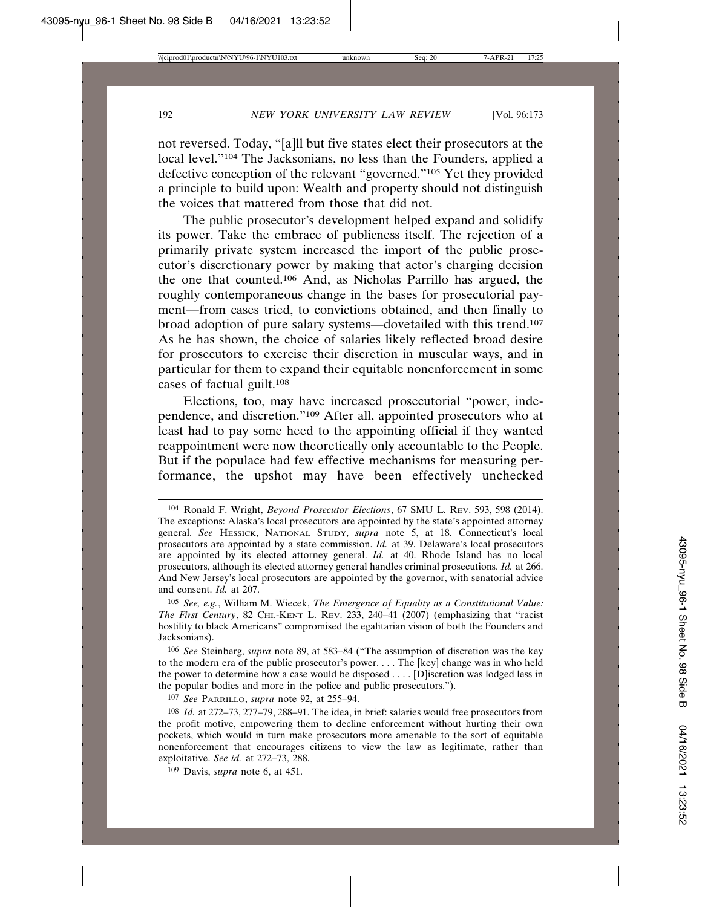not reversed. Today, "[a]ll but five states elect their prosecutors at the local level."<sup>104</sup> The Jacksonians, no less than the Founders, applied a defective conception of the relevant "governed."105 Yet they provided a principle to build upon: Wealth and property should not distinguish the voices that mattered from those that did not.

The public prosecutor's development helped expand and solidify its power. Take the embrace of publicness itself. The rejection of a primarily private system increased the import of the public prosecutor's discretionary power by making that actor's charging decision the one that counted.106 And, as Nicholas Parrillo has argued, the roughly contemporaneous change in the bases for prosecutorial payment—from cases tried, to convictions obtained, and then finally to broad adoption of pure salary systems—dovetailed with this trend.107 As he has shown, the choice of salaries likely reflected broad desire for prosecutors to exercise their discretion in muscular ways, and in particular for them to expand their equitable nonenforcement in some cases of factual guilt.108

Elections, too, may have increased prosecutorial "power, independence, and discretion."109 After all, appointed prosecutors who at least had to pay some heed to the appointing official if they wanted reappointment were now theoretically only accountable to the People. But if the populace had few effective mechanisms for measuring performance, the upshot may have been effectively unchecked

106 *See* Steinberg, *supra* note 89, at 583–84 ("The assumption of discretion was the key to the modern era of the public prosecutor's power. . . . The [key] change was in who held the power to determine how a case would be disposed . . . . [D]iscretion was lodged less in the popular bodies and more in the police and public prosecutors.").

107 *See* PARRILLO, *supra* note 92, at 255–94.

109 Davis, *supra* note 6, at 451.

<sup>104</sup> Ronald F. Wright, *Beyond Prosecutor Elections*, 67 SMU L. REV. 593, 598 (2014). The exceptions: Alaska's local prosecutors are appointed by the state's appointed attorney general. *See* HESSICK, NATIONAL STUDY, *supra* note 5, at 18. Connecticut's local prosecutors are appointed by a state commission. *Id.* at 39. Delaware's local prosecutors are appointed by its elected attorney general. *Id.* at 40. Rhode Island has no local prosecutors, although its elected attorney general handles criminal prosecutions. *Id.* at 266. And New Jersey's local prosecutors are appointed by the governor, with senatorial advice and consent. *Id.* at 207.

<sup>105</sup> *See, e.g.*, William M. Wiecek, *The Emergence of Equality as a Constitutional Value: The First Century*, 82 CHI.-KENT L. REV. 233, 240–41 (2007) (emphasizing that "racist hostility to black Americans" compromised the egalitarian vision of both the Founders and Jacksonians).

<sup>108</sup> *Id.* at 272–73, 277–79, 288–91. The idea, in brief: salaries would free prosecutors from the profit motive, empowering them to decline enforcement without hurting their own pockets, which would in turn make prosecutors more amenable to the sort of equitable nonenforcement that encourages citizens to view the law as legitimate, rather than exploitative. *See id.* at 272–73, 288.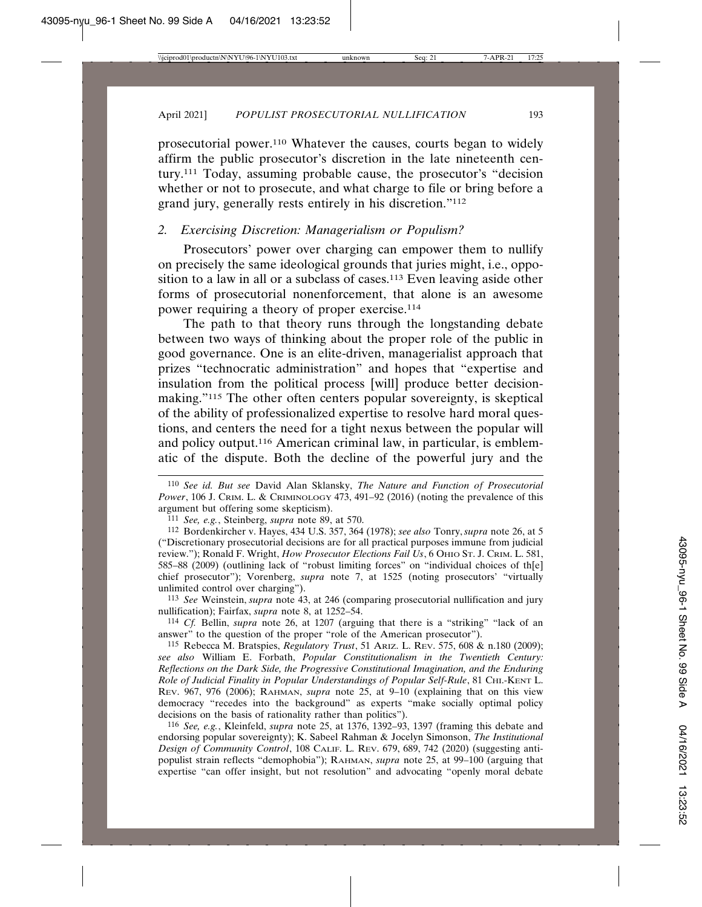prosecutorial power.110 Whatever the causes, courts began to widely affirm the public prosecutor's discretion in the late nineteenth century.111 Today, assuming probable cause, the prosecutor's "decision whether or not to prosecute, and what charge to file or bring before a grand jury, generally rests entirely in his discretion."112

#### *2. Exercising Discretion: Managerialism or Populism?*

Prosecutors' power over charging can empower them to nullify on precisely the same ideological grounds that juries might, i.e., opposition to a law in all or a subclass of cases.<sup>113</sup> Even leaving aside other forms of prosecutorial nonenforcement, that alone is an awesome power requiring a theory of proper exercise.114

The path to that theory runs through the longstanding debate between two ways of thinking about the proper role of the public in good governance. One is an elite-driven, managerialist approach that prizes "technocratic administration" and hopes that "expertise and insulation from the political process [will] produce better decisionmaking."115 The other often centers popular sovereignty, is skeptical of the ability of professionalized expertise to resolve hard moral questions, and centers the need for a tight nexus between the popular will and policy output.116 American criminal law, in particular, is emblematic of the dispute. Both the decline of the powerful jury and the

111 *See, e.g.*, Steinberg, *supra* note 89, at 570.

112 Bordenkircher v. Hayes, 434 U.S. 357, 364 (1978); *see also* Tonry,*supra* note 26, at 5 ("Discretionary prosecutorial decisions are for all practical purposes immune from judicial review."); Ronald F. Wright, *How Prosecutor Elections Fail Us*, 6 OHIO ST. J. CRIM. L. 581, 585–88 (2009) (outlining lack of "robust limiting forces" on "individual choices of th[e] chief prosecutor"); Vorenberg, *supra* note 7, at 1525 (noting prosecutors' "virtually unlimited control over charging").

113 *See* Weinstein, *supra* note 43, at 246 (comparing prosecutorial nullification and jury nullification); Fairfax, *supra* note 8, at 1252–54.

114 *Cf.* Bellin, *supra* note 26, at 1207 (arguing that there is a "striking" "lack of an answer" to the question of the proper "role of the American prosecutor").

115 Rebecca M. Bratspies, *Regulatory Trust*, 51 ARIZ. L. REV. 575, 608 & n.180 (2009); *see also* William E. Forbath, *Popular Constitutionalism in the Twentieth Century: Reflections on the Dark Side, the Progressive Constitutional Imagination, and the Enduring Role of Judicial Finality in Popular Understandings of Popular Self-Rule*, 81 CHI.-KENT L. REV. 967, 976 (2006); RAHMAN, *supra* note 25, at 9–10 (explaining that on this view democracy "recedes into the background" as experts "make socially optimal policy decisions on the basis of rationality rather than politics").

116 *See, e.g.*, Kleinfeld, *supra* note 25, at 1376, 1392–93, 1397 (framing this debate and endorsing popular sovereignty); K. Sabeel Rahman & Jocelyn Simonson, *The Institutional Design of Community Control*, 108 CALIF. L. REV. 679, 689, 742 (2020) (suggesting antipopulist strain reflects "demophobia"); RAHMAN, *supra* note 25, at 99–100 (arguing that expertise "can offer insight, but not resolution" and advocating "openly moral debate

<sup>110</sup> *See id. But see* David Alan Sklansky, *The Nature and Function of Prosecutorial Power*, 106 J. CRIM. L. & CRIMINOLOGY 473, 491–92 (2016) (noting the prevalence of this argument but offering some skepticism).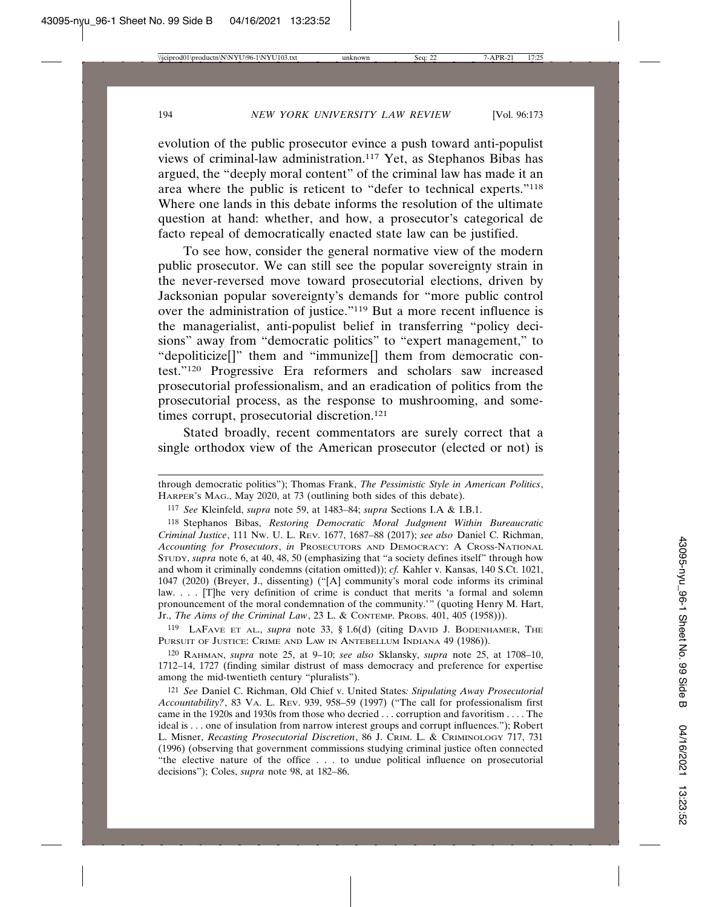evolution of the public prosecutor evince a push toward anti-populist views of criminal-law administration.117 Yet, as Stephanos Bibas has argued, the "deeply moral content" of the criminal law has made it an area where the public is reticent to "defer to technical experts."118 Where one lands in this debate informs the resolution of the ultimate question at hand: whether, and how, a prosecutor's categorical de facto repeal of democratically enacted state law can be justified.

To see how, consider the general normative view of the modern public prosecutor. We can still see the popular sovereignty strain in the never-reversed move toward prosecutorial elections, driven by Jacksonian popular sovereignty's demands for "more public control over the administration of justice."119 But a more recent influence is the managerialist, anti-populist belief in transferring "policy decisions" away from "democratic politics" to "expert management," to "depoliticize[]" them and "immunize[] them from democratic contest."120 Progressive Era reformers and scholars saw increased prosecutorial professionalism, and an eradication of politics from the prosecutorial process, as the response to mushrooming, and sometimes corrupt, prosecutorial discretion.121

Stated broadly, recent commentators are surely correct that a single orthodox view of the American prosecutor (elected or not) is

119 LAFAVE ET AL., *supra* note 33, § 1.6(d) (citing DAVID J. BODENHAMER, THE PURSUIT OF JUSTICE: CRIME AND LAW IN ANTEBELLUM INDIANA 49 (1986)).

120 RAHMAN, *supra* note 25, at 9–10; *see also* Sklansky, *supra* note 25, at 1708–10, 1712–14, 1727 (finding similar distrust of mass democracy and preference for expertise among the mid-twentieth century "pluralists").

121 *See* Daniel C. Richman, Old Chief v. United States*: Stipulating Away Prosecutorial Accountability?*, 83 VA. L. REV. 939, 958–59 (1997) ("The call for professionalism first came in the 1920s and 1930s from those who decried . . . corruption and favoritism . . . . The ideal is . . . one of insulation from narrow interest groups and corrupt influences."); Robert L. Misner, *Recasting Prosecutorial Discretion*, 86 J. CRIM. L. & CRIMINOLOGY 717, 731 (1996) (observing that government commissions studying criminal justice often connected "the elective nature of the office . . . to undue political influence on prosecutorial decisions"); Coles, *supra* note 98, at 182–86.

through democratic politics"); Thomas Frank, *The Pessimistic Style in American Politics*, HARPER'S MAG., May 2020, at 73 (outlining both sides of this debate).

<sup>117</sup> *See* Kleinfeld, *supra* note 59, at 1483–84; *supra* Sections I.A & I.B.1.

<sup>118</sup> Stephanos Bibas, *Restoring Democratic Moral Judgment Within Bureaucratic Criminal Justice*, 111 NW. U. L. REV. 1677, 1687–88 (2017); *see also* Daniel C. Richman, *Accounting for Prosecutors*, *in* PROSECUTORS AND DEMOCRACY: A CROSS-NATIONAL STUDY, *supra* note 6, at 40, 48, 50 (emphasizing that "a society defines itself" through how and whom it criminally condemns (citation omitted)); *cf.* Kahler v. Kansas, 140 S.Ct. 1021, 1047 (2020) (Breyer, J., dissenting) ("[A] community's moral code informs its criminal law. . . . [T]he very definition of crime is conduct that merits 'a formal and solemn pronouncement of the moral condemnation of the community.'" (quoting Henry M. Hart, Jr., *The Aims of the Criminal Law*, 23 L. & CONTEMP. PROBS. 401, 405 (1958))).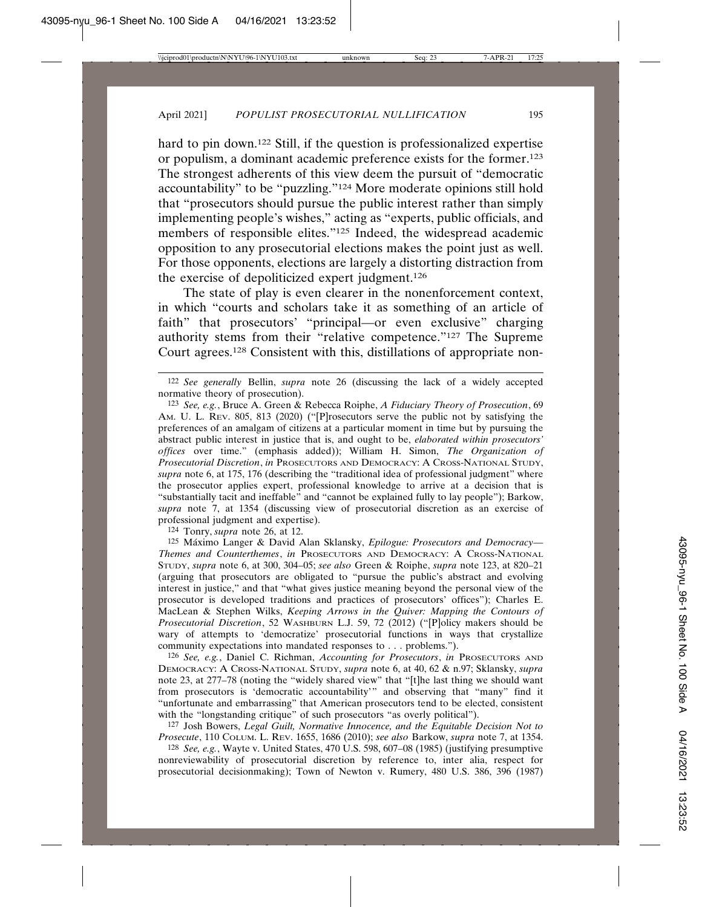hard to pin down.<sup>122</sup> Still, if the question is professionalized expertise or populism, a dominant academic preference exists for the former.123 The strongest adherents of this view deem the pursuit of "democratic accountability" to be "puzzling."124 More moderate opinions still hold that "prosecutors should pursue the public interest rather than simply implementing people's wishes," acting as "experts, public officials, and members of responsible elites."125 Indeed, the widespread academic opposition to any prosecutorial elections makes the point just as well. For those opponents, elections are largely a distorting distraction from the exercise of depoliticized expert judgment.126

The state of play is even clearer in the nonenforcement context, in which "courts and scholars take it as something of an article of faith" that prosecutors' "principal—or even exclusive" charging authority stems from their "relative competence."127 The Supreme Court agrees.128 Consistent with this, distillations of appropriate non-

124 Tonry, *supra* note 26, at 12.

<sup>125</sup> Máximo Langer & David Alan Sklansky, *Epilogue: Prosecutors and Democracy*-*Themes and Counterthemes*, *in* PROSECUTORS AND DEMOCRACY: A CROSS-NATIONAL STUDY, *supra* note 6, at 300, 304–05; *see also* Green & Roiphe, *supra* note 123, at 820–21 (arguing that prosecutors are obligated to "pursue the public's abstract and evolving interest in justice," and that "what gives justice meaning beyond the personal view of the prosecutor is developed traditions and practices of prosecutors' offices"); Charles E. MacLean & Stephen Wilks, *Keeping Arrows in the Quiver: Mapping the Contours of Prosecutorial Discretion*, 52 WASHBURN L.J. 59, 72 (2012) ("[P]olicy makers should be wary of attempts to 'democratize' prosecutorial functions in ways that crystallize community expectations into mandated responses to . . . problems.").

126 *See, e.g.*, Daniel C. Richman, *Accounting for Prosecutors*, *in* PROSECUTORS AND DEMOCRACY: A CROSS-NATIONAL STUDY, *supra* note 6, at 40, 62 & n.97; Sklansky, *supra* note 23, at 277–78 (noting the "widely shared view" that "[t]he last thing we should want from prosecutors is 'democratic accountability'" and observing that "many" find it "unfortunate and embarrassing" that American prosecutors tend to be elected, consistent with the "longstanding critique" of such prosecutors "as overly political").

127 Josh Bowers, *Legal Guilt, Normative Innocence, and the Equitable Decision Not to Prosecute*, 110 COLUM. L. REV. 1655, 1686 (2010); *see also* Barkow, *supra* note 7, at 1354.

128 *See, e.g.*, Wayte v. United States, 470 U.S. 598, 607–08 (1985) (justifying presumptive nonreviewability of prosecutorial discretion by reference to, inter alia, respect for prosecutorial decisionmaking); Town of Newton v. Rumery, 480 U.S. 386, 396 (1987)

<sup>122</sup> *See generally* Bellin, *supra* note 26 (discussing the lack of a widely accepted normative theory of prosecution).

<sup>123</sup> *See, e.g.*, Bruce A. Green & Rebecca Roiphe, *A Fiduciary Theory of Prosecution*, 69 AM. U. L. REV. 805, 813 (2020) ("[P]rosecutors serve the public not by satisfying the preferences of an amalgam of citizens at a particular moment in time but by pursuing the abstract public interest in justice that is, and ought to be, *elaborated within prosecutors' offices* over time." (emphasis added)); William H. Simon, *The Organization of Prosecutorial Discretion*, *in* PROSECUTORS AND DEMOCRACY: A CROSS-NATIONAL STUDY, *supra* note 6, at 175, 176 (describing the "traditional idea of professional judgment" where the prosecutor applies expert, professional knowledge to arrive at a decision that is "substantially tacit and ineffable" and "cannot be explained fully to lay people"); Barkow, *supra* note 7, at 1354 (discussing view of prosecutorial discretion as an exercise of professional judgment and expertise).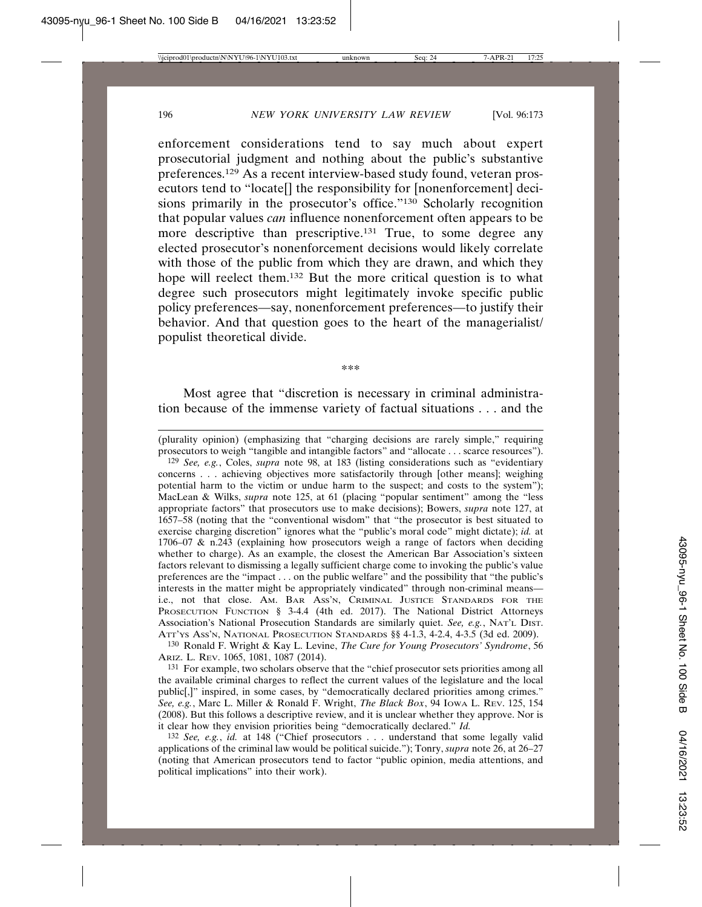enforcement considerations tend to say much about expert prosecutorial judgment and nothing about the public's substantive preferences.129 As a recent interview-based study found, veteran prosecutors tend to "locate[] the responsibility for [nonenforcement] decisions primarily in the prosecutor's office."130 Scholarly recognition that popular values *can* influence nonenforcement often appears to be more descriptive than prescriptive.<sup>131</sup> True, to some degree any elected prosecutor's nonenforcement decisions would likely correlate with those of the public from which they are drawn, and which they hope will reelect them.132 But the more critical question is to what degree such prosecutors might legitimately invoke specific public policy preferences—say, nonenforcement preferences—to justify their behavior. And that question goes to the heart of the managerialist/ populist theoretical divide.

\*\*\*

Most agree that "discretion is necessary in criminal administration because of the immense variety of factual situations . . . and the

129 *See, e.g.*, Coles, *supra* note 98, at 183 (listing considerations such as "evidentiary concerns . . . achieving objectives more satisfactorily through [other means]; weighing potential harm to the victim or undue harm to the suspect; and costs to the system"); MacLean & Wilks, *supra* note 125, at 61 (placing "popular sentiment" among the "less appropriate factors" that prosecutors use to make decisions); Bowers, *supra* note 127, at 1657–58 (noting that the "conventional wisdom" that "the prosecutor is best situated to exercise charging discretion" ignores what the "public's moral code" might dictate); *id.* at 1706–07 & n.243 (explaining how prosecutors weigh a range of factors when deciding whether to charge). As an example, the closest the American Bar Association's sixteen factors relevant to dismissing a legally sufficient charge come to invoking the public's value preferences are the "impact . . . on the public welfare" and the possibility that "the public's interests in the matter might be appropriately vindicated" through non-criminal means i.e., not that close. AM. BAR ASS'N, CRIMINAL JUSTICE STANDARDS FOR THE PROSECUTION FUNCTION § 3-4.4 (4th ed. 2017). The National District Attorneys Association's National Prosecution Standards are similarly quiet. *See, e.g.*, NAT'L DIST. ATT'YS ASS'N, NATIONAL PROSECUTION STANDARDS §§ 4-1.3, 4-2.4, 4-3.5 (3d ed. 2009).

130 Ronald F. Wright & Kay L. Levine, *The Cure for Young Prosecutors' Syndrome*, 56 ARIZ. L. REV. 1065, 1081, 1087 (2014).

131 For example, two scholars observe that the "chief prosecutor sets priorities among all the available criminal charges to reflect the current values of the legislature and the local public[,]" inspired, in some cases, by "democratically declared priorities among crimes." *See, e.g.*, Marc L. Miller & Ronald F. Wright, *The Black Box*, 94 IOWA L. REV. 125, 154 (2008). But this follows a descriptive review, and it is unclear whether they approve. Nor is it clear how they envision priorities being "democratically declared." *Id.*

132 *See, e.g.*, *id.* at 148 ("Chief prosecutors . . . understand that some legally valid applications of the criminal law would be political suicide."); Tonry, *supra* note 26, at 26–27 (noting that American prosecutors tend to factor "public opinion, media attentions, and political implications" into their work).

<sup>(</sup>plurality opinion) (emphasizing that "charging decisions are rarely simple," requiring prosecutors to weigh "tangible and intangible factors" and "allocate . . . scarce resources").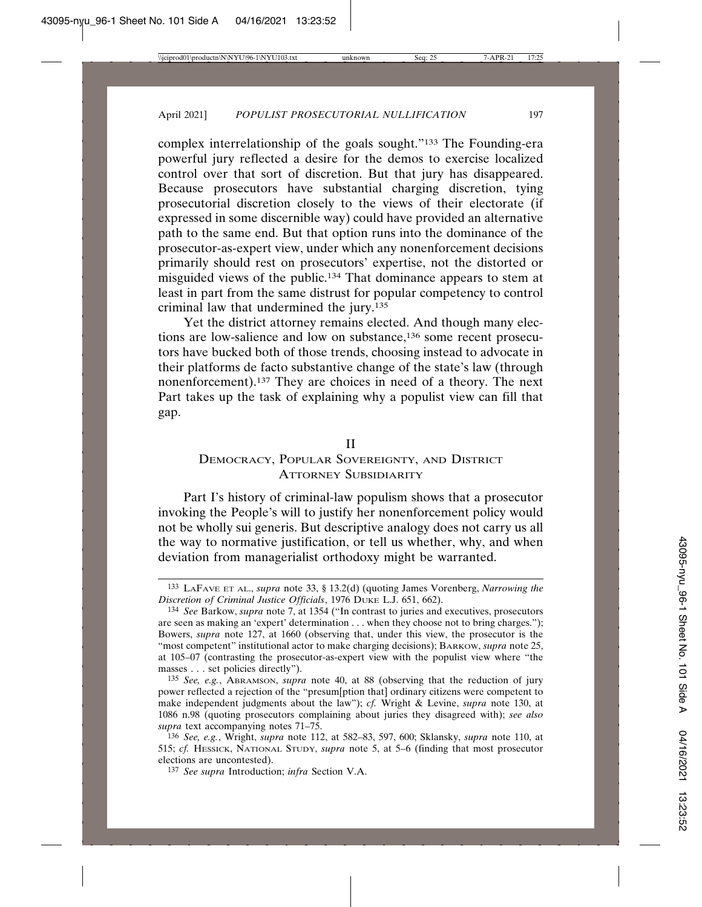complex interrelationship of the goals sought."133 The Founding-era powerful jury reflected a desire for the demos to exercise localized control over that sort of discretion. But that jury has disappeared. Because prosecutors have substantial charging discretion, tying prosecutorial discretion closely to the views of their electorate (if expressed in some discernible way) could have provided an alternative path to the same end. But that option runs into the dominance of the prosecutor-as-expert view, under which any nonenforcement decisions primarily should rest on prosecutors' expertise, not the distorted or misguided views of the public.134 That dominance appears to stem at least in part from the same distrust for popular competency to control criminal law that undermined the jury.135

Yet the district attorney remains elected. And though many elections are low-salience and low on substance,<sup>136</sup> some recent prosecutors have bucked both of those trends, choosing instead to advocate in their platforms de facto substantive change of the state's law (through nonenforcement).137 They are choices in need of a theory. The next Part takes up the task of explaining why a populist view can fill that gap.

#### II

# DEMOCRACY, POPULAR SOVEREIGNTY, AND DISTRICT ATTORNEY SUBSIDIARITY

Part I's history of criminal-law populism shows that a prosecutor invoking the People's will to justify her nonenforcement policy would not be wholly sui generis. But descriptive analogy does not carry us all the way to normative justification, or tell us whether, why, and when deviation from managerialist orthodoxy might be warranted.

<sup>133</sup> LAFAVE ET AL., *supra* note 33, § 13.2(d) (quoting James Vorenberg, *Narrowing the Discretion of Criminal Justice Officials*, 1976 DUKE L.J. 651, 662).

<sup>134</sup> *See* Barkow, *supra* note 7, at 1354 ("In contrast to juries and executives, prosecutors are seen as making an 'expert' determination . . . when they choose not to bring charges."); Bowers, *supra* note 127, at 1660 (observing that, under this view, the prosecutor is the "most competent" institutional actor to make charging decisions); BARKOW, *supra* note 25, at 105–07 (contrasting the prosecutor-as-expert view with the populist view where "the masses . . . set policies directly").

<sup>135</sup> *See, e.g.*, ABRAMSON, *supra* note 40, at 88 (observing that the reduction of jury power reflected a rejection of the "presum[ption that] ordinary citizens were competent to make independent judgments about the law"); *cf.* Wright & Levine, *supra* note 130, at 1086 n.98 (quoting prosecutors complaining about juries they disagreed with); *see also supra* text accompanying notes 71–75.

<sup>136</sup> *See, e.g.*, Wright, *supra* note 112, at 582–83, 597, 600; Sklansky, *supra* note 110, at 515; *cf.* HESSICK, NATIONAL STUDY, *supra* note 5, at 5–6 (finding that most prosecutor elections are uncontested).

<sup>137</sup> *See supra* Introduction; *infra* Section V.A.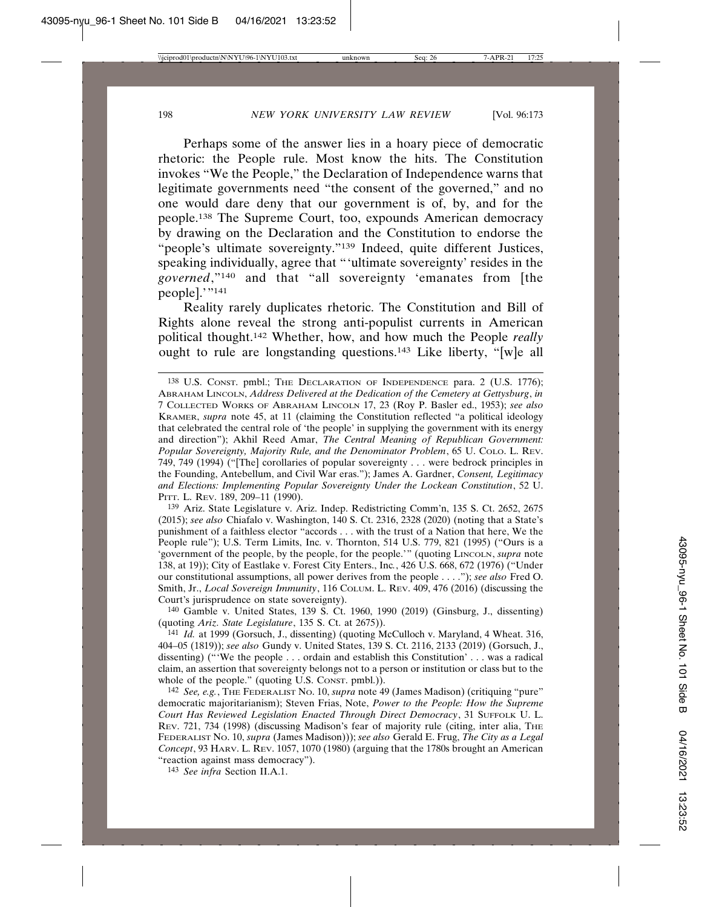Perhaps some of the answer lies in a hoary piece of democratic rhetoric: the People rule. Most know the hits. The Constitution invokes "We the People," the Declaration of Independence warns that legitimate governments need "the consent of the governed," and no one would dare deny that our government is of, by, and for the people.138 The Supreme Court, too, expounds American democracy by drawing on the Declaration and the Constitution to endorse the "people's ultimate sovereignty."139 Indeed, quite different Justices, speaking individually, agree that "'ultimate sovereignty' resides in the *governed*,"140 and that "all sovereignty 'emanates from [the people].'"141

Reality rarely duplicates rhetoric. The Constitution and Bill of Rights alone reveal the strong anti-populist currents in American political thought.142 Whether, how, and how much the People *really* ought to rule are longstanding questions.143 Like liberty, "[w]e all

139 Ariz. State Legislature v. Ariz. Indep. Redistricting Comm'n, 135 S. Ct. 2652, 2675 (2015); *see also* Chiafalo v. Washington, 140 S. Ct. 2316, 2328 (2020) (noting that a State's punishment of a faithless elector "accords . . . with the trust of a Nation that here, We the People rule"); U.S. Term Limits, Inc. v. Thornton, 514 U.S. 779, 821 (1995) ("Ours is a 'government of the people, by the people, for the people.'" (quoting LINCOLN, *supra* note 138, at 19)); City of Eastlake v. Forest City Enters., Inc*.*, 426 U.S. 668, 672 (1976) ("Under our constitutional assumptions, all power derives from the people . . . ."); *see also* Fred O. Smith, Jr., *Local Sovereign Immunity*, 116 COLUM. L. REV. 409, 476 (2016) (discussing the Court's jurisprudence on state sovereignty).

140 Gamble v. United States, 139 S. Ct. 1960, 1990 (2019) (Ginsburg, J., dissenting) (quoting *Ariz. State Legislature*, 135 S. Ct. at 2675)).

141 *Id.* at 1999 (Gorsuch, J., dissenting) (quoting McCulloch v. Maryland, 4 Wheat. 316, 404–05 (1819)); *see also* Gundy v. United States, 139 S. Ct. 2116, 2133 (2019) (Gorsuch, J., dissenting) ("'We the people . . . ordain and establish this Constitution' . . . was a radical claim, an assertion that sovereignty belongs not to a person or institution or class but to the whole of the people." (quoting U.S. CONST. pmbl.)).

142 *See, e.g.*, THE FEDERALIST NO. 10, *supra* note 49 (James Madison) (critiquing "pure" democratic majoritarianism); Steven Frias, Note, *Power to the People: How the Supreme Court Has Reviewed Legislation Enacted Through Direct Democracy*, 31 SUFFOLK U. L. REV. 721, 734 (1998) (discussing Madison's fear of majority rule (citing, inter alia, THE FEDERALIST NO. 10, *supra* (James Madison))); *see also* Gerald E. Frug, *The City as a Legal Concept*, 93 HARV. L. REV. 1057, 1070 (1980) (arguing that the 1780s brought an American "reaction against mass democracy").

143 *See infra* Section II.A.1.

<sup>138</sup> U.S. CONST. pmbl.; THE DECLARATION OF INDEPENDENCE para. 2 (U.S. 1776); ABRAHAM LINCOLN, *Address Delivered at the Dedication of the Cemetery at Gettysburg*, *in* 7 COLLECTED WORKS OF ABRAHAM LINCOLN 17, 23 (Roy P. Basler ed., 1953); *see also* KRAMER, *supra* note 45, at 11 (claiming the Constitution reflected "a political ideology that celebrated the central role of 'the people' in supplying the government with its energy and direction"); Akhil Reed Amar, *The Central Meaning of Republican Government: Popular Sovereignty, Majority Rule, and the Denominator Problem*, 65 U. COLO. L. REV. 749, 749 (1994) ("[The] corollaries of popular sovereignty . . . were bedrock principles in the Founding, Antebellum, and Civil War eras."); James A. Gardner, *Consent, Legitimacy and Elections: Implementing Popular Sovereignty Under the Lockean Constitution*, 52 U. PITT. L. REV. 189, 209-11 (1990).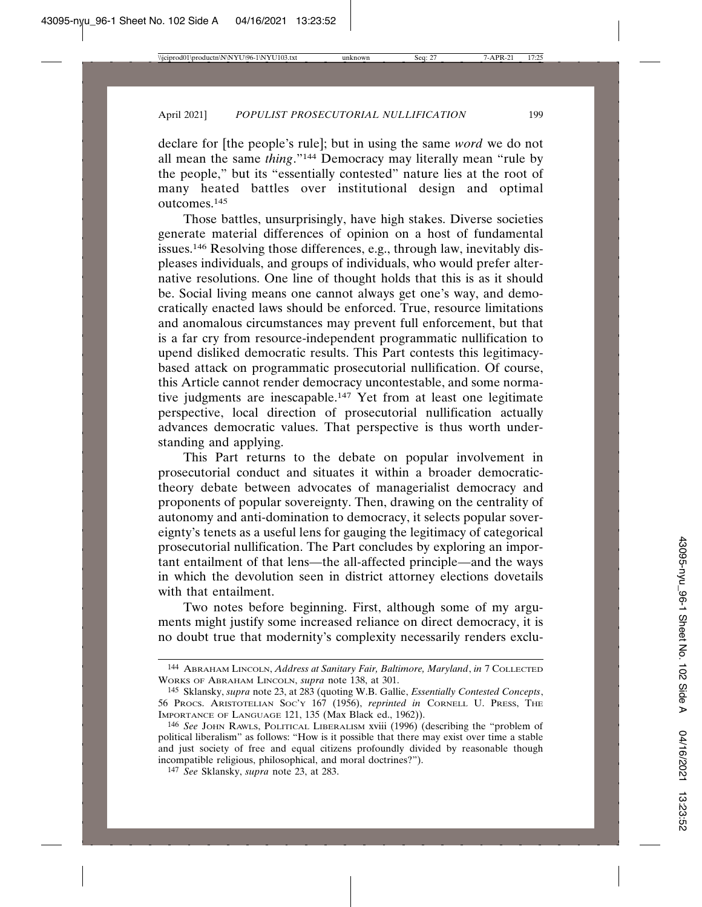declare for [the people's rule]; but in using the same *word* we do not all mean the same *thing*."144 Democracy may literally mean "rule by the people," but its "essentially contested" nature lies at the root of many heated battles over institutional design and optimal outcomes.145

Those battles, unsurprisingly, have high stakes. Diverse societies generate material differences of opinion on a host of fundamental issues.146 Resolving those differences, e.g., through law, inevitably displeases individuals, and groups of individuals, who would prefer alternative resolutions. One line of thought holds that this is as it should be. Social living means one cannot always get one's way, and democratically enacted laws should be enforced. True, resource limitations and anomalous circumstances may prevent full enforcement, but that is a far cry from resource-independent programmatic nullification to upend disliked democratic results. This Part contests this legitimacybased attack on programmatic prosecutorial nullification. Of course, this Article cannot render democracy uncontestable, and some normative judgments are inescapable.147 Yet from at least one legitimate perspective, local direction of prosecutorial nullification actually advances democratic values. That perspective is thus worth understanding and applying.

This Part returns to the debate on popular involvement in prosecutorial conduct and situates it within a broader democratictheory debate between advocates of managerialist democracy and proponents of popular sovereignty. Then, drawing on the centrality of autonomy and anti-domination to democracy, it selects popular sovereignty's tenets as a useful lens for gauging the legitimacy of categorical prosecutorial nullification. The Part concludes by exploring an important entailment of that lens—the all-affected principle—and the ways in which the devolution seen in district attorney elections dovetails with that entailment.

Two notes before beginning. First, although some of my arguments might justify some increased reliance on direct democracy, it is no doubt true that modernity's complexity necessarily renders exclu-

<sup>144</sup> ABRAHAM LINCOLN, *Address at Sanitary Fair, Baltimore, Maryland*, *in* 7 COLLECTED WORKS OF ABRAHAM LINCOLN, *supra* note 138, at 301.

<sup>145</sup> Sklansky, *supra* note 23, at 283 (quoting W.B. Gallie, *Essentially Contested Concepts*, 56 PROCS. ARISTOTELIAN SOC'Y 167 (1956), *reprinted in* CORNELL U. PRESS, THE IMPORTANCE OF LANGUAGE 121, 135 (Max Black ed., 1962)).

<sup>146</sup> *See* JOHN RAWLS, POLITICAL LIBERALISM xviii (1996) (describing the "problem of political liberalism" as follows: "How is it possible that there may exist over time a stable and just society of free and equal citizens profoundly divided by reasonable though incompatible religious, philosophical, and moral doctrines?").

<sup>147</sup> *See* Sklansky, *supra* note 23, at 283.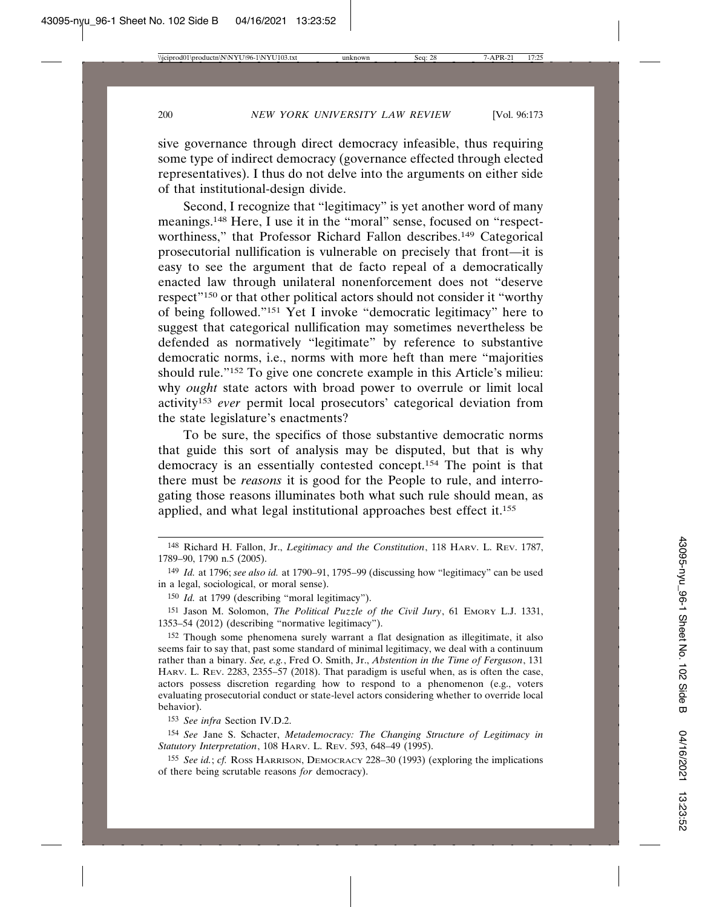sive governance through direct democracy infeasible, thus requiring some type of indirect democracy (governance effected through elected representatives). I thus do not delve into the arguments on either side of that institutional-design divide.

Second, I recognize that "legitimacy" is yet another word of many meanings.148 Here, I use it in the "moral" sense, focused on "respectworthiness," that Professor Richard Fallon describes.<sup>149</sup> Categorical prosecutorial nullification is vulnerable on precisely that front—it is easy to see the argument that de facto repeal of a democratically enacted law through unilateral nonenforcement does not "deserve respect"150 or that other political actors should not consider it "worthy of being followed."151 Yet I invoke "democratic legitimacy" here to suggest that categorical nullification may sometimes nevertheless be defended as normatively "legitimate" by reference to substantive democratic norms, i.e., norms with more heft than mere "majorities should rule."152 To give one concrete example in this Article's milieu: why *ought* state actors with broad power to overrule or limit local activity153 *ever* permit local prosecutors' categorical deviation from the state legislature's enactments?

To be sure, the specifics of those substantive democratic norms that guide this sort of analysis may be disputed, but that is why democracy is an essentially contested concept.154 The point is that there must be *reasons* it is good for the People to rule, and interrogating those reasons illuminates both what such rule should mean, as applied, and what legal institutional approaches best effect it.155

152 Though some phenomena surely warrant a flat designation as illegitimate, it also seems fair to say that, past some standard of minimal legitimacy, we deal with a continuum rather than a binary. *See, e.g.*, Fred O. Smith, Jr., *Abstention in the Time of Ferguson*, 131 HARV. L. REV. 2283, 2355–57 (2018). That paradigm is useful when, as is often the case, actors possess discretion regarding how to respond to a phenomenon (e.g., voters evaluating prosecutorial conduct or state-level actors considering whether to override local behavior).

153 *See infra* Section IV.D.2.

154 *See* Jane S. Schacter, *Metademocracy: The Changing Structure of Legitimacy in Statutory Interpretation*, 108 HARV. L. REV. 593, 648–49 (1995).

155 *See id.*; *cf.* ROSS HARRISON, DEMOCRACY 228–30 (1993) (exploring the implications of there being scrutable reasons *for* democracy).

<sup>148</sup> Richard H. Fallon, Jr., *Legitimacy and the Constitution*, 118 HARV. L. REV. 1787, 1789–90, 1790 n.5 (2005).

<sup>149</sup> *Id.* at 1796; *see also id.* at 1790–91, 1795–99 (discussing how "legitimacy" can be used in a legal, sociological, or moral sense).

<sup>150</sup> *Id.* at 1799 (describing "moral legitimacy").

<sup>151</sup> Jason M. Solomon, *The Political Puzzle of the Civil Jury*, 61 EMORY L.J. 1331, 1353–54 (2012) (describing "normative legitimacy").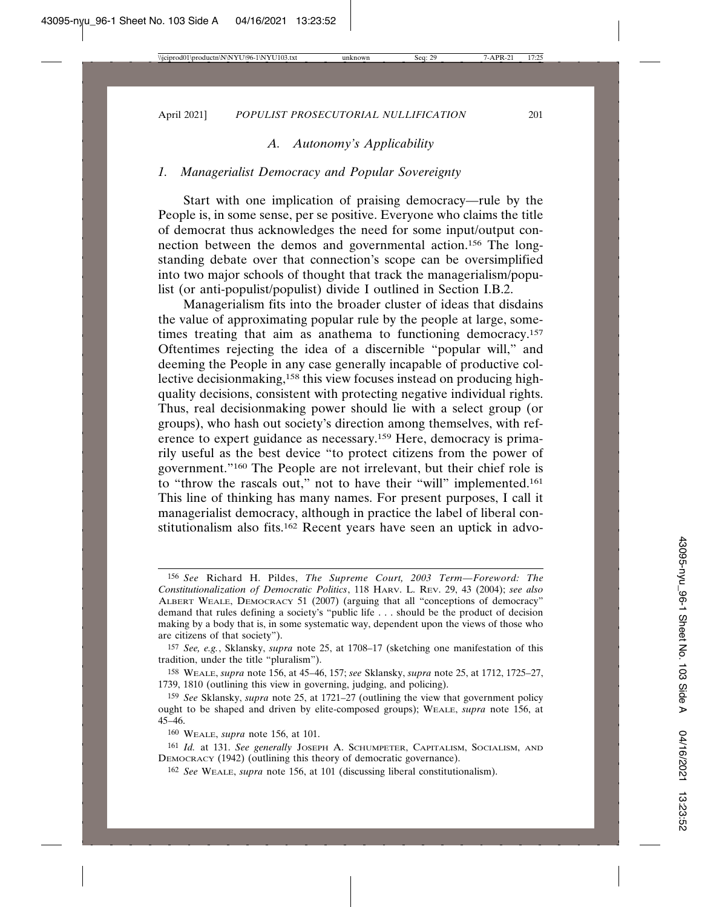## *A. Autonomy's Applicability*

#### *1. Managerialist Democracy and Popular Sovereignty*

Start with one implication of praising democracy—rule by the People is, in some sense, per se positive. Everyone who claims the title of democrat thus acknowledges the need for some input/output connection between the demos and governmental action.156 The longstanding debate over that connection's scope can be oversimplified into two major schools of thought that track the managerialism/populist (or anti-populist/populist) divide I outlined in Section I.B.2.

Managerialism fits into the broader cluster of ideas that disdains the value of approximating popular rule by the people at large, sometimes treating that aim as anathema to functioning democracy.<sup>157</sup> Oftentimes rejecting the idea of a discernible "popular will," and deeming the People in any case generally incapable of productive collective decisionmaking,158 this view focuses instead on producing highquality decisions, consistent with protecting negative individual rights. Thus, real decisionmaking power should lie with a select group (or groups), who hash out society's direction among themselves, with reference to expert guidance as necessary.<sup>159</sup> Here, democracy is primarily useful as the best device "to protect citizens from the power of government."160 The People are not irrelevant, but their chief role is to "throw the rascals out," not to have their "will" implemented.161 This line of thinking has many names. For present purposes, I call it managerialist democracy, although in practice the label of liberal constitutionalism also fits.162 Recent years have seen an uptick in advo-

<sup>156</sup> *See* Richard H. Pildes, *The Supreme Court, 2003 Term—Foreword: The Constitutionalization of Democratic Politics*, 118 HARV. L. REV. 29, 43 (2004); *see also* ALBERT WEALE, DEMOCRACY 51 (2007) (arguing that all "conceptions of democracy" demand that rules defining a society's "public life . . . should be the product of decision making by a body that is, in some systematic way, dependent upon the views of those who are citizens of that society").

<sup>157</sup> *See, e.g.*, Sklansky, *supra* note 25, at 1708–17 (sketching one manifestation of this tradition, under the title "pluralism").

<sup>158</sup> WEALE, *supra* note 156, at 45–46, 157; *see* Sklansky, *supra* note 25, at 1712, 1725–27, 1739, 1810 (outlining this view in governing, judging, and policing).

<sup>159</sup> *See* Sklansky, *supra* note 25, at 1721–27 (outlining the view that government policy ought to be shaped and driven by elite-composed groups); WEALE, *supra* note 156, at 45–46.

<sup>160</sup> WEALE, *supra* note 156, at 101.

<sup>161</sup> *Id.* at 131. *See generally* JOSEPH A. SCHUMPETER, CAPITALISM, SOCIALISM, AND DEMOCRACY (1942) (outlining this theory of democratic governance).

<sup>162</sup> *See* WEALE, *supra* note 156, at 101 (discussing liberal constitutionalism).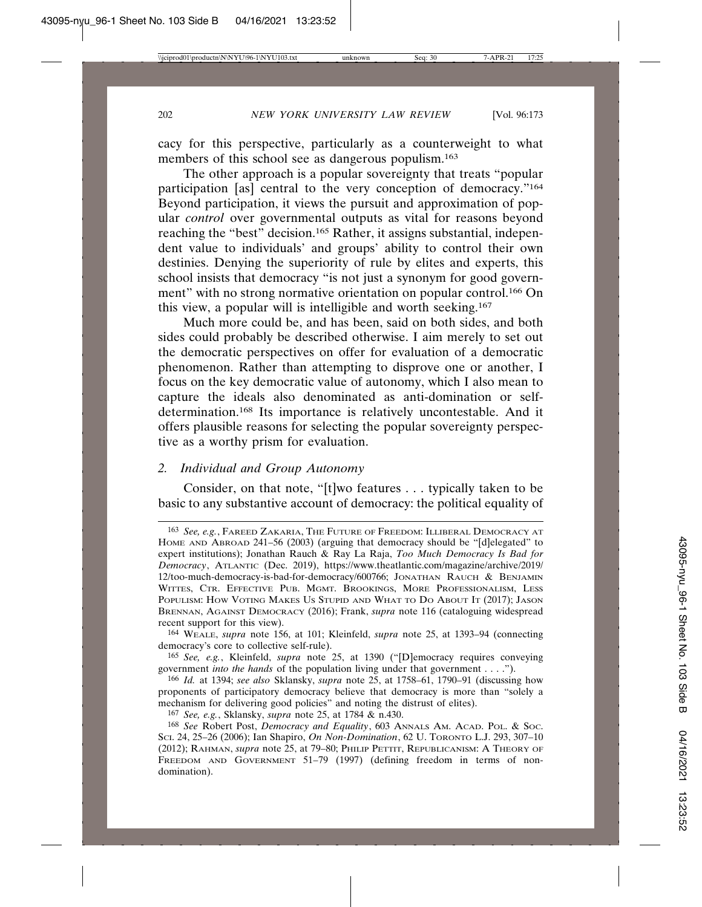cacy for this perspective, particularly as a counterweight to what members of this school see as dangerous populism.<sup>163</sup>

The other approach is a popular sovereignty that treats "popular participation [as] central to the very conception of democracy."164 Beyond participation, it views the pursuit and approximation of popular *control* over governmental outputs as vital for reasons beyond reaching the "best" decision.165 Rather, it assigns substantial, independent value to individuals' and groups' ability to control their own destinies. Denying the superiority of rule by elites and experts, this school insists that democracy "is not just a synonym for good government" with no strong normative orientation on popular control.<sup>166</sup> On this view, a popular will is intelligible and worth seeking.167

Much more could be, and has been, said on both sides, and both sides could probably be described otherwise. I aim merely to set out the democratic perspectives on offer for evaluation of a democratic phenomenon. Rather than attempting to disprove one or another, I focus on the key democratic value of autonomy, which I also mean to capture the ideals also denominated as anti-domination or selfdetermination.168 Its importance is relatively uncontestable. And it offers plausible reasons for selecting the popular sovereignty perspective as a worthy prism for evaluation.

#### *2. Individual and Group Autonomy*

Consider, on that note, "[t]wo features . . . typically taken to be basic to any substantive account of democracy: the political equality of

164 WEALE, *supra* note 156, at 101; Kleinfeld, *supra* note 25, at 1393–94 (connecting democracy's core to collective self-rule).

165 *See, e.g.*, Kleinfeld, *supra* note 25, at 1390 ("[D]emocracy requires conveying government *into the hands* of the population living under that government . . . .").

166 *Id.* at 1394; *see also* Sklansky, *supra* note 25, at 1758–61, 1790–91 (discussing how proponents of participatory democracy believe that democracy is more than "solely a mechanism for delivering good policies" and noting the distrust of elites).

167 *See, e.g.*, Sklansky, *supra* note 25, at 1784 & n.430.

168 *See* Robert Post, *Democracy and Equality*, 603 ANNALS AM. ACAD. POL. & SOC. SCI. 24, 25–26 (2006); Ian Shapiro, *On Non-Domination*, 62 U. TORONTO L.J. 293, 307–10 (2012); RAHMAN, *supra* note 25, at 79–80; PHILIP PETTIT, REPUBLICANISM: A THEORY OF FREEDOM AND GOVERNMENT 51-79 (1997) (defining freedom in terms of nondomination).

<sup>163</sup> *See, e.g.*, FAREED ZAKARIA, THE FUTURE OF FREEDOM: ILLIBERAL DEMOCRACY AT HOME AND ABROAD 241–56 (2003) (arguing that democracy should be "[d]elegated" to expert institutions); Jonathan Rauch & Ray La Raja, *Too Much Democracy Is Bad for Democracy*, ATLANTIC (Dec. 2019), https://www.theatlantic.com/magazine/archive/2019/ 12/too-much-democracy-is-bad-for-democracy/600766; JONATHAN RAUCH & BENJAMIN WITTES, CTR. EFFECTIVE PUB. MGMT. BROOKINGS, MORE PROFESSIONALISM, LESS POPULISM: HOW VOTING MAKES US STUPID AND WHAT TO DO ABOUT IT (2017); JASON BRENNAN, AGAINST DEMOCRACY (2016); Frank, *supra* note 116 (cataloguing widespread recent support for this view).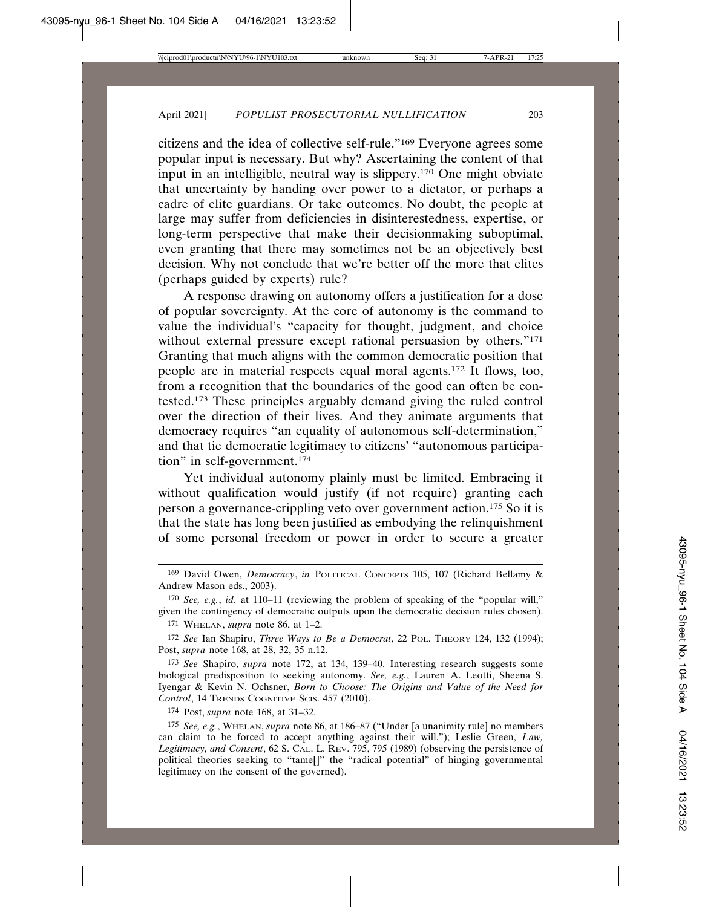citizens and the idea of collective self-rule."169 Everyone agrees some popular input is necessary. But why? Ascertaining the content of that input in an intelligible, neutral way is slippery.170 One might obviate that uncertainty by handing over power to a dictator, or perhaps a cadre of elite guardians. Or take outcomes. No doubt, the people at large may suffer from deficiencies in disinterestedness, expertise, or long-term perspective that make their decisionmaking suboptimal, even granting that there may sometimes not be an objectively best decision. Why not conclude that we're better off the more that elites (perhaps guided by experts) rule?

A response drawing on autonomy offers a justification for a dose of popular sovereignty. At the core of autonomy is the command to value the individual's "capacity for thought, judgment, and choice without external pressure except rational persuasion by others."<sup>171</sup> Granting that much aligns with the common democratic position that people are in material respects equal moral agents.172 It flows, too, from a recognition that the boundaries of the good can often be contested.173 These principles arguably demand giving the ruled control over the direction of their lives. And they animate arguments that democracy requires "an equality of autonomous self-determination," and that tie democratic legitimacy to citizens' "autonomous participation" in self-government.174

Yet individual autonomy plainly must be limited. Embracing it without qualification would justify (if not require) granting each person a governance-crippling veto over government action.175 So it is that the state has long been justified as embodying the relinquishment of some personal freedom or power in order to secure a greater

172 *See* Ian Shapiro, *Three Ways to Be a Democrat*, 22 POL. THEORY 124, 132 (1994); Post, *supra* note 168, at 28, 32, 35 n.12.

173 *See* Shapiro, *supra* note 172, at 134, 139–40. Interesting research suggests some biological predisposition to seeking autonomy. *See, e.g.*, Lauren A. Leotti, Sheena S. Iyengar & Kevin N. Ochsner, *Born to Choose: The Origins and Value of the Need for Control*, 14 TRENDS COGNITIVE SCIS. 457 (2010).

174 Post, *supra* note 168, at 31–32.

<sup>169</sup> David Owen, *Democracy*, *in* POLITICAL CONCEPTS 105, 107 (Richard Bellamy & Andrew Mason eds., 2003).

<sup>170</sup> *See, e.g.*, *id.* at 110–11 (reviewing the problem of speaking of the "popular will," given the contingency of democratic outputs upon the democratic decision rules chosen).

<sup>171</sup> WHELAN, *supra* note 86, at 1–2.

<sup>175</sup> *See, e.g.*, WHELAN, *supra* note 86, at 186–87 ("Under [a unanimity rule] no members can claim to be forced to accept anything against their will."); Leslie Green, *Law, Legitimacy, and Consent*, 62 S. CAL. L. REV. 795, 795 (1989) (observing the persistence of political theories seeking to "tame[]" the "radical potential" of hinging governmental legitimacy on the consent of the governed).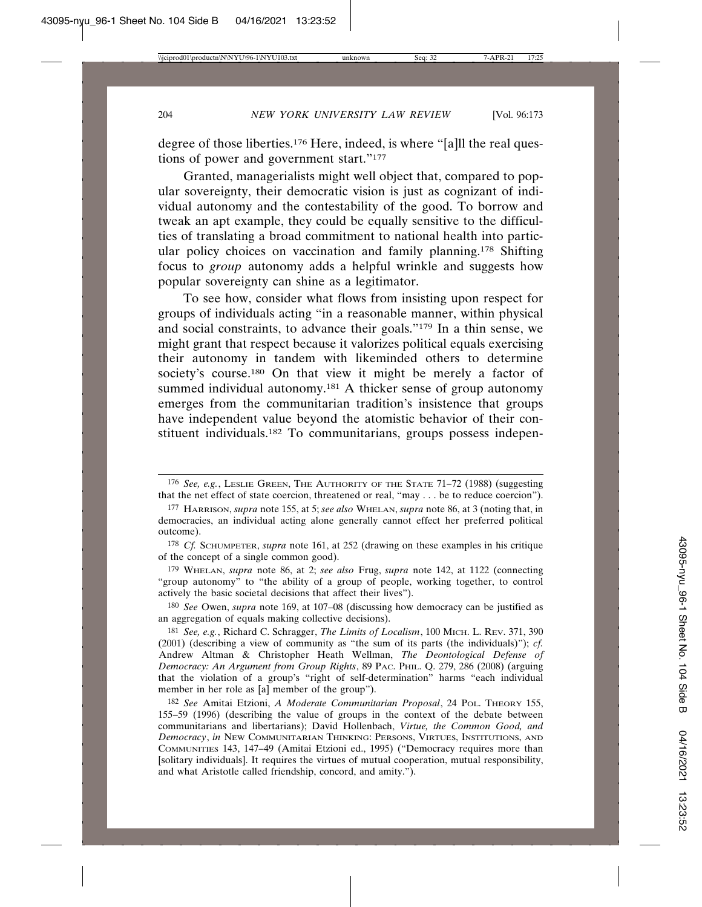degree of those liberties.<sup>176</sup> Here, indeed, is where "[a]ll the real questions of power and government start."177

Granted, managerialists might well object that, compared to popular sovereignty, their democratic vision is just as cognizant of individual autonomy and the contestability of the good. To borrow and tweak an apt example, they could be equally sensitive to the difficulties of translating a broad commitment to national health into particular policy choices on vaccination and family planning.178 Shifting focus to *group* autonomy adds a helpful wrinkle and suggests how popular sovereignty can shine as a legitimator.

To see how, consider what flows from insisting upon respect for groups of individuals acting "in a reasonable manner, within physical and social constraints, to advance their goals."179 In a thin sense, we might grant that respect because it valorizes political equals exercising their autonomy in tandem with likeminded others to determine society's course.<sup>180</sup> On that view it might be merely a factor of summed individual autonomy.<sup>181</sup> A thicker sense of group autonomy emerges from the communitarian tradition's insistence that groups have independent value beyond the atomistic behavior of their constituent individuals.182 To communitarians, groups possess indepen-

179 WHELAN, *supra* note 86, at 2; *see also* Frug, *supra* note 142, at 1122 (connecting "group autonomy" to "the ability of a group of people, working together, to control actively the basic societal decisions that affect their lives").

180 *See* Owen, *supra* note 169, at 107–08 (discussing how democracy can be justified as an aggregation of equals making collective decisions).

181 *See, e.g.*, Richard C. Schragger, *The Limits of Localism*, 100 MICH. L. REV. 371, 390 (2001) (describing a view of community as "the sum of its parts (the individuals)"); *cf.* Andrew Altman & Christopher Heath Wellman, *The Deontological Defense of Democracy: An Argument from Group Rights*, 89 PAC. PHIL. Q. 279, 286 (2008) (arguing that the violation of a group's "right of self-determination" harms "each individual member in her role as [a] member of the group").

182 *See* Amitai Etzioni, *A Moderate Communitarian Proposal*, 24 POL. THEORY 155, 155–59 (1996) (describing the value of groups in the context of the debate between communitarians and libertarians); David Hollenbach, *Virtue, the Common Good, and Democracy*, *in* NEW COMMUNITARIAN THINKING: PERSONS, VIRTUES, INSTITUTIONS, AND COMMUNITIES 143, 147–49 (Amitai Etzioni ed., 1995) ("Democracy requires more than [solitary individuals]. It requires the virtues of mutual cooperation, mutual responsibility, and what Aristotle called friendship, concord, and amity.").

<sup>176</sup> *See, e.g.*, LESLIE GREEN, THE AUTHORITY OF THE STATE 71–72 (1988) (suggesting that the net effect of state coercion, threatened or real, "may . . . be to reduce coercion").

<sup>177</sup> HARRISON, *supra* note 155, at 5; *see also* WHELAN, *supra* note 86, at 3 (noting that, in democracies, an individual acting alone generally cannot effect her preferred political outcome).

<sup>178</sup> *Cf.* SCHUMPETER, *supra* note 161, at 252 (drawing on these examples in his critique of the concept of a single common good).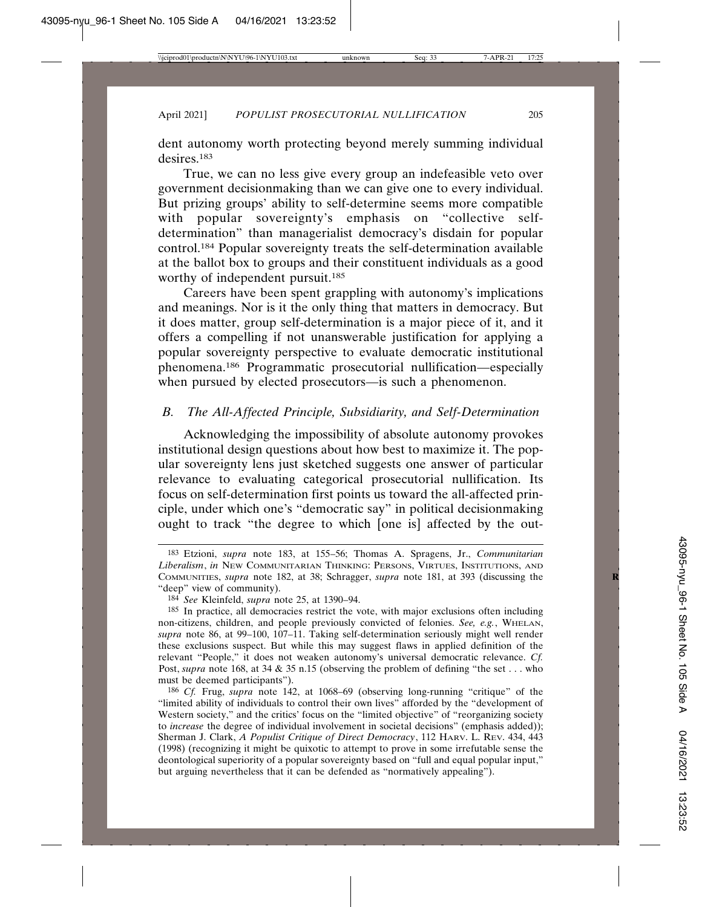dent autonomy worth protecting beyond merely summing individual desires<sup>183</sup>

True, we can no less give every group an indefeasible veto over government decisionmaking than we can give one to every individual. But prizing groups' ability to self-determine seems more compatible with popular sovereignty's emphasis on "collective selfdetermination" than managerialist democracy's disdain for popular control.184 Popular sovereignty treats the self-determination available at the ballot box to groups and their constituent individuals as a good worthy of independent pursuit.<sup>185</sup>

Careers have been spent grappling with autonomy's implications and meanings. Nor is it the only thing that matters in democracy. But it does matter, group self-determination is a major piece of it, and it offers a compelling if not unanswerable justification for applying a popular sovereignty perspective to evaluate democratic institutional phenomena.186 Programmatic prosecutorial nullification—especially when pursued by elected prosecutors—is such a phenomenon.

### *B. The All-Affected Principle, Subsidiarity, and Self-Determination*

Acknowledging the impossibility of absolute autonomy provokes institutional design questions about how best to maximize it. The popular sovereignty lens just sketched suggests one answer of particular relevance to evaluating categorical prosecutorial nullification. Its focus on self-determination first points us toward the all-affected principle, under which one's "democratic say" in political decisionmaking ought to track "the degree to which [one is] affected by the out-

<sup>183</sup> Etzioni, *supra* note 183, at 155–56; Thomas A. Spragens, Jr., *Communitarian Liberalism*, *in* NEW COMMUNITARIAN THINKING: PERSONS, VIRTUES, INSTITUTIONS, AND COMMUNITIES, *supra* note 182, at 38; Schragger, *supra* note 181, at 393 (discussing the "deep" view of community).

<sup>184</sup> *See* Kleinfeld, *supra* note 25, at 1390–94.

<sup>185</sup> In practice, all democracies restrict the vote, with major exclusions often including non-citizens, children, and people previously convicted of felonies. *See, e.g.*, WHELAN, *supra* note 86, at 99–100, 107–11. Taking self-determination seriously might well render these exclusions suspect. But while this may suggest flaws in applied definition of the relevant "People," it does not weaken autonomy's universal democratic relevance. *Cf.* Post, *supra* note 168, at 34 & 35 n.15 (observing the problem of defining "the set . . . who must be deemed participants").

<sup>186</sup> *Cf.* Frug, *supra* note 142, at 1068–69 (observing long-running "critique" of the "limited ability of individuals to control their own lives" afforded by the "development of Western society," and the critics' focus on the "limited objective" of "reorganizing society to *increase* the degree of individual involvement in societal decisions" (emphasis added)); Sherman J. Clark, *A Populist Critique of Direct Democracy*, 112 HARV. L. REV. 434, 443 (1998) (recognizing it might be quixotic to attempt to prove in some irrefutable sense the deontological superiority of a popular sovereignty based on "full and equal popular input," but arguing nevertheless that it can be defended as "normatively appealing").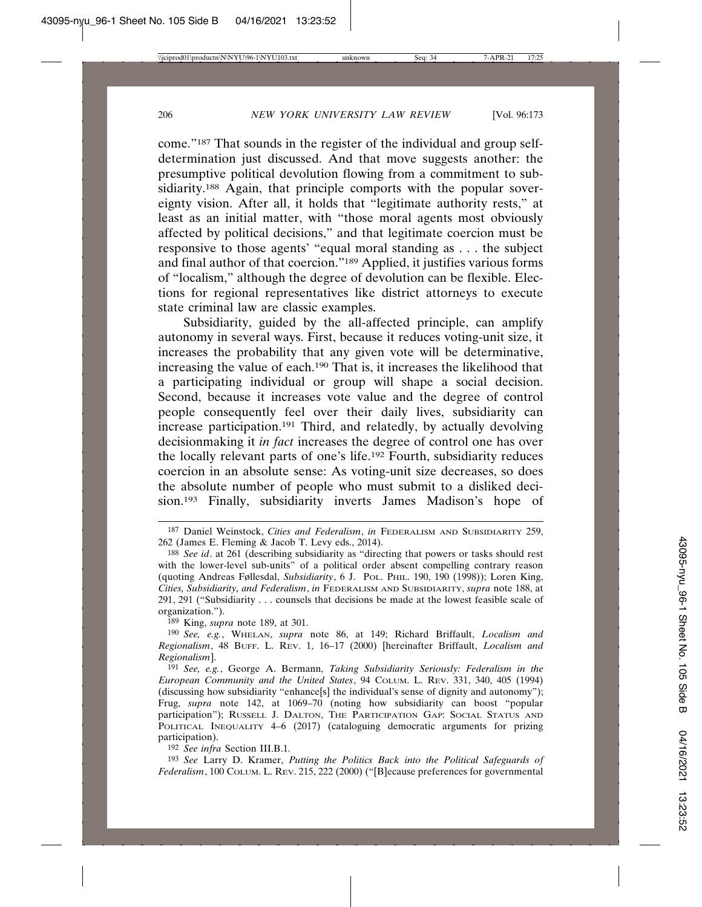come."187 That sounds in the register of the individual and group selfdetermination just discussed. And that move suggests another: the presumptive political devolution flowing from a commitment to subsidiarity.<sup>188</sup> Again, that principle comports with the popular sovereignty vision. After all, it holds that "legitimate authority rests," at least as an initial matter, with "those moral agents most obviously affected by political decisions," and that legitimate coercion must be responsive to those agents' "equal moral standing as . . . the subject and final author of that coercion."189 Applied, it justifies various forms of "localism," although the degree of devolution can be flexible. Elections for regional representatives like district attorneys to execute state criminal law are classic examples.

Subsidiarity, guided by the all-affected principle, can amplify autonomy in several ways. First, because it reduces voting-unit size, it increases the probability that any given vote will be determinative, increasing the value of each.190 That is, it increases the likelihood that a participating individual or group will shape a social decision. Second, because it increases vote value and the degree of control people consequently feel over their daily lives, subsidiarity can increase participation.191 Third, and relatedly, by actually devolving decisionmaking it *in fact* increases the degree of control one has over the locally relevant parts of one's life.192 Fourth, subsidiarity reduces coercion in an absolute sense: As voting-unit size decreases, so does the absolute number of people who must submit to a disliked decision.193 Finally, subsidiarity inverts James Madison's hope of

189 King, *supra* note 189, at 301.

190 *See, e.g.*, WHELAN, *supra* note 86, at 149; Richard Briffault, *Localism and Regionalism*, 48 BUFF. L. REV. 1, 16–17 (2000) [hereinafter Briffault, *Localism and Regionalism*].

191 *See, e.g.*, George A. Bermann, *Taking Subsidiarity Seriously: Federalism in the European Community and the United States*, 94 COLUM. L. REV. 331, 340, 405 (1994) (discussing how subsidiarity "enhance[s] the individual's sense of dignity and autonomy"); Frug, *supra* note 142, at 1069–70 (noting how subsidiarity can boost "popular participation"); RUSSELL J. DALTON, THE PARTICIPATION GAP: SOCIAL STATUS AND POLITICAL INEQUALITY 4–6 (2017) (cataloguing democratic arguments for prizing participation).

192 *See infra* Section III.B.1.

193 *See* Larry D. Kramer, *Putting the Politics Back into the Political Safeguards of Federalism*, 100 COLUM. L. REV. 215, 222 (2000) ("[B]ecause preferences for governmental

<sup>187</sup> Daniel Weinstock, *Cities and Federalism*, *in* FEDERALISM AND SUBSIDIARITY 259, 262 (James E. Fleming & Jacob T. Levy eds., 2014).

<sup>188</sup> *See id*. at 261 (describing subsidiarity as "directing that powers or tasks should rest with the lower-level sub-units" of a political order absent compelling contrary reason (quoting Andreas Føllesdal, *Subsidiarity*, 6 J. POL. PHIL. 190, 190 (1998)); Loren King, *Cities, Subsidiarity, and Federalism*, *in* FEDERALISM AND SUBSIDIARITY, *supra* note 188, at 291, 291 ("Subsidiarity . . . counsels that decisions be made at the lowest feasible scale of organization.").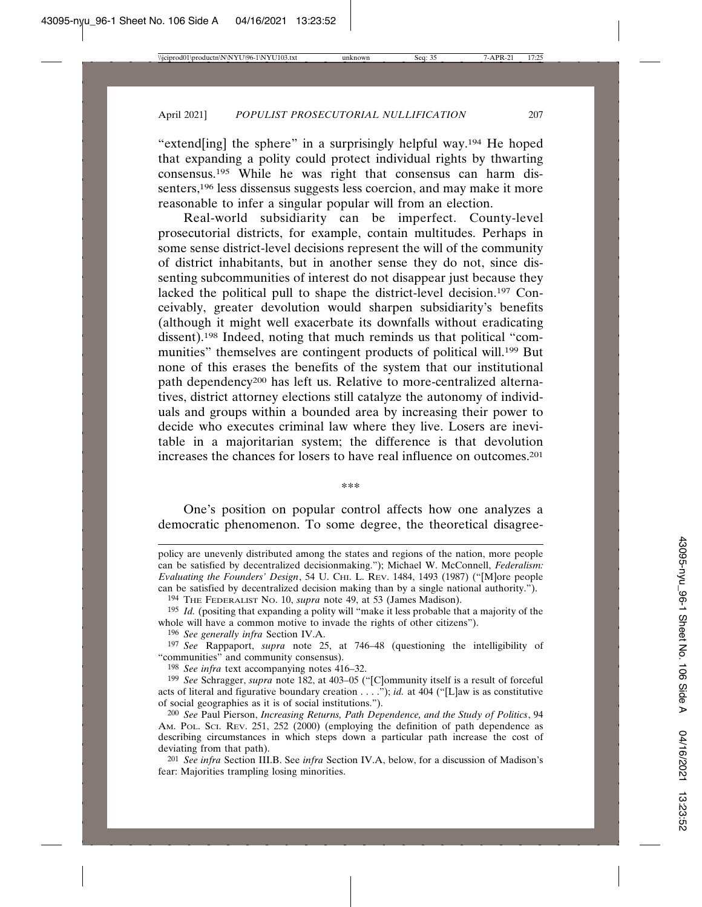"extend[ing] the sphere" in a surprisingly helpful way.194 He hoped that expanding a polity could protect individual rights by thwarting consensus.195 While he was right that consensus can harm dissenters,196 less dissensus suggests less coercion, and may make it more reasonable to infer a singular popular will from an election.

Real-world subsidiarity can be imperfect. County-level prosecutorial districts, for example, contain multitudes. Perhaps in some sense district-level decisions represent the will of the community of district inhabitants, but in another sense they do not, since dissenting subcommunities of interest do not disappear just because they lacked the political pull to shape the district-level decision.197 Conceivably, greater devolution would sharpen subsidiarity's benefits (although it might well exacerbate its downfalls without eradicating dissent).198 Indeed, noting that much reminds us that political "communities" themselves are contingent products of political will.199 But none of this erases the benefits of the system that our institutional path dependency200 has left us. Relative to more-centralized alternatives, district attorney elections still catalyze the autonomy of individuals and groups within a bounded area by increasing their power to decide who executes criminal law where they live. Losers are inevitable in a majoritarian system; the difference is that devolution increases the chances for losers to have real influence on outcomes.201

\*\*\*

One's position on popular control affects how one analyzes a democratic phenomenon. To some degree, the theoretical disagree-

195 *Id.* (positing that expanding a polity will "make it less probable that a majority of the whole will have a common motive to invade the rights of other citizens").

policy are unevenly distributed among the states and regions of the nation, more people can be satisfied by decentralized decisionmaking."); Michael W. McConnell, *Federalism: Evaluating the Founders' Design*, 54 U. CHI. L. REV. 1484, 1493 (1987) ("[M]ore people can be satisfied by decentralized decision making than by a single national authority.").

<sup>194</sup> THE FEDERALIST NO. 10, *supra* note 49, at 53 (James Madison).

<sup>196</sup> *See generally infra* Section IV.A.

<sup>197</sup> *See* Rappaport, *supra* note 25, at 746–48 (questioning the intelligibility of "communities" and community consensus).

<sup>198</sup> *See infra* text accompanying notes 416–32.

<sup>199</sup> *See* Schragger, *supra* note 182, at 403–05 ("[C]ommunity itself is a result of forceful acts of literal and figurative boundary creation . . . ."); *id.* at 404 ("[L]aw is as constitutive of social geographies as it is of social institutions.").

<sup>200</sup> *See* Paul Pierson, *Increasing Returns, Path Dependence, and the Study of Politics*, 94 AM. POL. SCI. REV. 251, 252 (2000) (employing the definition of path dependence as describing circumstances in which steps down a particular path increase the cost of deviating from that path).

<sup>201</sup> *See infra* Section III.B. See *infra* Section IV.A, below, for a discussion of Madison's fear: Majorities trampling losing minorities.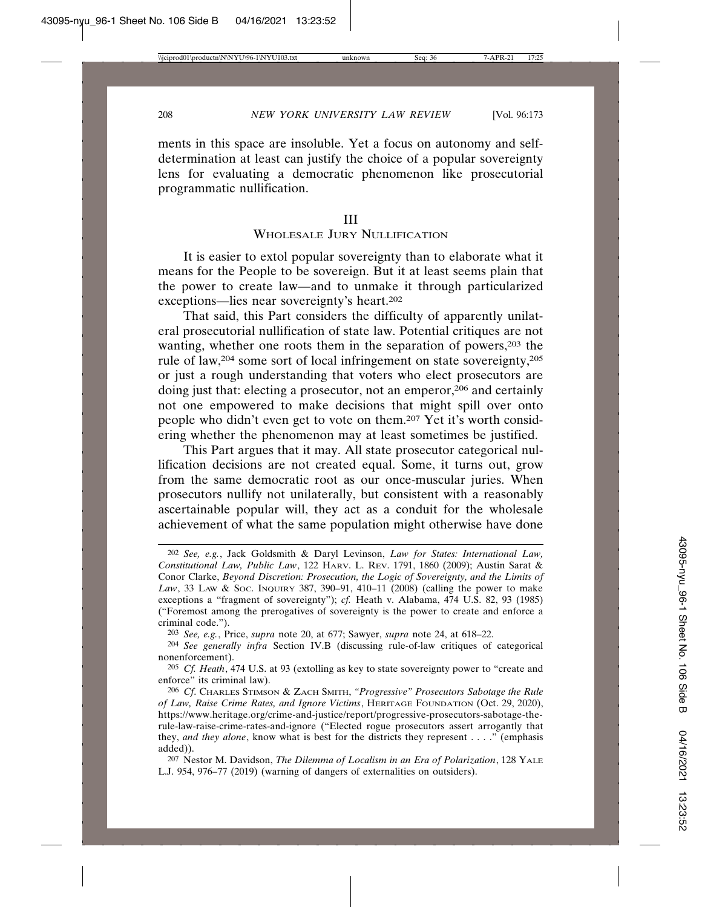ments in this space are insoluble. Yet a focus on autonomy and selfdetermination at least can justify the choice of a popular sovereignty lens for evaluating a democratic phenomenon like prosecutorial programmatic nullification.

#### III

### WHOLESALE JURY NULLIFICATION

It is easier to extol popular sovereignty than to elaborate what it means for the People to be sovereign. But it at least seems plain that the power to create law—and to unmake it through particularized exceptions—lies near sovereignty's heart.202

That said, this Part considers the difficulty of apparently unilateral prosecutorial nullification of state law. Potential critiques are not wanting, whether one roots them in the separation of powers,<sup>203</sup> the rule of law,204 some sort of local infringement on state sovereignty,205 or just a rough understanding that voters who elect prosecutors are doing just that: electing a prosecutor, not an emperor,206 and certainly not one empowered to make decisions that might spill over onto people who didn't even get to vote on them.207 Yet it's worth considering whether the phenomenon may at least sometimes be justified.

This Part argues that it may. All state prosecutor categorical nullification decisions are not created equal. Some, it turns out, grow from the same democratic root as our once-muscular juries. When prosecutors nullify not unilaterally, but consistent with a reasonably ascertainable popular will, they act as a conduit for the wholesale achievement of what the same population might otherwise have done

203 *See, e.g.*, Price, *supra* note 20, at 677; Sawyer, *supra* note 24, at 618–22.

<sup>202</sup> *See, e.g.*, Jack Goldsmith & Daryl Levinson, *Law for States: International Law, Constitutional Law, Public Law*, 122 HARV. L. REV. 1791, 1860 (2009); Austin Sarat & Conor Clarke, *Beyond Discretion: Prosecution, the Logic of Sovereignty, and the Limits of Law*, 33 LAW & SOC. INQUIRY 387, 390–91, 410–11 (2008) (calling the power to make exceptions a "fragment of sovereignty"); *cf.* Heath v. Alabama, 474 U.S. 82, 93 (1985) ("Foremost among the prerogatives of sovereignty is the power to create and enforce a criminal code.").

<sup>204</sup> *See generally infra* Section IV.B (discussing rule-of-law critiques of categorical nonenforcement).

<sup>205</sup> *Cf. Heath*, 474 U.S. at 93 (extolling as key to state sovereignty power to "create and enforce" its criminal law).

<sup>206</sup> *Cf*. CHARLES STIMSON & ZACH SMITH, *"Progressive" Prosecutors Sabotage the Rule of Law, Raise Crime Rates, and Ignore Victims*, HERITAGE FOUNDATION (Oct. 29, 2020), https://www.heritage.org/crime-and-justice/report/progressive-prosecutors-sabotage-therule-law-raise-crime-rates-and-ignore ("Elected rogue prosecutors assert arrogantly that they, *and they alone*, know what is best for the districts they represent . . . ." (emphasis added)).

<sup>207</sup> Nestor M. Davidson, *The Dilemma of Localism in an Era of Polarization*, 128 YALE L.J. 954, 976–77 (2019) (warning of dangers of externalities on outsiders).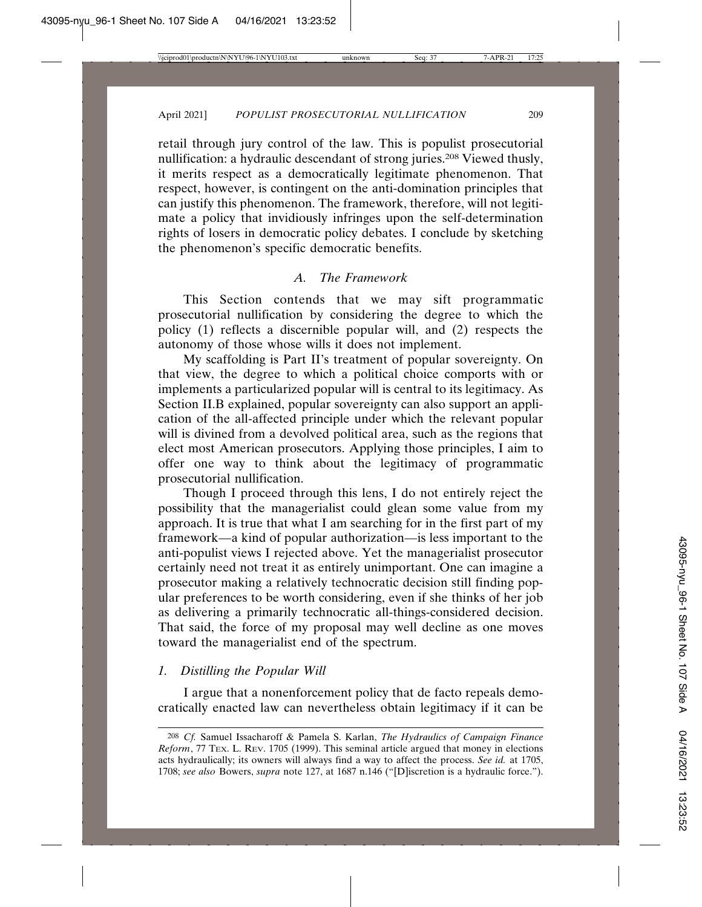retail through jury control of the law. This is populist prosecutorial nullification: a hydraulic descendant of strong juries.208 Viewed thusly, it merits respect as a democratically legitimate phenomenon. That respect, however, is contingent on the anti-domination principles that can justify this phenomenon. The framework, therefore, will not legitimate a policy that invidiously infringes upon the self-determination rights of losers in democratic policy debates. I conclude by sketching the phenomenon's specific democratic benefits.

#### *A. The Framework*

This Section contends that we may sift programmatic prosecutorial nullification by considering the degree to which the policy (1) reflects a discernible popular will, and (2) respects the autonomy of those whose wills it does not implement.

My scaffolding is Part II's treatment of popular sovereignty. On that view, the degree to which a political choice comports with or implements a particularized popular will is central to its legitimacy. As Section II.B explained, popular sovereignty can also support an application of the all-affected principle under which the relevant popular will is divined from a devolved political area, such as the regions that elect most American prosecutors. Applying those principles, I aim to offer one way to think about the legitimacy of programmatic prosecutorial nullification.

Though I proceed through this lens, I do not entirely reject the possibility that the managerialist could glean some value from my approach. It is true that what I am searching for in the first part of my framework—a kind of popular authorization—is less important to the anti-populist views I rejected above. Yet the managerialist prosecutor certainly need not treat it as entirely unimportant. One can imagine a prosecutor making a relatively technocratic decision still finding popular preferences to be worth considering, even if she thinks of her job as delivering a primarily technocratic all-things-considered decision. That said, the force of my proposal may well decline as one moves toward the managerialist end of the spectrum.

#### *1. Distilling the Popular Will*

I argue that a nonenforcement policy that de facto repeals democratically enacted law can nevertheless obtain legitimacy if it can be

<sup>208</sup> *Cf.* Samuel Issacharoff & Pamela S. Karlan, *The Hydraulics of Campaign Finance Reform*, 77 TEX. L. REV. 1705 (1999). This seminal article argued that money in elections acts hydraulically; its owners will always find a way to affect the process. *See id.* at 1705, 1708; *see also* Bowers, *supra* note 127, at 1687 n.146 ("[D]iscretion is a hydraulic force.").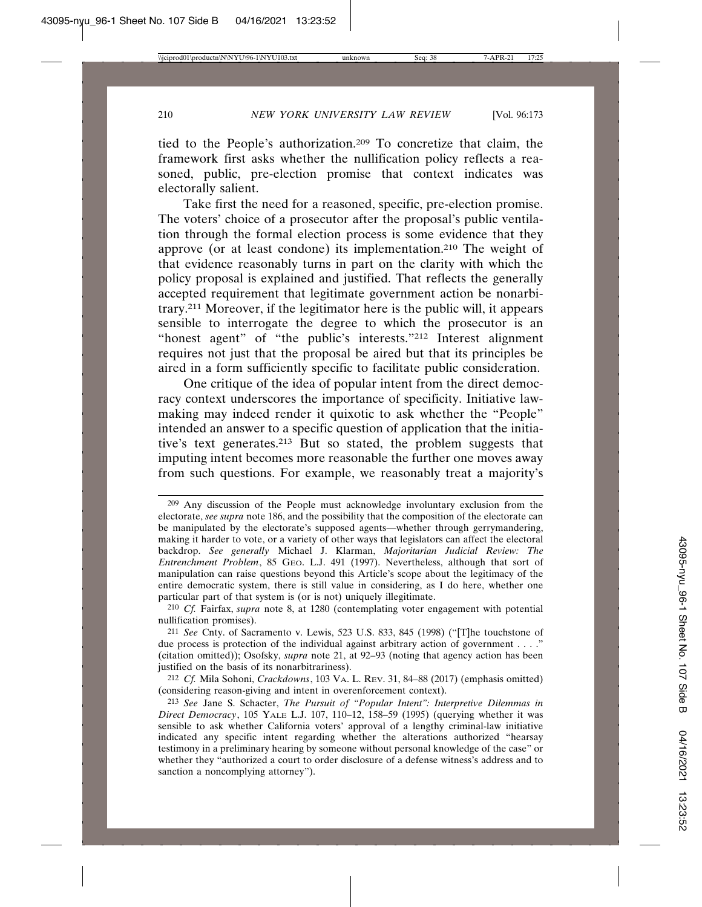tied to the People's authorization.209 To concretize that claim, the framework first asks whether the nullification policy reflects a reasoned, public, pre-election promise that context indicates was electorally salient.

Take first the need for a reasoned, specific, pre-election promise. The voters' choice of a prosecutor after the proposal's public ventilation through the formal election process is some evidence that they approve (or at least condone) its implementation.210 The weight of that evidence reasonably turns in part on the clarity with which the policy proposal is explained and justified. That reflects the generally accepted requirement that legitimate government action be nonarbitrary.211 Moreover, if the legitimator here is the public will, it appears sensible to interrogate the degree to which the prosecutor is an "honest agent" of "the public's interests."212 Interest alignment requires not just that the proposal be aired but that its principles be aired in a form sufficiently specific to facilitate public consideration.

One critique of the idea of popular intent from the direct democracy context underscores the importance of specificity. Initiative lawmaking may indeed render it quixotic to ask whether the "People" intended an answer to a specific question of application that the initiative's text generates.213 But so stated, the problem suggests that imputing intent becomes more reasonable the further one moves away from such questions. For example, we reasonably treat a majority's

<sup>209</sup> Any discussion of the People must acknowledge involuntary exclusion from the electorate, *see supra* note 186, and the possibility that the composition of the electorate can be manipulated by the electorate's supposed agents—whether through gerrymandering, making it harder to vote, or a variety of other ways that legislators can affect the electoral backdrop. *See generally* Michael J. Klarman, *Majoritarian Judicial Review: The Entrenchment Problem*, 85 GEO. L.J. 491 (1997). Nevertheless, although that sort of manipulation can raise questions beyond this Article's scope about the legitimacy of the entire democratic system, there is still value in considering, as I do here, whether one particular part of that system is (or is not) uniquely illegitimate.

<sup>210</sup> *Cf.* Fairfax, *supra* note 8, at 1280 (contemplating voter engagement with potential nullification promises).

<sup>211</sup> *See* Cnty. of Sacramento v. Lewis, 523 U.S. 833, 845 (1998) ("[T]he touchstone of due process is protection of the individual against arbitrary action of government . . . ." (citation omitted)); Osofsky, *supra* note 21, at 92–93 (noting that agency action has been justified on the basis of its nonarbitrariness).

<sup>212</sup> *Cf.* Mila Sohoni, *Crackdowns*, 103 VA. L. REV. 31, 84–88 (2017) (emphasis omitted) (considering reason-giving and intent in overenforcement context).

<sup>213</sup> *See* Jane S. Schacter, *The Pursuit of "Popular Intent": Interpretive Dilemmas in Direct Democracy*, 105 YALE L.J. 107, 110–12, 158–59 (1995) (querying whether it was sensible to ask whether California voters' approval of a lengthy criminal-law initiative indicated any specific intent regarding whether the alterations authorized "hearsay testimony in a preliminary hearing by someone without personal knowledge of the case" or whether they "authorized a court to order disclosure of a defense witness's address and to sanction a noncomplying attorney").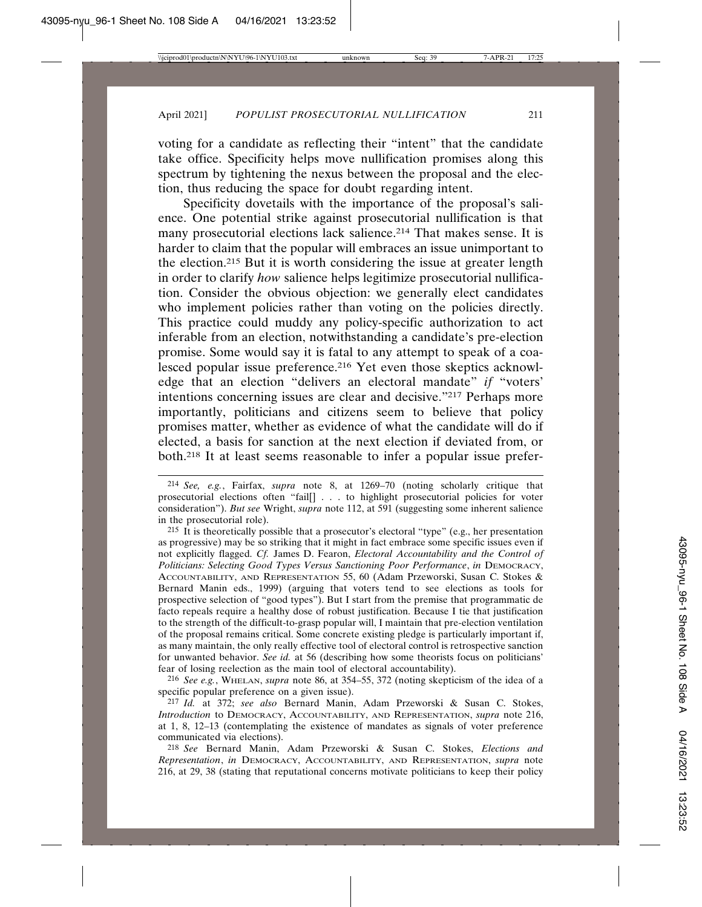voting for a candidate as reflecting their "intent" that the candidate take office. Specificity helps move nullification promises along this spectrum by tightening the nexus between the proposal and the election, thus reducing the space for doubt regarding intent.

Specificity dovetails with the importance of the proposal's salience. One potential strike against prosecutorial nullification is that many prosecutorial elections lack salience.<sup>214</sup> That makes sense. It is harder to claim that the popular will embraces an issue unimportant to the election.215 But it is worth considering the issue at greater length in order to clarify *how* salience helps legitimize prosecutorial nullification. Consider the obvious objection: we generally elect candidates who implement policies rather than voting on the policies directly. This practice could muddy any policy-specific authorization to act inferable from an election, notwithstanding a candidate's pre-election promise. Some would say it is fatal to any attempt to speak of a coalesced popular issue preference.216 Yet even those skeptics acknowledge that an election "delivers an electoral mandate" *if* "voters' intentions concerning issues are clear and decisive."217 Perhaps more importantly, politicians and citizens seem to believe that policy promises matter, whether as evidence of what the candidate will do if elected, a basis for sanction at the next election if deviated from, or both.218 It at least seems reasonable to infer a popular issue prefer-

<sup>214</sup> *See, e.g.*, Fairfax, *supra* note 8, at 1269–70 (noting scholarly critique that prosecutorial elections often "fail[] . . . to highlight prosecutorial policies for voter consideration"). *But see* Wright, *supra* note 112, at 591 (suggesting some inherent salience in the prosecutorial role).

<sup>215</sup> It is theoretically possible that a prosecutor's electoral "type" (e.g., her presentation as progressive) may be so striking that it might in fact embrace some specific issues even if not explicitly flagged. *Cf.* James D. Fearon, *Electoral Accountability and the Control of Politicians: Selecting Good Types Versus Sanctioning Poor Performance*, *in* DEMOCRACY, ACCOUNTABILITY, AND REPRESENTATION 55, 60 (Adam Przeworski, Susan C. Stokes & Bernard Manin eds., 1999) (arguing that voters tend to see elections as tools for prospective selection of "good types"). But I start from the premise that programmatic de facto repeals require a healthy dose of robust justification. Because I tie that justification to the strength of the difficult-to-grasp popular will, I maintain that pre-election ventilation of the proposal remains critical. Some concrete existing pledge is particularly important if, as many maintain, the only really effective tool of electoral control is retrospective sanction for unwanted behavior. *See id.* at 56 (describing how some theorists focus on politicians' fear of losing reelection as the main tool of electoral accountability).

<sup>216</sup> *See e.g.*, WHELAN, *supra* note 86, at 354–55, 372 (noting skepticism of the idea of a specific popular preference on a given issue).

<sup>217</sup> *Id.* at 372; *see also* Bernard Manin, Adam Przeworski & Susan C. Stokes, *Introduction* to DEMOCRACY, ACCOUNTABILITY, AND REPRESENTATION, *supra* note 216, at 1, 8, 12–13 (contemplating the existence of mandates as signals of voter preference communicated via elections).

<sup>218</sup> *See* Bernard Manin, Adam Przeworski & Susan C. Stokes, *Elections and Representation*, *in* DEMOCRACY, ACCOUNTABILITY, AND REPRESENTATION, *supra* note 216, at 29, 38 (stating that reputational concerns motivate politicians to keep their policy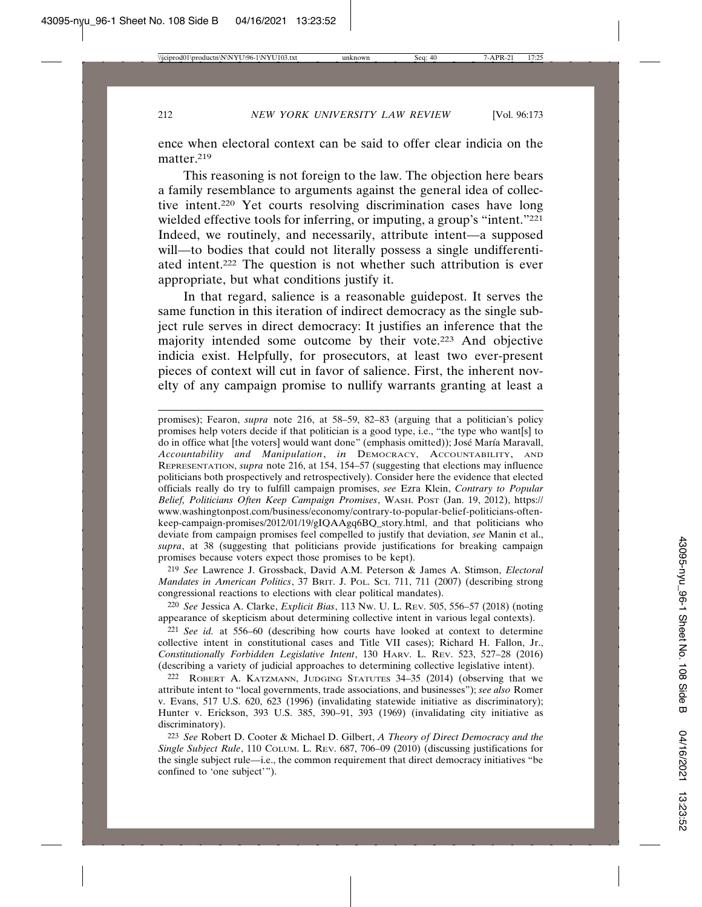ence when electoral context can be said to offer clear indicia on the matter<sup>219</sup>

This reasoning is not foreign to the law. The objection here bears a family resemblance to arguments against the general idea of collective intent.220 Yet courts resolving discrimination cases have long wielded effective tools for inferring, or imputing, a group's "intent."<sup>221</sup> Indeed, we routinely, and necessarily, attribute intent—a supposed will—to bodies that could not literally possess a single undifferentiated intent.222 The question is not whether such attribution is ever appropriate, but what conditions justify it.

In that regard, salience is a reasonable guidepost. It serves the same function in this iteration of indirect democracy as the single subject rule serves in direct democracy: It justifies an inference that the majority intended some outcome by their vote.223 And objective indicia exist. Helpfully, for prosecutors, at least two ever-present pieces of context will cut in favor of salience. First, the inherent novelty of any campaign promise to nullify warrants granting at least a

promises); Fearon, *supra* note 216, at 58–59, 82–83 (arguing that a politician's policy promises help voters decide if that politician is a good type, i.e., "the type who want[s] to do in office what [the voters] would want done" (emphasis omitted)); José María Maravall, *Accountability and Manipulation*, *in* DEMOCRACY, ACCOUNTABILITY, AND REPRESENTATION, *supra* note 216, at 154, 154–57 (suggesting that elections may influence politicians both prospectively and retrospectively). Consider here the evidence that elected officials really do try to fulfill campaign promises, *see* Ezra Klein, *Contrary to Popular Belief, Politicians Often Keep Campaign Promises*, WASH. POST (Jan. 19, 2012), https:// www.washingtonpost.com/business/economy/contrary-to-popular-belief-politicians-oftenkeep-campaign-promises/2012/01/19/gIQAAgq6BQ\_story.html, and that politicians who deviate from campaign promises feel compelled to justify that deviation, *see* Manin et al., *supra*, at 38 (suggesting that politicians provide justifications for breaking campaign promises because voters expect those promises to be kept).

219 *See* Lawrence J. Grossback, David A.M. Peterson & James A. Stimson, *Electoral Mandates in American Politics*, 37 BRIT. J. POL. SCI. 711, 711 (2007) (describing strong congressional reactions to elections with clear political mandates).

220 *See* Jessica A. Clarke, *Explicit Bias*, 113 NW. U. L. REV. 505, 556–57 (2018) (noting appearance of skepticism about determining collective intent in various legal contexts).

221 *See id.* at 556–60 (describing how courts have looked at context to determine collective intent in constitutional cases and Title VII cases); Richard H. Fallon, Jr., *Constitutionally Forbidden Legislative Intent*, 130 HARV. L. REV. 523, 527–28 (2016) (describing a variety of judicial approaches to determining collective legislative intent).

222 ROBERT A. KATZMANN, JUDGING STATUTES 34–35 (2014) (observing that we attribute intent to "local governments, trade associations, and businesses"); *see also* Romer v. Evans, 517 U.S. 620, 623 (1996) (invalidating statewide initiative as discriminatory); Hunter v. Erickson, 393 U.S. 385, 390–91, 393 (1969) (invalidating city initiative as discriminatory).

223 *See* Robert D. Cooter & Michael D. Gilbert, *A Theory of Direct Democracy and the Single Subject Rule*, 110 COLUM. L. REV. 687, 706–09 (2010) (discussing justifications for the single subject rule—i.e., the common requirement that direct democracy initiatives "be confined to 'one subject'").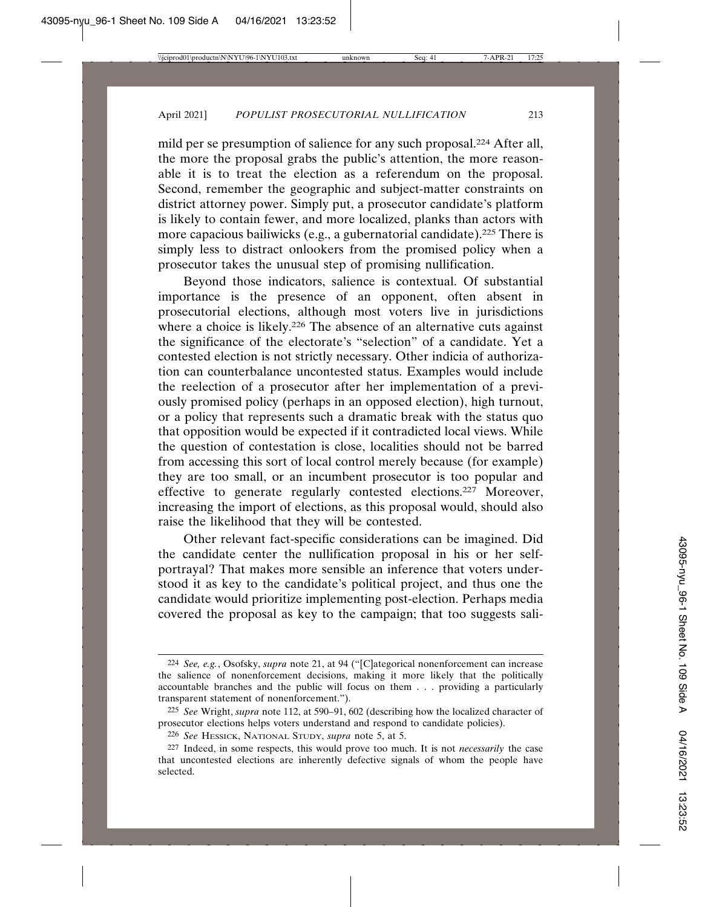mild per se presumption of salience for any such proposal.224 After all, the more the proposal grabs the public's attention, the more reasonable it is to treat the election as a referendum on the proposal. Second, remember the geographic and subject-matter constraints on district attorney power. Simply put, a prosecutor candidate's platform is likely to contain fewer, and more localized, planks than actors with more capacious bailiwicks (e.g., a gubernatorial candidate).225 There is simply less to distract onlookers from the promised policy when a prosecutor takes the unusual step of promising nullification.

Beyond those indicators, salience is contextual. Of substantial importance is the presence of an opponent, often absent in prosecutorial elections, although most voters live in jurisdictions where a choice is likely.<sup>226</sup> The absence of an alternative cuts against the significance of the electorate's "selection" of a candidate. Yet a contested election is not strictly necessary. Other indicia of authorization can counterbalance uncontested status. Examples would include the reelection of a prosecutor after her implementation of a previously promised policy (perhaps in an opposed election), high turnout, or a policy that represents such a dramatic break with the status quo that opposition would be expected if it contradicted local views. While the question of contestation is close, localities should not be barred from accessing this sort of local control merely because (for example) they are too small, or an incumbent prosecutor is too popular and effective to generate regularly contested elections.227 Moreover, increasing the import of elections, as this proposal would, should also raise the likelihood that they will be contested.

Other relevant fact-specific considerations can be imagined. Did the candidate center the nullification proposal in his or her selfportrayal? That makes more sensible an inference that voters understood it as key to the candidate's political project, and thus one the candidate would prioritize implementing post-election. Perhaps media covered the proposal as key to the campaign; that too suggests sali-

<sup>224</sup> *See, e.g.*, Osofsky, *supra* note 21, at 94 ("[C]ategorical nonenforcement can increase the salience of nonenforcement decisions, making it more likely that the politically accountable branches and the public will focus on them . . . providing a particularly transparent statement of nonenforcement.").

<sup>225</sup> *See* Wright, *supra* note 112, at 590–91, 602 (describing how the localized character of prosecutor elections helps voters understand and respond to candidate policies).

<sup>226</sup> *See* HESSICK, NATIONAL STUDY, *supra* note 5, at 5.

<sup>227</sup> Indeed, in some respects, this would prove too much. It is not *necessarily* the case that uncontested elections are inherently defective signals of whom the people have selected.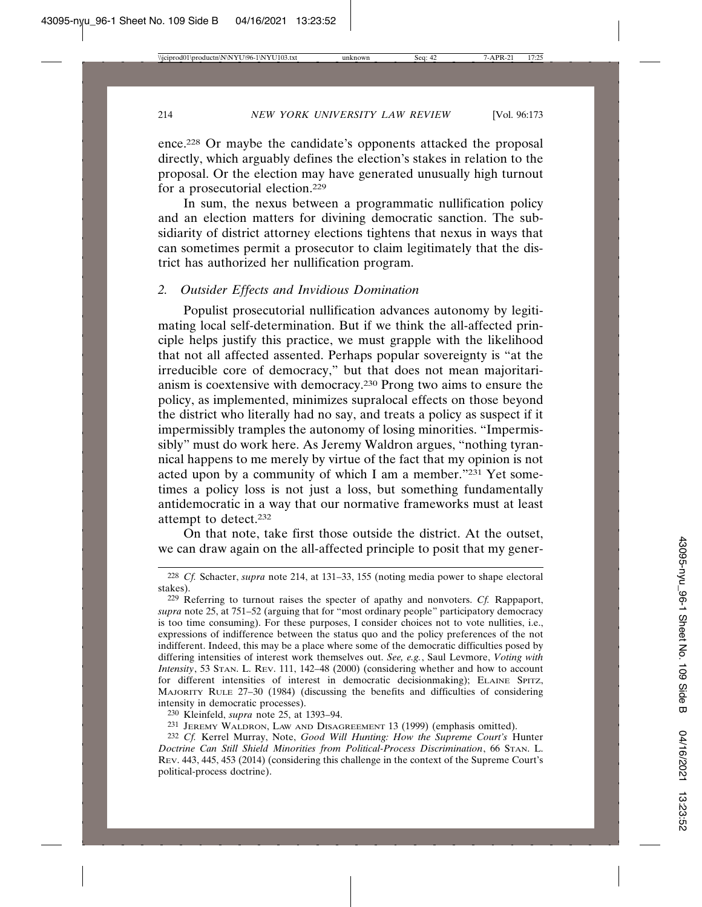ence.228 Or maybe the candidate's opponents attacked the proposal directly, which arguably defines the election's stakes in relation to the proposal. Or the election may have generated unusually high turnout for a prosecutorial election.229

In sum, the nexus between a programmatic nullification policy and an election matters for divining democratic sanction. The subsidiarity of district attorney elections tightens that nexus in ways that can sometimes permit a prosecutor to claim legitimately that the district has authorized her nullification program.

### *2. Outsider Effects and Invidious Domination*

Populist prosecutorial nullification advances autonomy by legitimating local self-determination. But if we think the all-affected principle helps justify this practice, we must grapple with the likelihood that not all affected assented. Perhaps popular sovereignty is "at the irreducible core of democracy," but that does not mean majoritarianism is coextensive with democracy.230 Prong two aims to ensure the policy, as implemented, minimizes supralocal effects on those beyond the district who literally had no say, and treats a policy as suspect if it impermissibly tramples the autonomy of losing minorities. "Impermissibly" must do work here. As Jeremy Waldron argues, "nothing tyrannical happens to me merely by virtue of the fact that my opinion is not acted upon by a community of which I am a member."231 Yet sometimes a policy loss is not just a loss, but something fundamentally antidemocratic in a way that our normative frameworks must at least attempt to detect.232

On that note, take first those outside the district. At the outset, we can draw again on the all-affected principle to posit that my gener-

230 Kleinfeld, *supra* note 25, at 1393–94.

231 JEREMY WALDRON, LAW AND DISAGREEMENT 13 (1999) (emphasis omitted).

232 *Cf.* Kerrel Murray, Note, *Good Will Hunting: How the Supreme Court's* Hunter *Doctrine Can Still Shield Minorities from Political-Process Discrimination*, 66 STAN. L. REV. 443, 445, 453 (2014) (considering this challenge in the context of the Supreme Court's political-process doctrine).

<sup>228</sup> *Cf.* Schacter, *supra* note 214, at 131–33, 155 (noting media power to shape electoral stakes).

<sup>229</sup> Referring to turnout raises the specter of apathy and nonvoters. *Cf.* Rappaport, *supra* note 25, at 751–52 (arguing that for "most ordinary people" participatory democracy is too time consuming). For these purposes, I consider choices not to vote nullities, i.e., expressions of indifference between the status quo and the policy preferences of the not indifferent. Indeed, this may be a place where some of the democratic difficulties posed by differing intensities of interest work themselves out. *See, e.g.*, Saul Levmore, *Voting with Intensity*, 53 STAN. L. REV. 111, 142–48 (2000) (considering whether and how to account for different intensities of interest in democratic decisionmaking); ELAINE SPITZ, MAJORITY RULE 27–30 (1984) (discussing the benefits and difficulties of considering intensity in democratic processes).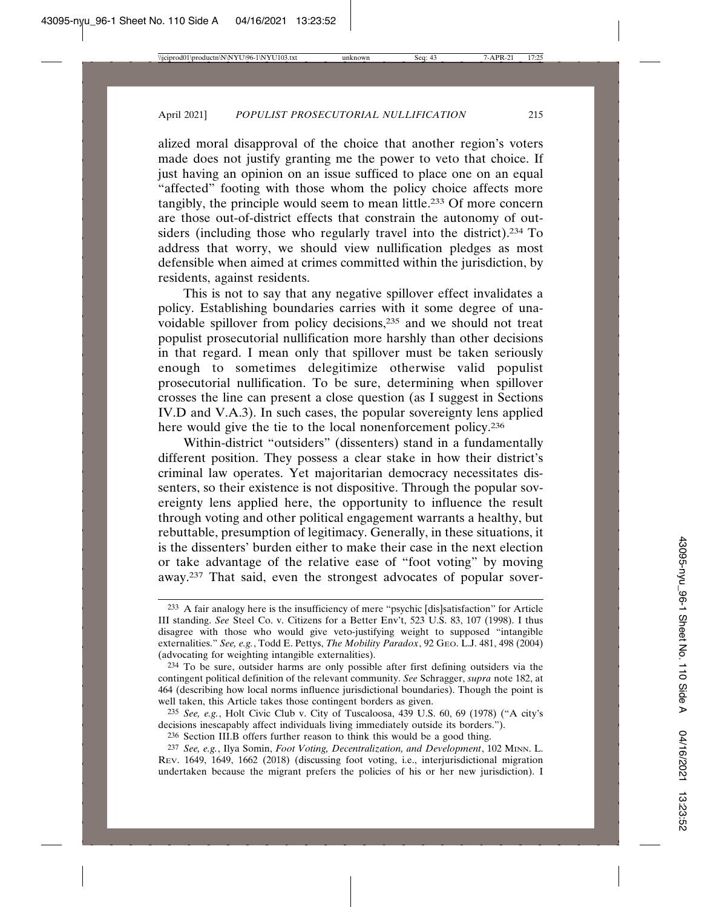alized moral disapproval of the choice that another region's voters made does not justify granting me the power to veto that choice. If just having an opinion on an issue sufficed to place one on an equal "affected" footing with those whom the policy choice affects more tangibly, the principle would seem to mean little.233 Of more concern are those out-of-district effects that constrain the autonomy of outsiders (including those who regularly travel into the district).234 To address that worry, we should view nullification pledges as most defensible when aimed at crimes committed within the jurisdiction, by residents, against residents.

This is not to say that any negative spillover effect invalidates a policy. Establishing boundaries carries with it some degree of unavoidable spillover from policy decisions,235 and we should not treat populist prosecutorial nullification more harshly than other decisions in that regard. I mean only that spillover must be taken seriously enough to sometimes delegitimize otherwise valid populist prosecutorial nullification. To be sure, determining when spillover crosses the line can present a close question (as I suggest in Sections IV.D and V.A.3). In such cases, the popular sovereignty lens applied here would give the tie to the local nonenforcement policy.<sup>236</sup>

Within-district "outsiders" (dissenters) stand in a fundamentally different position. They possess a clear stake in how their district's criminal law operates. Yet majoritarian democracy necessitates dissenters, so their existence is not dispositive. Through the popular sovereignty lens applied here, the opportunity to influence the result through voting and other political engagement warrants a healthy, but rebuttable, presumption of legitimacy. Generally, in these situations, it is the dissenters' burden either to make their case in the next election or take advantage of the relative ease of "foot voting" by moving away.237 That said, even the strongest advocates of popular sover-

<sup>233</sup> A fair analogy here is the insufficiency of mere "psychic [dis]satisfaction" for Article III standing. *See* Steel Co. v. Citizens for a Better Env't, 523 U.S. 83, 107 (1998). I thus disagree with those who would give veto-justifying weight to supposed "intangible externalities." *See, e.g.*, Todd E. Pettys, *The Mobility Paradox*, 92 GEO. L.J. 481, 498 (2004) (advocating for weighting intangible externalities).

<sup>234</sup> To be sure, outsider harms are only possible after first defining outsiders via the contingent political definition of the relevant community. *See* Schragger, *supra* note 182, at 464 (describing how local norms influence jurisdictional boundaries). Though the point is well taken, this Article takes those contingent borders as given.

<sup>235</sup> *See, e.g.*, Holt Civic Club v. City of Tuscaloosa, 439 U.S. 60, 69 (1978) ("A city's decisions inescapably affect individuals living immediately outside its borders.").

<sup>236</sup> Section III.B offers further reason to think this would be a good thing.

<sup>237</sup> *See, e.g.*, Ilya Somin, *Foot Voting, Decentralization, and Development*, 102 MINN. L. REV. 1649, 1649, 1662 (2018) (discussing foot voting, i.e., interjurisdictional migration undertaken because the migrant prefers the policies of his or her new jurisdiction). I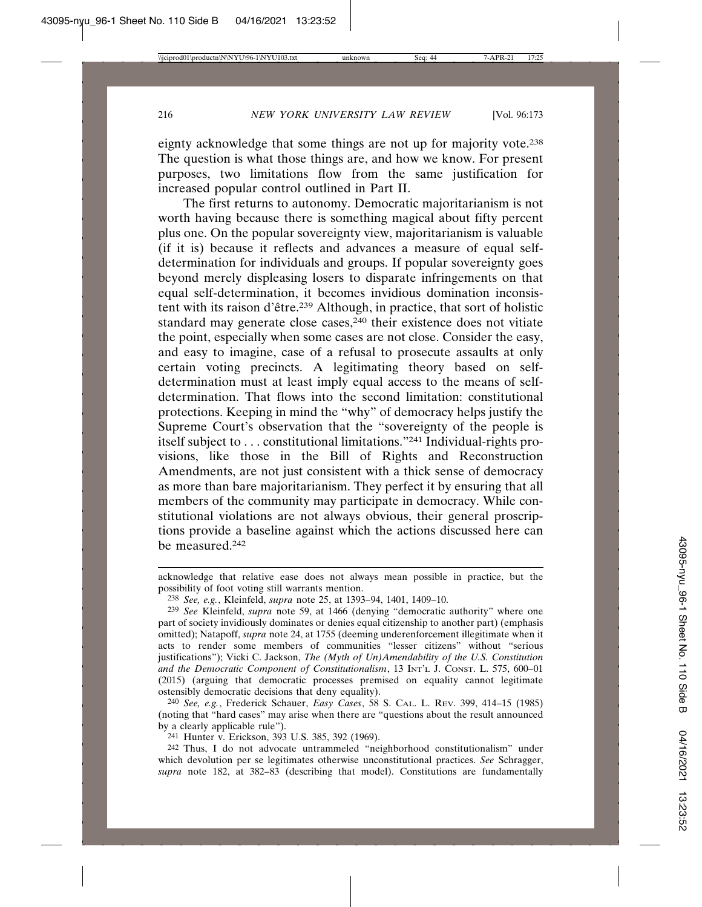eignty acknowledge that some things are not up for majority vote.238 The question is what those things are, and how we know. For present purposes, two limitations flow from the same justification for increased popular control outlined in Part II.

The first returns to autonomy. Democratic majoritarianism is not worth having because there is something magical about fifty percent plus one. On the popular sovereignty view, majoritarianism is valuable (if it is) because it reflects and advances a measure of equal selfdetermination for individuals and groups. If popular sovereignty goes beyond merely displeasing losers to disparate infringements on that equal self-determination, it becomes invidious domination inconsistent with its raison d'être.<sup>239</sup> Although, in practice, that sort of holistic standard may generate close cases,<sup>240</sup> their existence does not vitiate the point, especially when some cases are not close. Consider the easy, and easy to imagine, case of a refusal to prosecute assaults at only certain voting precincts. A legitimating theory based on selfdetermination must at least imply equal access to the means of selfdetermination. That flows into the second limitation: constitutional protections. Keeping in mind the "why" of democracy helps justify the Supreme Court's observation that the "sovereignty of the people is itself subject to . . . constitutional limitations."241 Individual-rights provisions, like those in the Bill of Rights and Reconstruction Amendments, are not just consistent with a thick sense of democracy as more than bare majoritarianism. They perfect it by ensuring that all members of the community may participate in democracy. While constitutional violations are not always obvious, their general proscriptions provide a baseline against which the actions discussed here can be measured.242

240 *See, e.g.*, Frederick Schauer, *Easy Cases*, 58 S. CAL. L. REV. 399, 414–15 (1985) (noting that "hard cases" may arise when there are "questions about the result announced by a clearly applicable rule").

241 Hunter v. Erickson, 393 U.S. 385, 392 (1969).

242 Thus, I do not advocate untrammeled "neighborhood constitutionalism" under which devolution per se legitimates otherwise unconstitutional practices. *See* Schragger, *supra* note 182, at 382–83 (describing that model). Constitutions are fundamentally

acknowledge that relative ease does not always mean possible in practice, but the possibility of foot voting still warrants mention.

<sup>238</sup> *See, e.g.*, Kleinfeld, *supra* note 25, at 1393–94, 1401, 1409–10.

<sup>239</sup> *See* Kleinfeld, *supra* note 59, at 1466 (denying "democratic authority" where one part of society invidiously dominates or denies equal citizenship to another part) (emphasis omitted); Natapoff, *supra* note 24, at 1755 (deeming underenforcement illegitimate when it acts to render some members of communities "lesser citizens" without "serious justifications"); Vicki C. Jackson, *The (Myth of Un)Amendability of the U.S. Constitution and the Democratic Component of Constitutionalism*, 13 INT'L J. CONST. L. 575, 600–01 (2015) (arguing that democratic processes premised on equality cannot legitimate ostensibly democratic decisions that deny equality).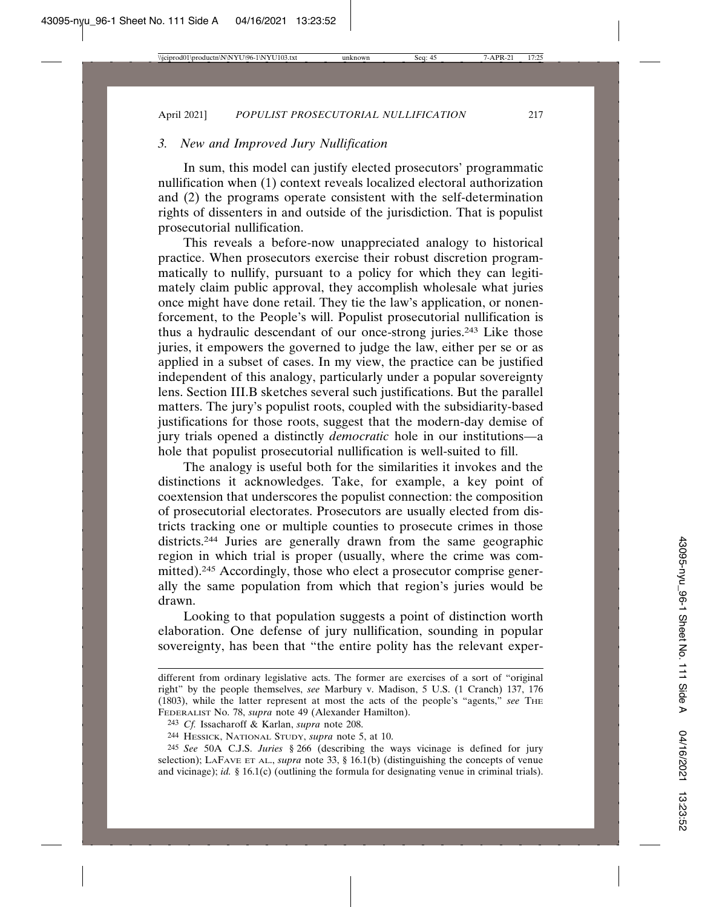### *3. New and Improved Jury Nullification*

In sum, this model can justify elected prosecutors' programmatic nullification when (1) context reveals localized electoral authorization and (2) the programs operate consistent with the self-determination rights of dissenters in and outside of the jurisdiction. That is populist prosecutorial nullification.

This reveals a before-now unappreciated analogy to historical practice. When prosecutors exercise their robust discretion programmatically to nullify, pursuant to a policy for which they can legitimately claim public approval, they accomplish wholesale what juries once might have done retail. They tie the law's application, or nonenforcement, to the People's will. Populist prosecutorial nullification is thus a hydraulic descendant of our once-strong juries.243 Like those juries, it empowers the governed to judge the law, either per se or as applied in a subset of cases. In my view, the practice can be justified independent of this analogy, particularly under a popular sovereignty lens. Section III.B sketches several such justifications. But the parallel matters. The jury's populist roots, coupled with the subsidiarity-based justifications for those roots, suggest that the modern-day demise of jury trials opened a distinctly *democratic* hole in our institutions—a hole that populist prosecutorial nullification is well-suited to fill.

The analogy is useful both for the similarities it invokes and the distinctions it acknowledges. Take, for example, a key point of coextension that underscores the populist connection: the composition of prosecutorial electorates. Prosecutors are usually elected from districts tracking one or multiple counties to prosecute crimes in those districts.244 Juries are generally drawn from the same geographic region in which trial is proper (usually, where the crime was committed).245 Accordingly, those who elect a prosecutor comprise generally the same population from which that region's juries would be drawn.

Looking to that population suggests a point of distinction worth elaboration. One defense of jury nullification, sounding in popular sovereignty, has been that "the entire polity has the relevant exper-

different from ordinary legislative acts. The former are exercises of a sort of "original right" by the people themselves, *see* Marbury v. Madison, 5 U.S. (1 Cranch) 137, 176 (1803), while the latter represent at most the acts of the people's "agents," *see* THE FEDERALIST No. 78, *supra* note 49 (Alexander Hamilton).

<sup>243</sup> *Cf.* Issacharoff & Karlan, *supra* note 208.

<sup>244</sup> HESSICK, NATIONAL STUDY, *supra* note 5, at 10.

<sup>245</sup> *See* 50A C.J.S. *Juries* § 266 (describing the ways vicinage is defined for jury selection); LAFAVE ET AL., *supra* note 33, § 16.1(b) (distinguishing the concepts of venue and vicinage); *id.* § 16.1(c) (outlining the formula for designating venue in criminal trials).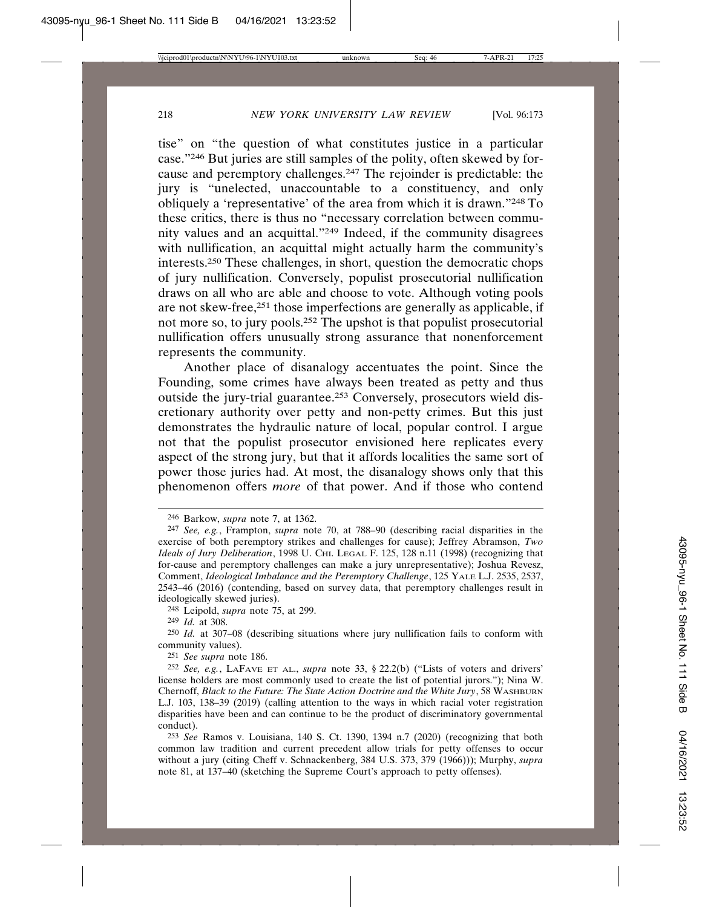tise" on "the question of what constitutes justice in a particular case."246 But juries are still samples of the polity, often skewed by forcause and peremptory challenges.247 The rejoinder is predictable: the jury is "unelected, unaccountable to a constituency, and only obliquely a 'representative' of the area from which it is drawn."248 To these critics, there is thus no "necessary correlation between community values and an acquittal."249 Indeed, if the community disagrees with nullification, an acquittal might actually harm the community's interests.250 These challenges, in short, question the democratic chops of jury nullification. Conversely, populist prosecutorial nullification draws on all who are able and choose to vote. Although voting pools are not skew-free,251 those imperfections are generally as applicable, if not more so, to jury pools.252 The upshot is that populist prosecutorial nullification offers unusually strong assurance that nonenforcement represents the community.

Another place of disanalogy accentuates the point. Since the Founding, some crimes have always been treated as petty and thus outside the jury-trial guarantee.253 Conversely, prosecutors wield discretionary authority over petty and non-petty crimes. But this just demonstrates the hydraulic nature of local, popular control. I argue not that the populist prosecutor envisioned here replicates every aspect of the strong jury, but that it affords localities the same sort of power those juries had. At most, the disanalogy shows only that this phenomenon offers *more* of that power. And if those who contend

<sup>246</sup> Barkow, *supra* note 7, at 1362.

<sup>247</sup> *See, e.g.*, Frampton, *supra* note 70, at 788–90 (describing racial disparities in the exercise of both peremptory strikes and challenges for cause); Jeffrey Abramson, *Two Ideals of Jury Deliberation*, 1998 U. CHI. LEGAL F. 125, 128 n.11 (1998) (recognizing that for-cause and peremptory challenges can make a jury unrepresentative); Joshua Revesz, Comment, *Ideological Imbalance and the Peremptory Challenge*, 125 YALE L.J. 2535, 2537, 2543–46 (2016) (contending, based on survey data, that peremptory challenges result in ideologically skewed juries).

<sup>248</sup> Leipold, *supra* note 75, at 299.

<sup>249</sup> *Id.* at 308.

<sup>250</sup> *Id.* at 307–08 (describing situations where jury nullification fails to conform with community values).

<sup>251</sup> *See supra* note 186.

<sup>252</sup> *See, e.g.*, LAFAVE ET AL., *supra* note 33, § 22.2(b) ("Lists of voters and drivers' license holders are most commonly used to create the list of potential jurors."); Nina W. Chernoff, *Black to the Future: The State Action Doctrine and the White Jury*, 58 WASHBURN L.J. 103, 138–39 (2019) (calling attention to the ways in which racial voter registration disparities have been and can continue to be the product of discriminatory governmental conduct).

<sup>253</sup> *See* Ramos v. Louisiana, 140 S. Ct. 1390, 1394 n.7 (2020) (recognizing that both common law tradition and current precedent allow trials for petty offenses to occur without a jury (citing Cheff v. Schnackenberg, 384 U.S. 373, 379 (1966))); Murphy, *supra* note 81, at 137–40 (sketching the Supreme Court's approach to petty offenses).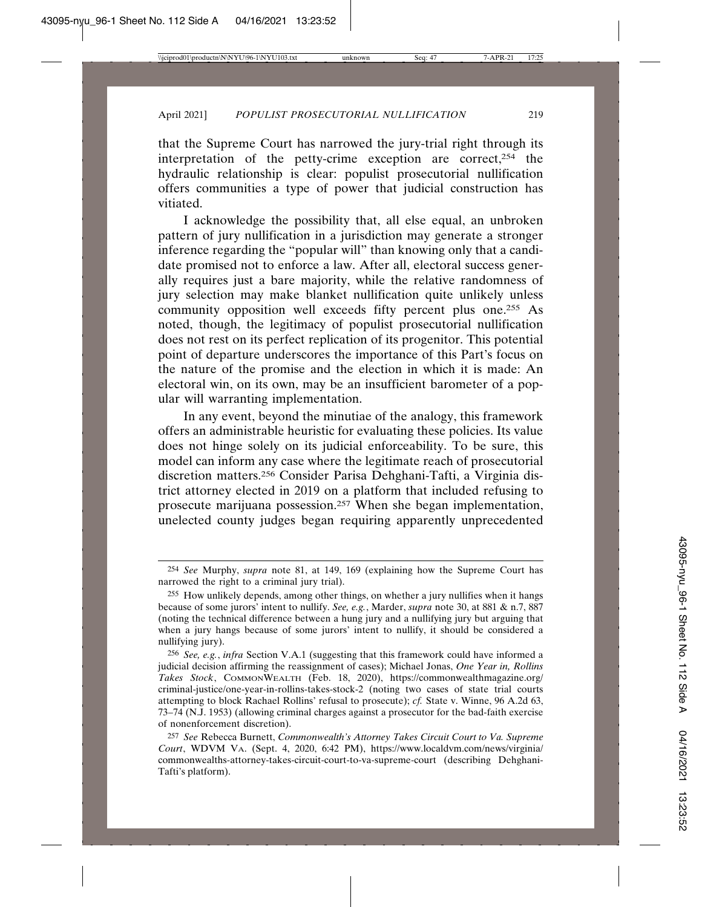that the Supreme Court has narrowed the jury-trial right through its interpretation of the petty-crime exception are correct, $254$  the hydraulic relationship is clear: populist prosecutorial nullification offers communities a type of power that judicial construction has vitiated.

I acknowledge the possibility that, all else equal, an unbroken pattern of jury nullification in a jurisdiction may generate a stronger inference regarding the "popular will" than knowing only that a candidate promised not to enforce a law. After all, electoral success generally requires just a bare majority, while the relative randomness of jury selection may make blanket nullification quite unlikely unless community opposition well exceeds fifty percent plus one.<sup>255</sup> As noted, though, the legitimacy of populist prosecutorial nullification does not rest on its perfect replication of its progenitor. This potential point of departure underscores the importance of this Part's focus on the nature of the promise and the election in which it is made: An electoral win, on its own, may be an insufficient barometer of a popular will warranting implementation.

In any event, beyond the minutiae of the analogy, this framework offers an administrable heuristic for evaluating these policies. Its value does not hinge solely on its judicial enforceability. To be sure, this model can inform any case where the legitimate reach of prosecutorial discretion matters.256 Consider Parisa Dehghani-Tafti, a Virginia district attorney elected in 2019 on a platform that included refusing to prosecute marijuana possession.257 When she began implementation, unelected county judges began requiring apparently unprecedented

<sup>254</sup> *See* Murphy, *supra* note 81, at 149, 169 (explaining how the Supreme Court has narrowed the right to a criminal jury trial).

<sup>255</sup> How unlikely depends, among other things, on whether a jury nullifies when it hangs because of some jurors' intent to nullify. *See, e.g.*, Marder, *supra* note 30, at 881 & n.7, 887 (noting the technical difference between a hung jury and a nullifying jury but arguing that when a jury hangs because of some jurors' intent to nullify, it should be considered a nullifying jury).

<sup>256</sup> *See, e.g.*, *infra* Section V.A.1 (suggesting that this framework could have informed a judicial decision affirming the reassignment of cases); Michael Jonas, *One Year in, Rollins Takes Stock*, COMMONWEALTH (Feb. 18, 2020), https://commonwealthmagazine.org/ criminal-justice/one-year-in-rollins-takes-stock-2 (noting two cases of state trial courts attempting to block Rachael Rollins' refusal to prosecute); *cf.* State v. Winne, 96 A.2d 63, 73–74 (N.J. 1953) (allowing criminal charges against a prosecutor for the bad-faith exercise of nonenforcement discretion).

<sup>257</sup> *See* Rebecca Burnett, *Commonwealth's Attorney Takes Circuit Court to Va. Supreme Court*, WDVM VA. (Sept. 4, 2020, 6:42 PM), https://www.localdvm.com/news/virginia/ commonwealths-attorney-takes-circuit-court-to-va-supreme-court (describing Dehghani-Tafti's platform).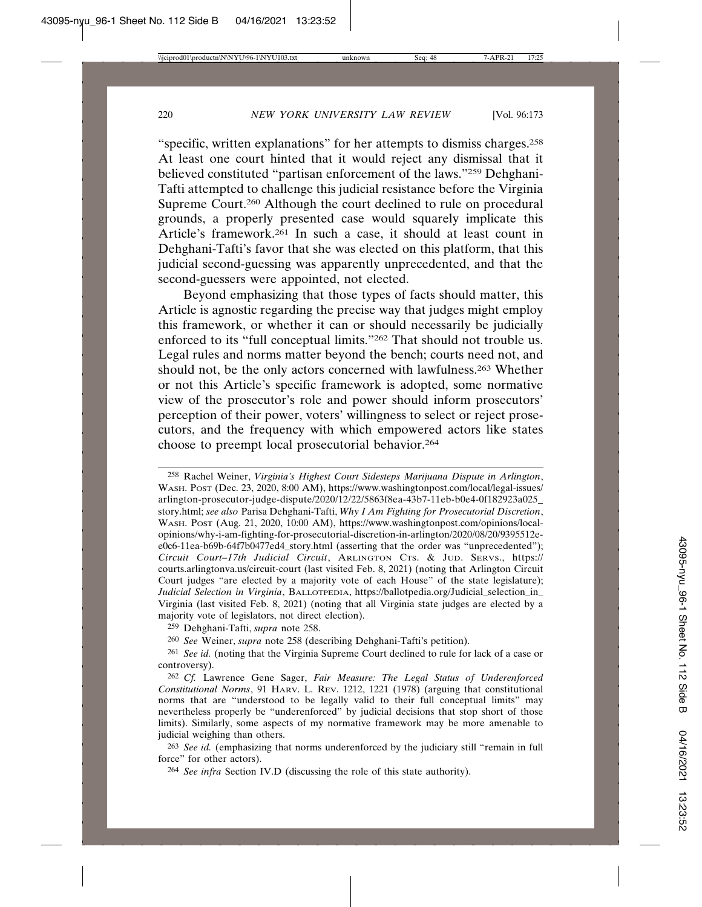"specific, written explanations" for her attempts to dismiss charges.258 At least one court hinted that it would reject any dismissal that it believed constituted "partisan enforcement of the laws."259 Dehghani-Tafti attempted to challenge this judicial resistance before the Virginia Supreme Court.<sup>260</sup> Although the court declined to rule on procedural grounds, a properly presented case would squarely implicate this Article's framework.261 In such a case, it should at least count in Dehghani-Tafti's favor that she was elected on this platform, that this judicial second-guessing was apparently unprecedented, and that the second-guessers were appointed, not elected.

Beyond emphasizing that those types of facts should matter, this Article is agnostic regarding the precise way that judges might employ this framework, or whether it can or should necessarily be judicially enforced to its "full conceptual limits."262 That should not trouble us. Legal rules and norms matter beyond the bench; courts need not, and should not, be the only actors concerned with lawfulness.263 Whether or not this Article's specific framework is adopted, some normative view of the prosecutor's role and power should inform prosecutors' perception of their power, voters' willingness to select or reject prosecutors, and the frequency with which empowered actors like states choose to preempt local prosecutorial behavior.264

258 Rachel Weiner, *Virginia's Highest Court Sidesteps Marijuana Dispute in Arlington*, WASH. POST (Dec. 23, 2020, 8:00 AM), https://www.washingtonpost.com/local/legal-issues/ arlington-prosecutor-judge-dispute/2020/12/22/5863f8ea-43b7-11eb-b0e4-0f182923a025\_ story.html; *see also* Parisa Dehghani-Tafti, *Why I Am Fighting for Prosecutorial Discretion*, WASH. POST (Aug. 21, 2020, 10:00 AM), https://www.washingtonpost.com/opinions/localopinions/why-i-am-fighting-for-prosecutorial-discretion-in-arlington/2020/08/20/9395512ee0c6-11ea-b69b-64f7b0477ed4\_story.html (asserting that the order was "unprecedented"); *Circuit Court–17th Judicial Circuit*, ARLINGTON CTS. & JUD. SERVS., https:// courts.arlingtonva.us/circuit-court (last visited Feb. 8, 2021) (noting that Arlington Circuit Court judges "are elected by a majority vote of each House" of the state legislature); *Judicial Selection in Virginia*, BALLOTPEDIA, https://ballotpedia.org/Judicial\_selection\_in\_ Virginia (last visited Feb. 8, 2021) (noting that all Virginia state judges are elected by a majority vote of legislators, not direct election).

259 Dehghani-Tafti, *supra* note 258.

260 *See* Weiner, *supra* note 258 (describing Dehghani-Tafti's petition).

261 *See id.* (noting that the Virginia Supreme Court declined to rule for lack of a case or controversy).

262 *Cf.* Lawrence Gene Sager, *Fair Measure: The Legal Status of Underenforced Constitutional Norms*, 91 HARV. L. REV. 1212, 1221 (1978) (arguing that constitutional norms that are "understood to be legally valid to their full conceptual limits" may nevertheless properly be "underenforced" by judicial decisions that stop short of those limits). Similarly, some aspects of my normative framework may be more amenable to judicial weighing than others.

263 *See id.* (emphasizing that norms underenforced by the judiciary still "remain in full force" for other actors).

264 *See infra* Section IV.D (discussing the role of this state authority).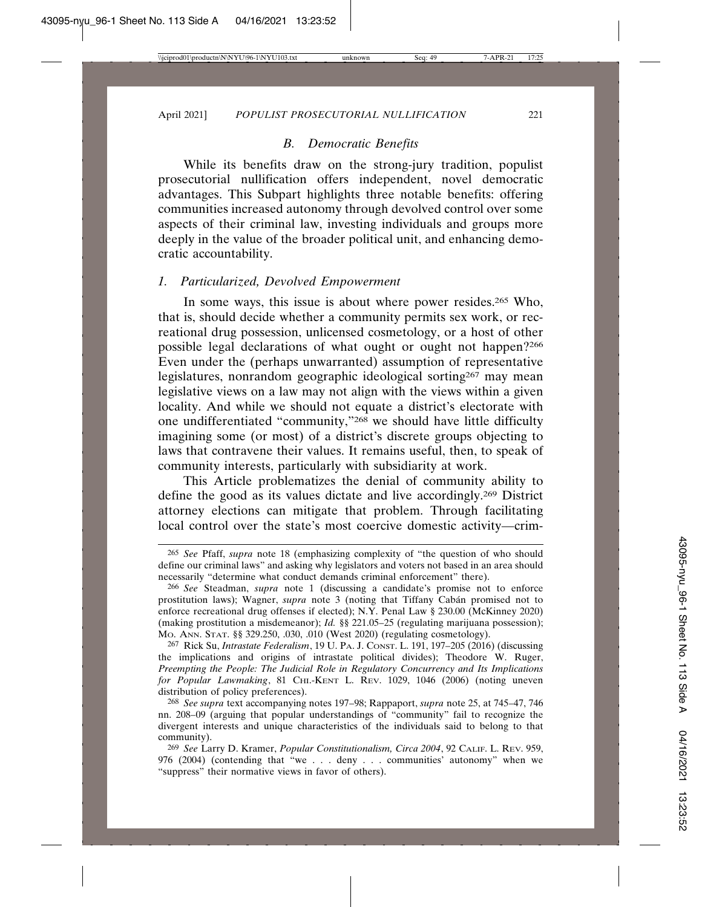#### *B. Democratic Benefits*

While its benefits draw on the strong-jury tradition, populist prosecutorial nullification offers independent, novel democratic advantages. This Subpart highlights three notable benefits: offering communities increased autonomy through devolved control over some aspects of their criminal law, investing individuals and groups more deeply in the value of the broader political unit, and enhancing democratic accountability.

### *1. Particularized, Devolved Empowerment*

In some ways, this issue is about where power resides.265 Who, that is, should decide whether a community permits sex work, or recreational drug possession, unlicensed cosmetology, or a host of other possible legal declarations of what ought or ought not happen?266 Even under the (perhaps unwarranted) assumption of representative legislatures, nonrandom geographic ideological sorting<sup>267</sup> may mean legislative views on a law may not align with the views within a given locality. And while we should not equate a district's electorate with one undifferentiated "community,"268 we should have little difficulty imagining some (or most) of a district's discrete groups objecting to laws that contravene their values. It remains useful, then, to speak of community interests, particularly with subsidiarity at work.

This Article problematizes the denial of community ability to define the good as its values dictate and live accordingly.269 District attorney elections can mitigate that problem. Through facilitating local control over the state's most coercive domestic activity—crim-

<sup>265</sup> *See* Pfaff, *supra* note 18 (emphasizing complexity of "the question of who should define our criminal laws" and asking why legislators and voters not based in an area should necessarily "determine what conduct demands criminal enforcement" there).

<sup>266</sup> *See* Steadman, *supra* note 1 (discussing a candidate's promise not to enforce prostitution laws); Wagner, *supra* note 3 (noting that Tiffany Cabán promised not to enforce recreational drug offenses if elected); N.Y. Penal Law § 230.00 (McKinney 2020) (making prostitution a misdemeanor); *Id.* §§ 221.05–25 (regulating marijuana possession); MO. ANN. STAT. §§ 329.250, .030, .010 (West 2020) (regulating cosmetology).

<sup>267</sup> Rick Su, *Intrastate Federalism*, 19 U. PA. J. CONST. L. 191, 197–205 (2016) (discussing the implications and origins of intrastate political divides); Theodore W. Ruger, *Preempting the People: The Judicial Role in Regulatory Concurrency and Its Implications for Popular Lawmaking*, 81 CHI.-KENT L. REV. 1029, 1046 (2006) (noting uneven distribution of policy preferences).

<sup>268</sup> *See supra* text accompanying notes 197–98; Rappaport, *supra* note 25, at 745–47, 746 nn. 208–09 (arguing that popular understandings of "community" fail to recognize the divergent interests and unique characteristics of the individuals said to belong to that community).

<sup>269</sup> *See* Larry D. Kramer, *Popular Constitutionalism, Circa 2004*, 92 CALIF. L. REV. 959, 976 (2004) (contending that "we . . . deny . . . communities' autonomy" when we "suppress" their normative views in favor of others).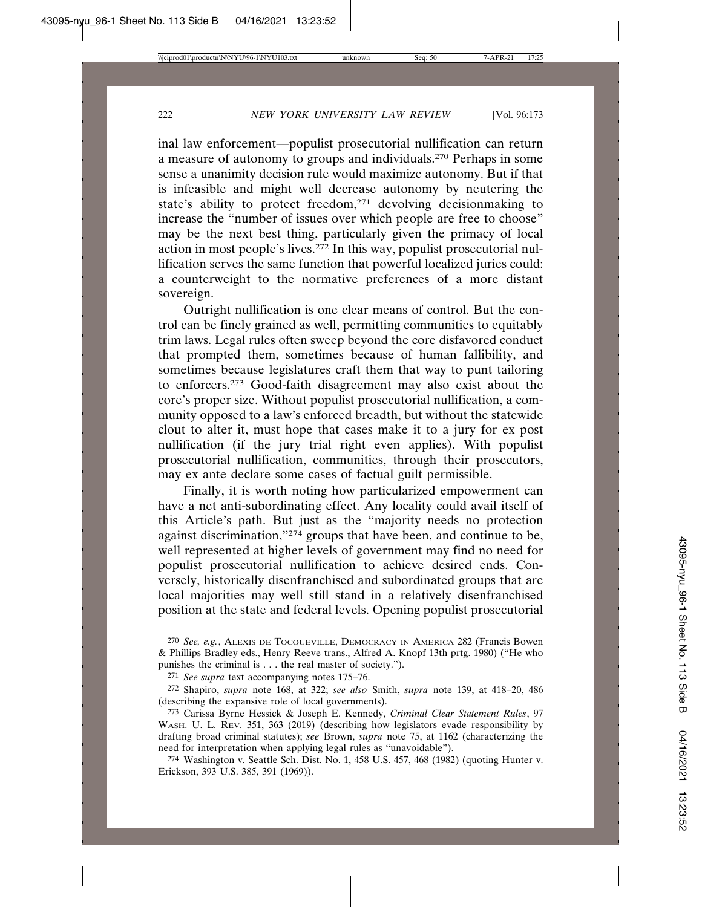inal law enforcement—populist prosecutorial nullification can return a measure of autonomy to groups and individuals.270 Perhaps in some sense a unanimity decision rule would maximize autonomy. But if that is infeasible and might well decrease autonomy by neutering the state's ability to protect freedom,271 devolving decisionmaking to increase the "number of issues over which people are free to choose" may be the next best thing, particularly given the primacy of local action in most people's lives.272 In this way, populist prosecutorial nullification serves the same function that powerful localized juries could: a counterweight to the normative preferences of a more distant sovereign.

Outright nullification is one clear means of control. But the control can be finely grained as well, permitting communities to equitably trim laws. Legal rules often sweep beyond the core disfavored conduct that prompted them, sometimes because of human fallibility, and sometimes because legislatures craft them that way to punt tailoring to enforcers.273 Good-faith disagreement may also exist about the core's proper size. Without populist prosecutorial nullification, a community opposed to a law's enforced breadth, but without the statewide clout to alter it, must hope that cases make it to a jury for ex post nullification (if the jury trial right even applies). With populist prosecutorial nullification, communities, through their prosecutors, may ex ante declare some cases of factual guilt permissible.

Finally, it is worth noting how particularized empowerment can have a net anti-subordinating effect. Any locality could avail itself of this Article's path. But just as the "majority needs no protection against discrimination,"274 groups that have been, and continue to be, well represented at higher levels of government may find no need for populist prosecutorial nullification to achieve desired ends. Conversely, historically disenfranchised and subordinated groups that are local majorities may well still stand in a relatively disenfranchised position at the state and federal levels. Opening populist prosecutorial

<sup>270</sup> *See, e.g.*, ALEXIS DE TOCQUEVILLE, DEMOCRACY IN AMERICA 282 (Francis Bowen & Phillips Bradley eds., Henry Reeve trans., Alfred A. Knopf 13th prtg. 1980) ("He who punishes the criminal is . . . the real master of society.").

<sup>271</sup> *See supra* text accompanying notes 175–76.

<sup>272</sup> Shapiro, *supra* note 168, at 322; *see also* Smith, *supra* note 139, at 418–20, 486 (describing the expansive role of local governments).

<sup>273</sup> Carissa Byrne Hessick & Joseph E. Kennedy, *Criminal Clear Statement Rules*, 97 WASH. U. L. REV. 351, 363 (2019) (describing how legislators evade responsibility by drafting broad criminal statutes); *see* Brown, *supra* note 75, at 1162 (characterizing the need for interpretation when applying legal rules as "unavoidable").

<sup>274</sup> Washington v. Seattle Sch. Dist. No. 1, 458 U.S. 457, 468 (1982) (quoting Hunter v. Erickson, 393 U.S. 385, 391 (1969)).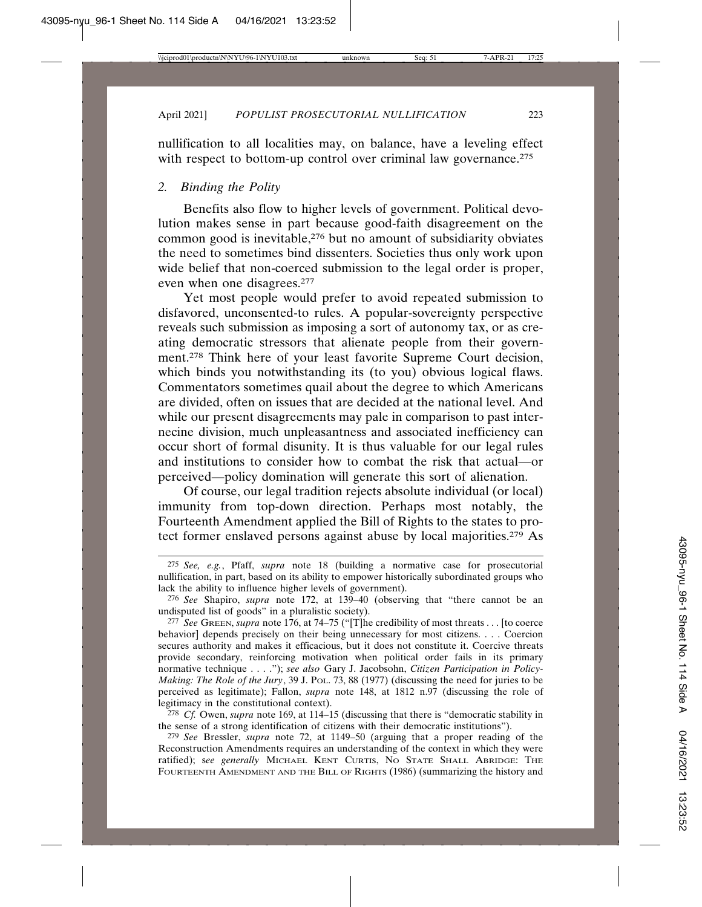nullification to all localities may, on balance, have a leveling effect with respect to bottom-up control over criminal law governance.<sup>275</sup>

#### *2. Binding the Polity*

Benefits also flow to higher levels of government. Political devolution makes sense in part because good-faith disagreement on the common good is inevitable,<sup>276</sup> but no amount of subsidiarity obviates the need to sometimes bind dissenters. Societies thus only work upon wide belief that non-coerced submission to the legal order is proper, even when one disagrees.277

Yet most people would prefer to avoid repeated submission to disfavored, unconsented-to rules. A popular-sovereignty perspective reveals such submission as imposing a sort of autonomy tax, or as creating democratic stressors that alienate people from their government.278 Think here of your least favorite Supreme Court decision, which binds you notwithstanding its (to you) obvious logical flaws. Commentators sometimes quail about the degree to which Americans are divided, often on issues that are decided at the national level. And while our present disagreements may pale in comparison to past internecine division, much unpleasantness and associated inefficiency can occur short of formal disunity. It is thus valuable for our legal rules and institutions to consider how to combat the risk that actual—or perceived—policy domination will generate this sort of alienation.

Of course, our legal tradition rejects absolute individual (or local) immunity from top-down direction. Perhaps most notably, the Fourteenth Amendment applied the Bill of Rights to the states to protect former enslaved persons against abuse by local majorities.279 As

278 *Cf.* Owen, *supra* note 169, at 114–15 (discussing that there is "democratic stability in the sense of a strong identification of citizens with their democratic institutions").

279 *See* Bressler, *supra* note 72, at 1149–50 (arguing that a proper reading of the Reconstruction Amendments requires an understanding of the context in which they were ratified); s*ee generally* MICHAEL KENT CURTIS, NO STATE SHALL ABRIDGE: THE FOURTEENTH AMENDMENT AND THE BILL OF RIGHTS (1986) (summarizing the history and

<sup>275</sup> *See, e.g.*, Pfaff, *supra* note 18 (building a normative case for prosecutorial nullification, in part, based on its ability to empower historically subordinated groups who lack the ability to influence higher levels of government).

<sup>276</sup> *See* Shapiro, *supra* note 172, at 139–40 (observing that "there cannot be an undisputed list of goods" in a pluralistic society).

<sup>277</sup> *See* GREEN, *supra* note 176, at 74–75 ("[T]he credibility of most threats . . . [to coerce behavior] depends precisely on their being unnecessary for most citizens. . . . Coercion secures authority and makes it efficacious, but it does not constitute it. Coercive threats provide secondary, reinforcing motivation when political order fails in its primary normative technique . . . ."); *see also* Gary J. Jacobsohn, *Citizen Participation in Policy-Making: The Role of the Jury*, 39 J. POL. 73, 88 (1977) (discussing the need for juries to be perceived as legitimate); Fallon, *supra* note 148, at 1812 n.97 (discussing the role of legitimacy in the constitutional context).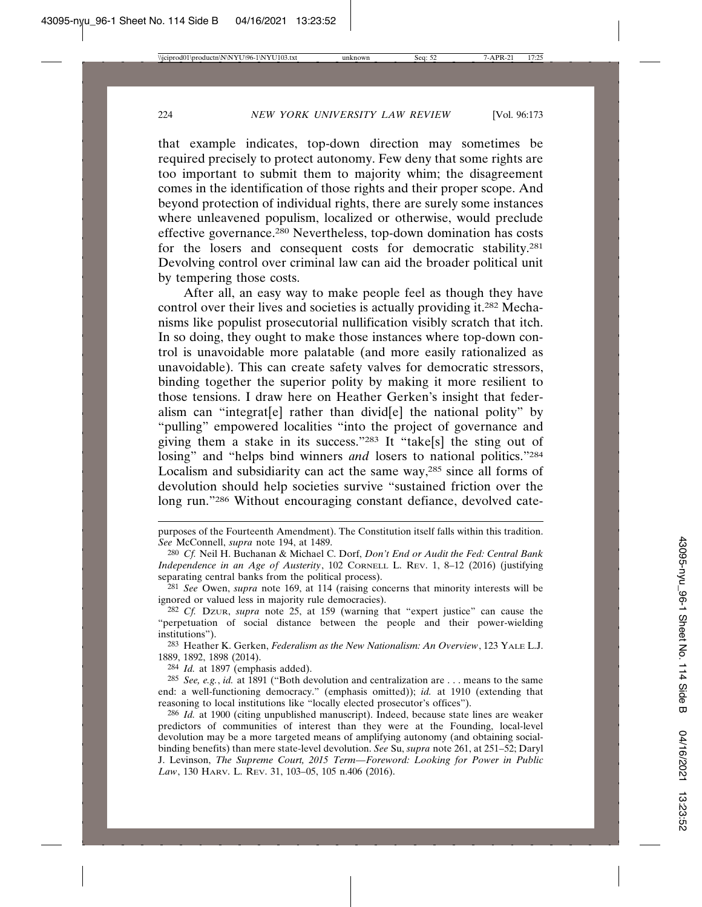that example indicates, top-down direction may sometimes be required precisely to protect autonomy. Few deny that some rights are too important to submit them to majority whim; the disagreement comes in the identification of those rights and their proper scope. And beyond protection of individual rights, there are surely some instances where unleavened populism, localized or otherwise, would preclude effective governance.280 Nevertheless, top-down domination has costs for the losers and consequent costs for democratic stability.<sup>281</sup> Devolving control over criminal law can aid the broader political unit by tempering those costs.

After all, an easy way to make people feel as though they have control over their lives and societies is actually providing it.282 Mechanisms like populist prosecutorial nullification visibly scratch that itch. In so doing, they ought to make those instances where top-down control is unavoidable more palatable (and more easily rationalized as unavoidable). This can create safety valves for democratic stressors, binding together the superior polity by making it more resilient to those tensions. I draw here on Heather Gerken's insight that federalism can "integrat[e] rather than divid[e] the national polity" by "pulling" empowered localities "into the project of governance and giving them a stake in its success."283 It "take[s] the sting out of losing" and "helps bind winners *and* losers to national politics."<sup>284</sup> Localism and subsidiarity can act the same way,285 since all forms of devolution should help societies survive "sustained friction over the long run."286 Without encouraging constant defiance, devolved cate-

283 Heather K. Gerken, *Federalism as the New Nationalism: An Overview*, 123 YALE L.J. 1889, 1892, 1898 (2014).

284 *Id.* at 1897 (emphasis added).

285 *See, e.g.*, *id.* at 1891 ("Both devolution and centralization are . . . means to the same end: a well-functioning democracy." (emphasis omitted)); *id.* at 1910 (extending that reasoning to local institutions like "locally elected prosecutor's offices").

purposes of the Fourteenth Amendment). The Constitution itself falls within this tradition. *See* McConnell, *supra* note 194, at 1489.

<sup>280</sup> *Cf.* Neil H. Buchanan & Michael C. Dorf, *Don't End or Audit the Fed: Central Bank Independence in an Age of Austerity*, 102 CORNELL L. REV. 1, 8–12 (2016) (justifying separating central banks from the political process).

<sup>281</sup> *See* Owen, *supra* note 169, at 114 (raising concerns that minority interests will be ignored or valued less in majority rule democracies).

<sup>282</sup> *Cf.* DZUR, *supra* note 25, at 159 (warning that "expert justice" can cause the "perpetuation of social distance between the people and their power-wielding institutions").

<sup>286</sup> *Id.* at 1900 (citing unpublished manuscript). Indeed, because state lines are weaker predictors of communities of interest than they were at the Founding, local-level devolution may be a more targeted means of amplifying autonomy (and obtaining socialbinding benefits) than mere state-level devolution. *See* Su, *supra* note 261, at 251–52; Daryl J. Levinson, *The Supreme Court, 2015 Term—Foreword: Looking for Power in Public Law*, 130 HARV. L. REV. 31, 103–05, 105 n.406 (2016).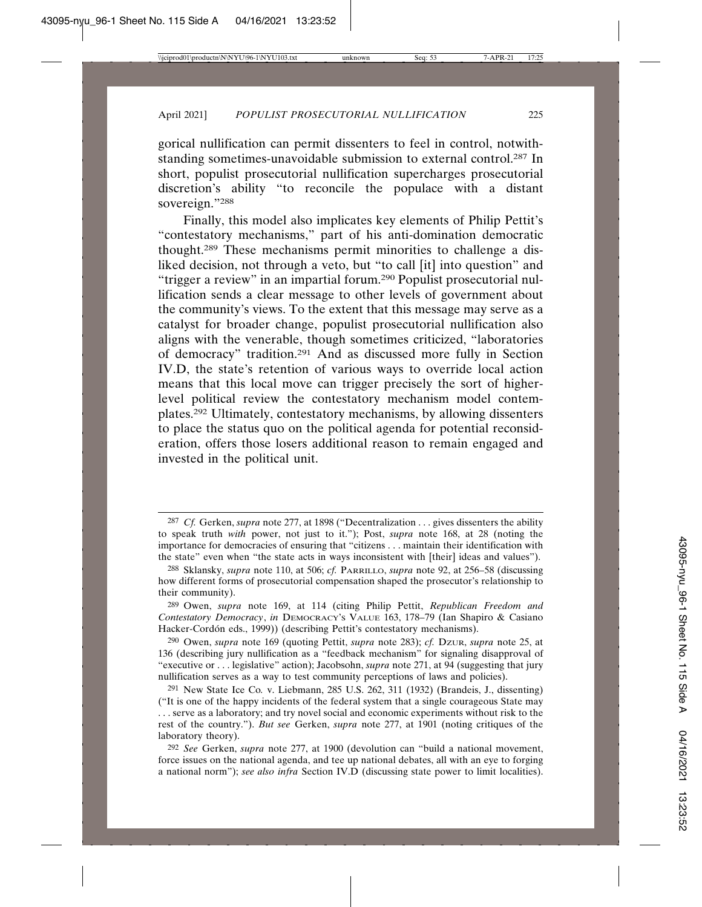gorical nullification can permit dissenters to feel in control, notwithstanding sometimes-unavoidable submission to external control.287 In short, populist prosecutorial nullification supercharges prosecutorial discretion's ability "to reconcile the populace with a distant sovereign."288

Finally, this model also implicates key elements of Philip Pettit's "contestatory mechanisms," part of his anti-domination democratic thought.289 These mechanisms permit minorities to challenge a disliked decision, not through a veto, but "to call [it] into question" and "trigger a review" in an impartial forum.290 Populist prosecutorial nullification sends a clear message to other levels of government about the community's views. To the extent that this message may serve as a catalyst for broader change, populist prosecutorial nullification also aligns with the venerable, though sometimes criticized, "laboratories of democracy" tradition.291 And as discussed more fully in Section IV.D, the state's retention of various ways to override local action means that this local move can trigger precisely the sort of higherlevel political review the contestatory mechanism model contemplates.292 Ultimately, contestatory mechanisms, by allowing dissenters to place the status quo on the political agenda for potential reconsideration, offers those losers additional reason to remain engaged and invested in the political unit.

290 Owen, *supra* note 169 (quoting Pettit, *supra* note 283); *cf.* DZUR, *supra* note 25, at 136 (describing jury nullification as a "feedback mechanism" for signaling disapproval of "executive or . . . legislative" action); Jacobsohn, *supra* note 271, at 94 (suggesting that jury nullification serves as a way to test community perceptions of laws and policies).

291 New State Ice Co*.* v. Liebmann, 285 U.S. 262, 311 (1932) (Brandeis, J., dissenting) ("It is one of the happy incidents of the federal system that a single courageous State may . . . serve as a laboratory; and try novel social and economic experiments without risk to the rest of the country."). *But see* Gerken, *supra* note 277, at 1901 (noting critiques of the laboratory theory).

292 *See* Gerken, *supra* note 277, at 1900 (devolution can "build a national movement, force issues on the national agenda, and tee up national debates, all with an eye to forging a national norm"); *see also infra* Section IV.D (discussing state power to limit localities).

<sup>287</sup> *Cf.* Gerken, *supra* note 277, at 1898 ("Decentralization . . . gives dissenters the ability to speak truth *with* power, not just to it."); Post, *supra* note 168, at 28 (noting the importance for democracies of ensuring that "citizens . . . maintain their identification with the state" even when "the state acts in ways inconsistent with [their] ideas and values").

<sup>288</sup> Sklansky, *supra* note 110, at 506; *cf.* PARRILLO, *supra* note 92, at 256–58 (discussing how different forms of prosecutorial compensation shaped the prosecutor's relationship to their community).

<sup>289</sup> Owen, *supra* note 169, at 114 (citing Philip Pettit, *Republican Freedom and Contestatory Democracy*, *in* DEMOCRACY'S VALUE 163, 178–79 (Ian Shapiro & Casiano Hacker-Cordón eds., 1999)) (describing Pettit's contestatory mechanisms).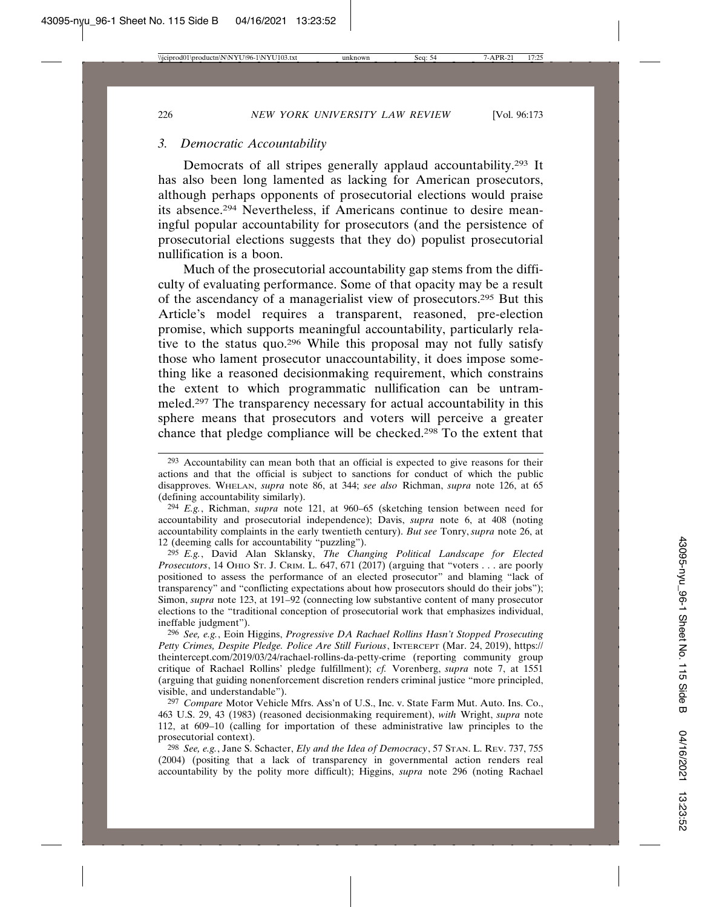#### *3. Democratic Accountability*

Democrats of all stripes generally applaud accountability.293 It has also been long lamented as lacking for American prosecutors, although perhaps opponents of prosecutorial elections would praise its absence.294 Nevertheless, if Americans continue to desire meaningful popular accountability for prosecutors (and the persistence of prosecutorial elections suggests that they do) populist prosecutorial nullification is a boon.

Much of the prosecutorial accountability gap stems from the difficulty of evaluating performance. Some of that opacity may be a result of the ascendancy of a managerialist view of prosecutors.295 But this Article's model requires a transparent, reasoned, pre-election promise, which supports meaningful accountability, particularly relative to the status quo.296 While this proposal may not fully satisfy those who lament prosecutor unaccountability, it does impose something like a reasoned decisionmaking requirement, which constrains the extent to which programmatic nullification can be untrammeled.297 The transparency necessary for actual accountability in this sphere means that prosecutors and voters will perceive a greater chance that pledge compliance will be checked.298 To the extent that

295 *E.g.*, David Alan Sklansky, *The Changing Political Landscape for Elected Prosecutors*, 14 OHIO ST. J. CRIM. L. 647, 671 (2017) (arguing that "voters . . . are poorly positioned to assess the performance of an elected prosecutor" and blaming "lack of transparency" and "conflicting expectations about how prosecutors should do their jobs"); Simon, *supra* note 123, at 191–92 (connecting low substantive content of many prosecutor elections to the "traditional conception of prosecutorial work that emphasizes individual, ineffable judgment").

296 *See, e.g.*, Eoin Higgins, *Progressive DA Rachael Rollins Hasn't Stopped Prosecuting Petty Crimes, Despite Pledge. Police Are Still Furious*, INTERCEPT (Mar. 24, 2019), https:// theintercept.com/2019/03/24/rachael-rollins-da-petty-crime (reporting community group critique of Rachael Rollins' pledge fulfillment); *cf.* Vorenberg, *supra* note 7, at 1551 (arguing that guiding nonenforcement discretion renders criminal justice "more principled, visible, and understandable").

297 *Compare* Motor Vehicle Mfrs. Ass'n of U.S., Inc. v. State Farm Mut. Auto. Ins. Co., 463 U.S. 29, 43 (1983) (reasoned decisionmaking requirement), *with* Wright, *supra* note 112, at 609–10 (calling for importation of these administrative law principles to the prosecutorial context).

298 *See, e.g.*, Jane S. Schacter, *Ely and the Idea of Democracy*, 57 STAN. L. REV. 737, 755 (2004) (positing that a lack of transparency in governmental action renders real accountability by the polity more difficult); Higgins, *supra* note 296 (noting Rachael

<sup>293</sup> Accountability can mean both that an official is expected to give reasons for their actions and that the official is subject to sanctions for conduct of which the public disapproves. WHELAN, *supra* note 86, at 344; *see also* Richman, *supra* note 126, at 65 (defining accountability similarly).

<sup>294</sup> *E.g.*, Richman, *supra* note 121, at 960–65 (sketching tension between need for accountability and prosecutorial independence); Davis, *supra* note 6, at 408 (noting accountability complaints in the early twentieth century). *But see* Tonry, *supra* note 26, at 12 (deeming calls for accountability "puzzling").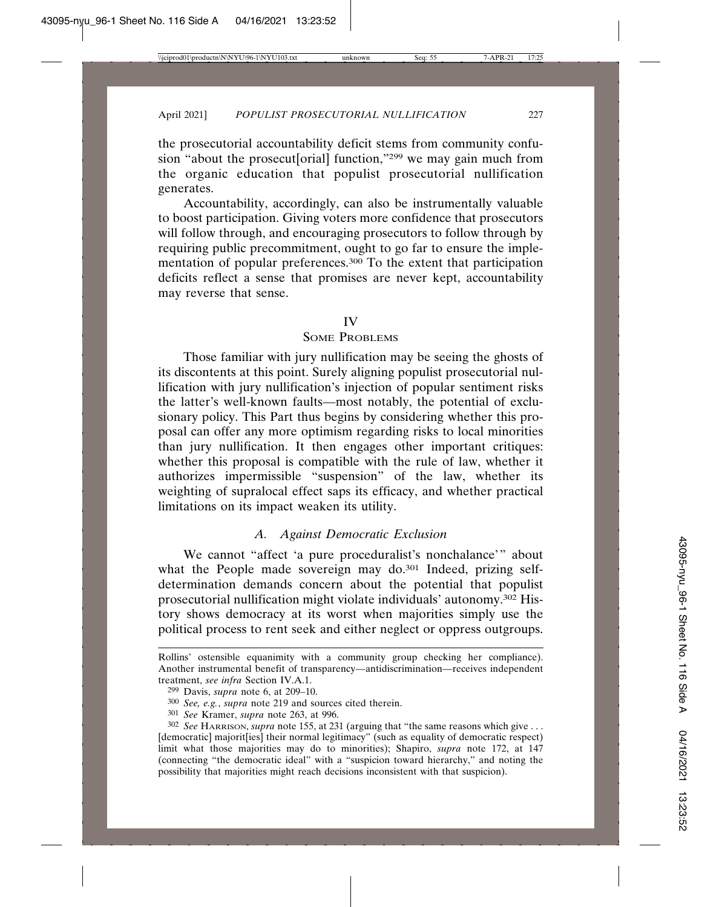the prosecutorial accountability deficit stems from community confusion "about the prosecut [orial] function,"<sup>299</sup> we may gain much from the organic education that populist prosecutorial nullification generates.

Accountability, accordingly, can also be instrumentally valuable to boost participation. Giving voters more confidence that prosecutors will follow through, and encouraging prosecutors to follow through by requiring public precommitment, ought to go far to ensure the implementation of popular preferences.300 To the extent that participation deficits reflect a sense that promises are never kept, accountability may reverse that sense.

#### IV

#### SOME PROBLEMS

Those familiar with jury nullification may be seeing the ghosts of its discontents at this point. Surely aligning populist prosecutorial nullification with jury nullification's injection of popular sentiment risks the latter's well-known faults—most notably, the potential of exclusionary policy. This Part thus begins by considering whether this proposal can offer any more optimism regarding risks to local minorities than jury nullification. It then engages other important critiques: whether this proposal is compatible with the rule of law, whether it authorizes impermissible "suspension" of the law, whether its weighting of supralocal effect saps its efficacy, and whether practical limitations on its impact weaken its utility.

#### *A. Against Democratic Exclusion*

We cannot "affect 'a pure proceduralist's nonchalance'" about what the People made sovereign may do.<sup>301</sup> Indeed, prizing selfdetermination demands concern about the potential that populist prosecutorial nullification might violate individuals' autonomy.302 History shows democracy at its worst when majorities simply use the political process to rent seek and either neglect or oppress outgroups.

Rollins' ostensible equanimity with a community group checking her compliance). Another instrumental benefit of transparency—antidiscrimination—receives independent treatment, *see infra* Section IV.A.1.

<sup>299</sup> Davis, *supra* note 6, at 209–10.

<sup>300</sup> *See, e.g.*, *supra* note 219 and sources cited therein.

<sup>301</sup> *See* Kramer, *supra* note 263, at 996.

<sup>302</sup> *See* HARRISON, *supra* note 155, at 231 (arguing that "the same reasons which give . . . [democratic] majorit[ies] their normal legitimacy" (such as equality of democratic respect) limit what those majorities may do to minorities); Shapiro, *supra* note 172, at 147 (connecting "the democratic ideal" with a "suspicion toward hierarchy," and noting the possibility that majorities might reach decisions inconsistent with that suspicion).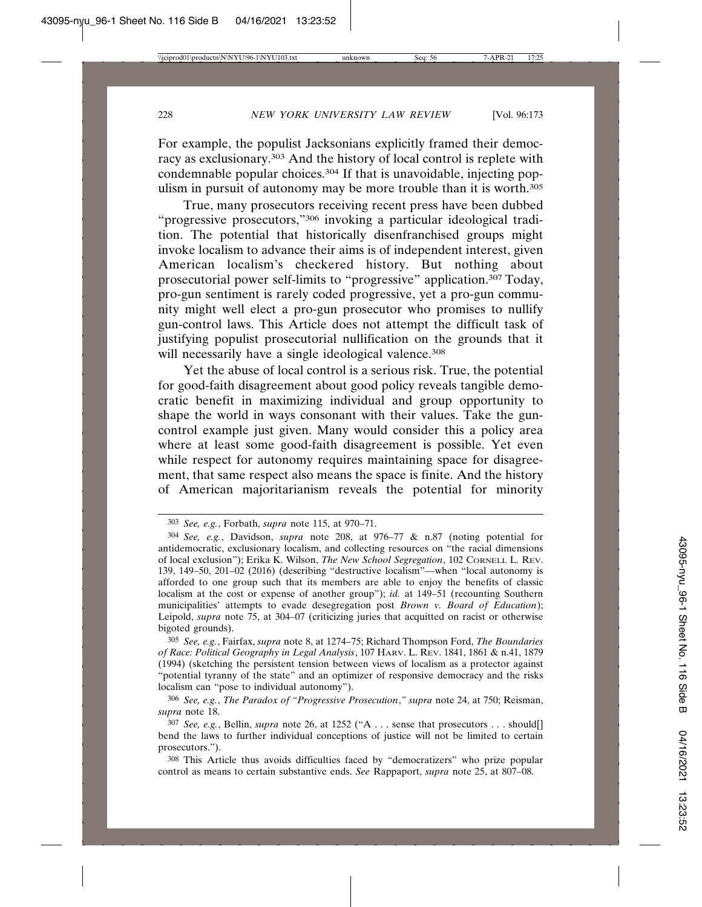For example, the populist Jacksonians explicitly framed their democracy as exclusionary.303 And the history of local control is replete with condemnable popular choices.304 If that is unavoidable, injecting populism in pursuit of autonomy may be more trouble than it is worth.<sup>305</sup>

True, many prosecutors receiving recent press have been dubbed "progressive prosecutors,"306 invoking a particular ideological tradition. The potential that historically disenfranchised groups might invoke localism to advance their aims is of independent interest, given American localism's checkered history. But nothing about prosecutorial power self-limits to "progressive" application.307 Today, pro-gun sentiment is rarely coded progressive, yet a pro-gun community might well elect a pro-gun prosecutor who promises to nullify gun-control laws. This Article does not attempt the difficult task of justifying populist prosecutorial nullification on the grounds that it will necessarily have a single ideological valence.<sup>308</sup>

Yet the abuse of local control is a serious risk. True, the potential for good-faith disagreement about good policy reveals tangible democratic benefit in maximizing individual and group opportunity to shape the world in ways consonant with their values. Take the guncontrol example just given. Many would consider this a policy area where at least some good-faith disagreement is possible. Yet even while respect for autonomy requires maintaining space for disagreement, that same respect also means the space is finite. And the history of American majoritarianism reveals the potential for minority

305 *See, e.g.*, Fairfax, *supra* note 8, at 1274–75; Richard Thompson Ford, *The Boundaries of Race: Political Geography in Legal Analysis*, 107 HARV. L. REV. 1841, 1861 & n.41, 1879 (1994) (sketching the persistent tension between views of localism as a protector against "potential tyranny of the state" and an optimizer of responsive democracy and the risks localism can "pose to individual autonomy").

<sup>303</sup> *See, e.g.*, Forbath, *supra* note 115, at 970–71.

<sup>304</sup> *See, e.g.*, Davidson, *supra* note 208, at 976–77 & n.87 (noting potential for antidemocratic, exclusionary localism, and collecting resources on "the racial dimensions of local exclusion"); Erika K. Wilson, *The New School Segregation*, 102 CORNELL L. REV. 139, 149–50, 201–02 (2016) (describing "destructive localism"—when "local autonomy is afforded to one group such that its members are able to enjoy the benefits of classic localism at the cost or expense of another group"); *id.* at 149–51 (recounting Southern municipalities' attempts to evade desegregation post *Brown v. Board of Education*); Leipold, *supra* note 75, at 304–07 (criticizing juries that acquitted on racist or otherwise bigoted grounds).

<sup>306</sup> *See, e.g.*, *The Paradox of "Progressive Prosecution*,*" supra* note 24, at 750; Reisman, *supra* note 18.

<sup>307</sup> *See, e.g.*, Bellin, *supra* note 26, at 1252 ("A . . . sense that prosecutors . . . should[] bend the laws to further individual conceptions of justice will not be limited to certain prosecutors.").

<sup>308</sup> This Article thus avoids difficulties faced by "democratizers" who prize popular control as means to certain substantive ends. *See* Rappaport, *supra* note 25, at 807–08.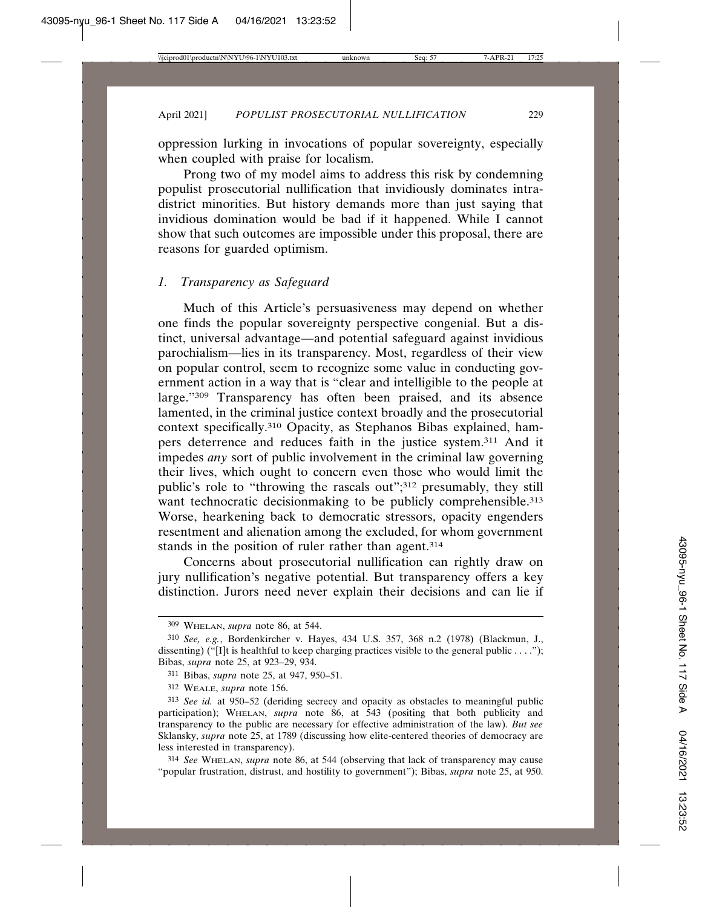oppression lurking in invocations of popular sovereignty, especially when coupled with praise for localism.

Prong two of my model aims to address this risk by condemning populist prosecutorial nullification that invidiously dominates intradistrict minorities. But history demands more than just saying that invidious domination would be bad if it happened. While I cannot show that such outcomes are impossible under this proposal, there are reasons for guarded optimism.

# *1. Transparency as Safeguard*

Much of this Article's persuasiveness may depend on whether one finds the popular sovereignty perspective congenial. But a distinct, universal advantage—and potential safeguard against invidious parochialism—lies in its transparency. Most, regardless of their view on popular control, seem to recognize some value in conducting government action in a way that is "clear and intelligible to the people at large."309 Transparency has often been praised, and its absence lamented, in the criminal justice context broadly and the prosecutorial context specifically.310 Opacity, as Stephanos Bibas explained, hampers deterrence and reduces faith in the justice system.311 And it impedes *any* sort of public involvement in the criminal law governing their lives, which ought to concern even those who would limit the public's role to "throwing the rascals out";<sup>312</sup> presumably, they still want technocratic decisionmaking to be publicly comprehensible.<sup>313</sup> Worse, hearkening back to democratic stressors, opacity engenders resentment and alienation among the excluded, for whom government stands in the position of ruler rather than agent.<sup>314</sup>

Concerns about prosecutorial nullification can rightly draw on jury nullification's negative potential. But transparency offers a key distinction. Jurors need never explain their decisions and can lie if

<sup>309</sup> WHELAN, *supra* note 86, at 544.

<sup>310</sup> *See, e.g.*, Bordenkircher v. Hayes, 434 U.S. 357, 368 n.2 (1978) (Blackmun, J., dissenting) ("[I]t is healthful to keep charging practices visible to the general public . . . ."); Bibas, *supra* note 25, at 923–29, 934.

<sup>311</sup> Bibas, *supra* note 25, at 947, 950–51.

<sup>312</sup> WEALE, *supra* note 156.

<sup>313</sup> *See id.* at 950–52 (deriding secrecy and opacity as obstacles to meaningful public participation); WHELAN, *supra* note 86, at 543 (positing that both publicity and transparency to the public are necessary for effective administration of the law). *But see* Sklansky, *supra* note 25, at 1789 (discussing how elite-centered theories of democracy are less interested in transparency).

<sup>314</sup> *See* WHELAN, *supra* note 86, at 544 (observing that lack of transparency may cause "popular frustration, distrust, and hostility to government"); Bibas, *supra* note 25, at 950.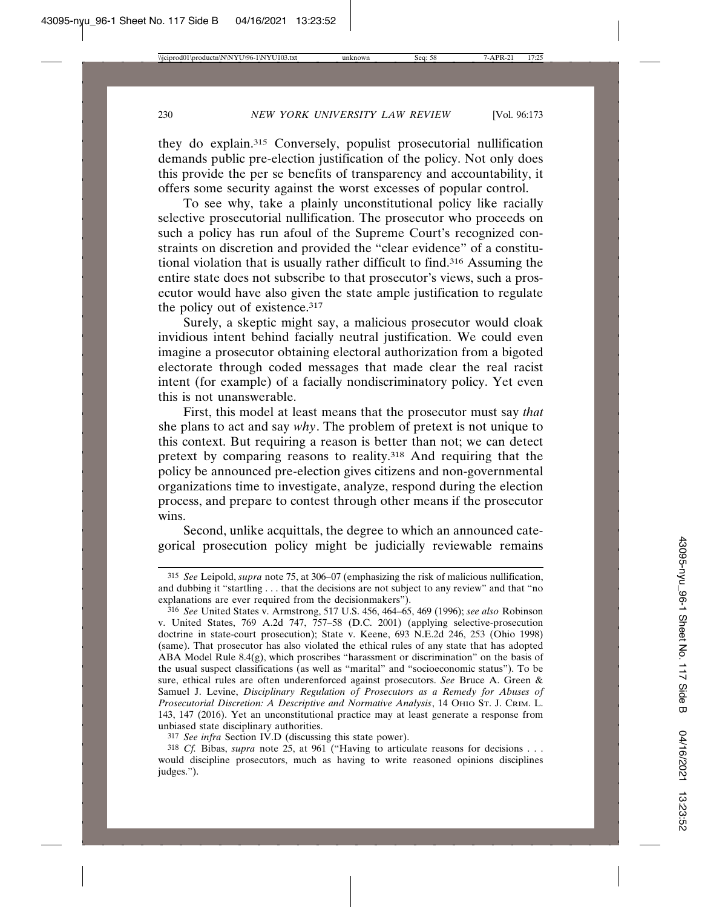they do explain.315 Conversely, populist prosecutorial nullification demands public pre-election justification of the policy. Not only does this provide the per se benefits of transparency and accountability, it offers some security against the worst excesses of popular control.

To see why, take a plainly unconstitutional policy like racially selective prosecutorial nullification. The prosecutor who proceeds on such a policy has run afoul of the Supreme Court's recognized constraints on discretion and provided the "clear evidence" of a constitutional violation that is usually rather difficult to find.316 Assuming the entire state does not subscribe to that prosecutor's views, such a prosecutor would have also given the state ample justification to regulate the policy out of existence.<sup>317</sup>

Surely, a skeptic might say, a malicious prosecutor would cloak invidious intent behind facially neutral justification. We could even imagine a prosecutor obtaining electoral authorization from a bigoted electorate through coded messages that made clear the real racist intent (for example) of a facially nondiscriminatory policy. Yet even this is not unanswerable.

First, this model at least means that the prosecutor must say *that* she plans to act and say *why*. The problem of pretext is not unique to this context. But requiring a reason is better than not; we can detect pretext by comparing reasons to reality.318 And requiring that the policy be announced pre-election gives citizens and non-governmental organizations time to investigate, analyze, respond during the election process, and prepare to contest through other means if the prosecutor wins.

Second, unlike acquittals, the degree to which an announced categorical prosecution policy might be judicially reviewable remains

317 *See infra* Section IV.D (discussing this state power).

<sup>318</sup> *Cf.* Bibas, *supra* note 25, at 961 ("Having to articulate reasons for decisions . . . would discipline prosecutors, much as having to write reasoned opinions disciplines judges.").

<sup>315</sup> *See* Leipold, *supra* note 75, at 306–07 (emphasizing the risk of malicious nullification, and dubbing it "startling . . . that the decisions are not subject to any review" and that "no explanations are ever required from the decisionmakers").

<sup>316</sup> *See* United States v. Armstrong, 517 U.S. 456, 464–65, 469 (1996); *see also* Robinson v. United States, 769 A.2d 747, 757–58 (D.C. 2001) (applying selective-prosecution doctrine in state-court prosecution); State v. Keene, 693 N.E.2d 246, 253 (Ohio 1998) (same). That prosecutor has also violated the ethical rules of any state that has adopted ABA Model Rule  $8.4(g)$ , which proscribes "harassment or discrimination" on the basis of the usual suspect classifications (as well as "marital" and "socioeconomic status"). To be sure, ethical rules are often underenforced against prosecutors. *See* Bruce A. Green & Samuel J. Levine, *Disciplinary Regulation of Prosecutors as a Remedy for Abuses of Prosecutorial Discretion: A Descriptive and Normative Analysis*, 14 OHIO ST. J. CRIM. L. 143, 147 (2016). Yet an unconstitutional practice may at least generate a response from unbiased state disciplinary authorities.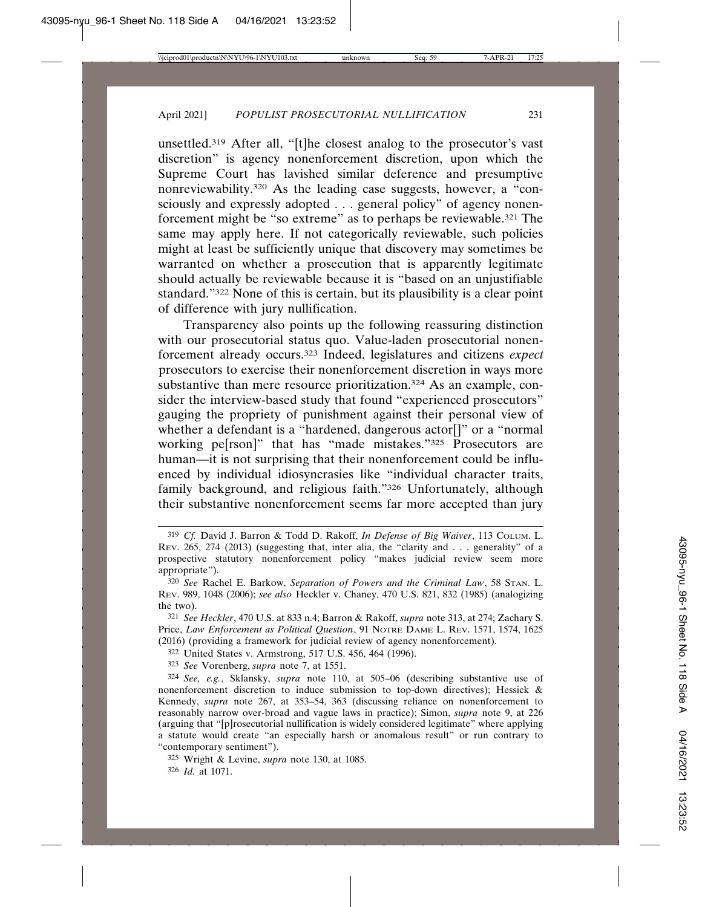unsettled.319 After all, "[t]he closest analog to the prosecutor's vast discretion" is agency nonenforcement discretion, upon which the Supreme Court has lavished similar deference and presumptive nonreviewability.320 As the leading case suggests, however, a "consciously and expressly adopted . . . general policy" of agency nonenforcement might be "so extreme" as to perhaps be reviewable.321 The same may apply here. If not categorically reviewable, such policies might at least be sufficiently unique that discovery may sometimes be warranted on whether a prosecution that is apparently legitimate should actually be reviewable because it is "based on an unjustifiable standard."322 None of this is certain, but its plausibility is a clear point of difference with jury nullification.

Transparency also points up the following reassuring distinction with our prosecutorial status quo. Value-laden prosecutorial nonenforcement already occurs.323 Indeed, legislatures and citizens *expect* prosecutors to exercise their nonenforcement discretion in ways more substantive than mere resource prioritization.<sup>324</sup> As an example, consider the interview-based study that found "experienced prosecutors" gauging the propriety of punishment against their personal view of whether a defendant is a "hardened, dangerous actor<sup>[]"</sup> or a "normal" working pe[rson]" that has "made mistakes."<sup>325</sup> Prosecutors are human—it is not surprising that their nonenforcement could be influenced by individual idiosyncrasies like "individual character traits, family background, and religious faith."326 Unfortunately, although their substantive nonenforcement seems far more accepted than jury

<sup>319</sup> *Cf.* David J. Barron & Todd D. Rakoff, *In Defense of Big Waiver*, 113 COLUM. L. REV. 265, 274 (2013) (suggesting that, inter alia, the "clarity and . . . generality" of a prospective statutory nonenforcement policy "makes judicial review seem more appropriate").

<sup>320</sup> *See* Rachel E. Barkow, *Separation of Powers and the Criminal Law*, 58 STAN. L. REV. 989, 1048 (2006); *see also* Heckler v. Chaney, 470 U.S. 821, 832 (1985) (analogizing the two).

<sup>321</sup> *See Heckler*, 470 U.S. at 833 n.4; Barron & Rakoff, *supra* note 313, at 274; Zachary S. Price, *Law Enforcement as Political Question*, 91 NOTRE DAME L. REV. 1571, 1574, 1625 (2016) (providing a framework for judicial review of agency nonenforcement).

<sup>322</sup> United States v. Armstrong, 517 U.S. 456, 464 (1996).

<sup>323</sup> *See* Vorenberg, *supra* note 7, at 1551.

<sup>324</sup> *See, e.g.*, Sklansky, *supra* note 110, at 505–06 (describing substantive use of nonenforcement discretion to induce submission to top-down directives); Hessick & Kennedy, *supra* note 267, at 353–54, 363 (discussing reliance on nonenforcement to reasonably narrow over-broad and vague laws in practice); Simon, *supra* note 9, at 226 (arguing that "[p]rosecutorial nullification is widely considered legitimate" where applying a statute would create "an especially harsh or anomalous result" or run contrary to "contemporary sentiment").

<sup>325</sup> Wright & Levine, *supra* note 130, at 1085.

<sup>326</sup> *Id.* at 1071.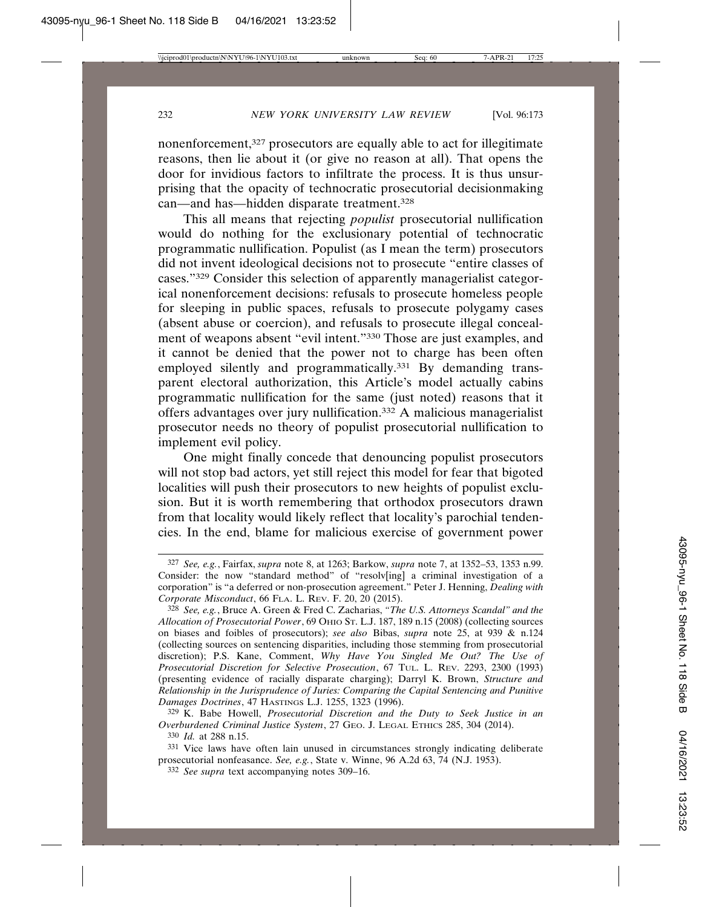nonenforcement,327 prosecutors are equally able to act for illegitimate reasons, then lie about it (or give no reason at all). That opens the door for invidious factors to infiltrate the process. It is thus unsurprising that the opacity of technocratic prosecutorial decisionmaking can—and has—hidden disparate treatment.328

This all means that rejecting *populist* prosecutorial nullification would do nothing for the exclusionary potential of technocratic programmatic nullification. Populist (as I mean the term) prosecutors did not invent ideological decisions not to prosecute "entire classes of cases."329 Consider this selection of apparently managerialist categorical nonenforcement decisions: refusals to prosecute homeless people for sleeping in public spaces, refusals to prosecute polygamy cases (absent abuse or coercion), and refusals to prosecute illegal concealment of weapons absent "evil intent."330 Those are just examples, and it cannot be denied that the power not to charge has been often employed silently and programmatically.<sup>331</sup> By demanding transparent electoral authorization, this Article's model actually cabins programmatic nullification for the same (just noted) reasons that it offers advantages over jury nullification.332 A malicious managerialist prosecutor needs no theory of populist prosecutorial nullification to implement evil policy.

One might finally concede that denouncing populist prosecutors will not stop bad actors, yet still reject this model for fear that bigoted localities will push their prosecutors to new heights of populist exclusion. But it is worth remembering that orthodox prosecutors drawn from that locality would likely reflect that locality's parochial tendencies. In the end, blame for malicious exercise of government power

<sup>327</sup> *See, e.g.*, Fairfax, *supra* note 8, at 1263; Barkow, *supra* note 7, at 1352–53, 1353 n.99. Consider: the now "standard method" of "resolv[ing] a criminal investigation of a corporation" is "a deferred or non-prosecution agreement." Peter J. Henning, *Dealing with Corporate Misconduct*, 66 FLA. L. REV. F. 20, 20 (2015).

<sup>328</sup> *See, e.g.*, Bruce A. Green & Fred C. Zacharias, *"The U.S. Attorneys Scandal" and the Allocation of Prosecutorial Power*, 69 OHIO ST. L.J. 187, 189 n.15 (2008) (collecting sources on biases and foibles of prosecutors); *see also* Bibas, *supra* note 25, at 939 & n.124 (collecting sources on sentencing disparities, including those stemming from prosecutorial discretion); P.S. Kane, Comment, *Why Have You Singled Me Out? The Use of Prosecutorial Discretion for Selective Prosecution*, 67 TUL. L. REV. 2293, 2300 (1993) (presenting evidence of racially disparate charging); Darryl K. Brown, *Structure and Relationship in the Jurisprudence of Juries: Comparing the Capital Sentencing and Punitive Damages Doctrines*, 47 HASTINGS L.J. 1255, 1323 (1996).

<sup>329</sup> K. Babe Howell, *Prosecutorial Discretion and the Duty to Seek Justice in an Overburdened Criminal Justice System*, 27 GEO. J. LEGAL ETHICS 285, 304 (2014).

<sup>330</sup> *Id.* at 288 n.15.

<sup>331</sup> Vice laws have often lain unused in circumstances strongly indicating deliberate prosecutorial nonfeasance. *See, e.g.*, State v. Winne, 96 A.2d 63, 74 (N.J. 1953).

<sup>332</sup> *See supra* text accompanying notes 309–16.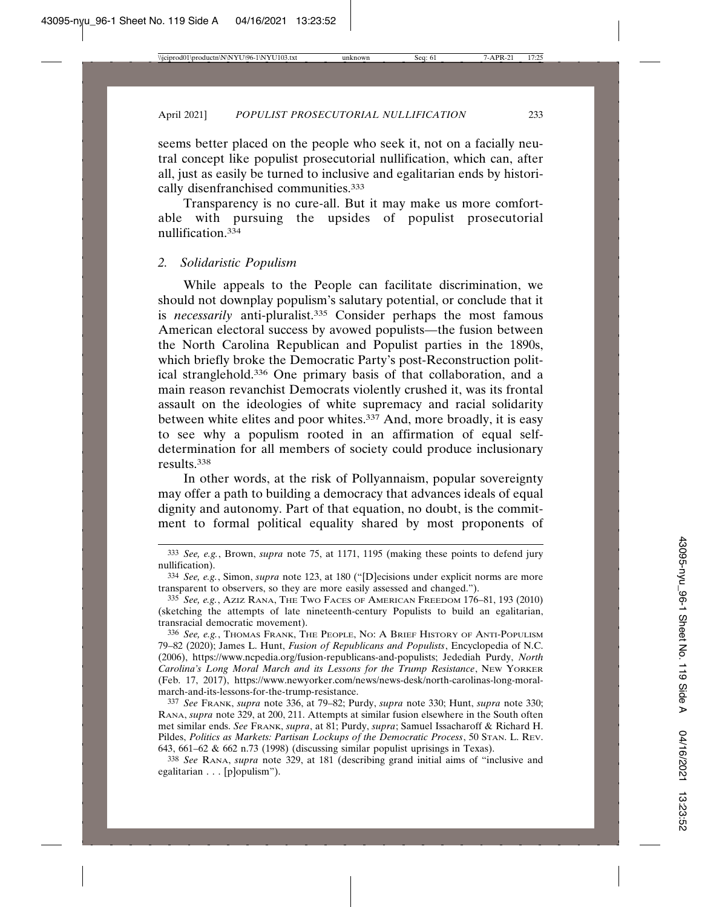seems better placed on the people who seek it, not on a facially neutral concept like populist prosecutorial nullification, which can, after all, just as easily be turned to inclusive and egalitarian ends by historically disenfranchised communities.<sup>333</sup>

Transparency is no cure-all. But it may make us more comfortable with pursuing the upsides of populist prosecutorial nullification.334

#### *2. Solidaristic Populism*

While appeals to the People can facilitate discrimination, we should not downplay populism's salutary potential, or conclude that it is *necessarily* anti-pluralist.335 Consider perhaps the most famous American electoral success by avowed populists—the fusion between the North Carolina Republican and Populist parties in the 1890s, which briefly broke the Democratic Party's post-Reconstruction political stranglehold.336 One primary basis of that collaboration, and a main reason revanchist Democrats violently crushed it, was its frontal assault on the ideologies of white supremacy and racial solidarity between white elites and poor whites.337 And, more broadly, it is easy to see why a populism rooted in an affirmation of equal selfdetermination for all members of society could produce inclusionary results.338

In other words, at the risk of Pollyannaism, popular sovereignty may offer a path to building a democracy that advances ideals of equal dignity and autonomy. Part of that equation, no doubt, is the commitment to formal political equality shared by most proponents of

<sup>333</sup> *See, e.g.*, Brown, *supra* note 75, at 1171, 1195 (making these points to defend jury nullification).

<sup>334</sup> *See, e.g.*, Simon, *supra* note 123, at 180 ("[D]ecisions under explicit norms are more transparent to observers, so they are more easily assessed and changed.").

<sup>335</sup> *See, e.g.*, AZIZ RANA, THE TWO FACES OF AMERICAN FREEDOM 176–81, 193 (2010) (sketching the attempts of late nineteenth-century Populists to build an egalitarian, transracial democratic movement).

<sup>336</sup> *See, e.g.*, THOMAS FRANK, THE PEOPLE, NO: A BRIEF HISTORY OF ANTI-POPULISM 79–82 (2020); James L. Hunt, *Fusion of Republicans and Populists*, Encyclopedia of N.C. (2006), https://www.ncpedia.org/fusion-republicans-and-populists; Jedediah Purdy, *North Carolina's Long Moral March and its Lessons for the Trump Resistance*, NEW YORKER (Feb. 17, 2017), https://www.newyorker.com/news/news-desk/north-carolinas-long-moralmarch-and-its-lessons-for-the-trump-resistance.

<sup>337</sup> *See* FRANK, *supra* note 336, at 79–82; Purdy, *supra* note 330; Hunt, *supra* note 330; RANA, *supra* note 329, at 200, 211. Attempts at similar fusion elsewhere in the South often met similar ends. *See* FRANK, *supra*, at 81; Purdy, *supra*; Samuel Issacharoff & Richard H. Pildes, *Politics as Markets: Partisan Lockups of the Democratic Process*, 50 STAN. L. REV. 643, 661–62 & 662 n.73 (1998) (discussing similar populist uprisings in Texas).

<sup>338</sup> *See* RANA, *supra* note 329, at 181 (describing grand initial aims of "inclusive and egalitarian . . . [p]opulism").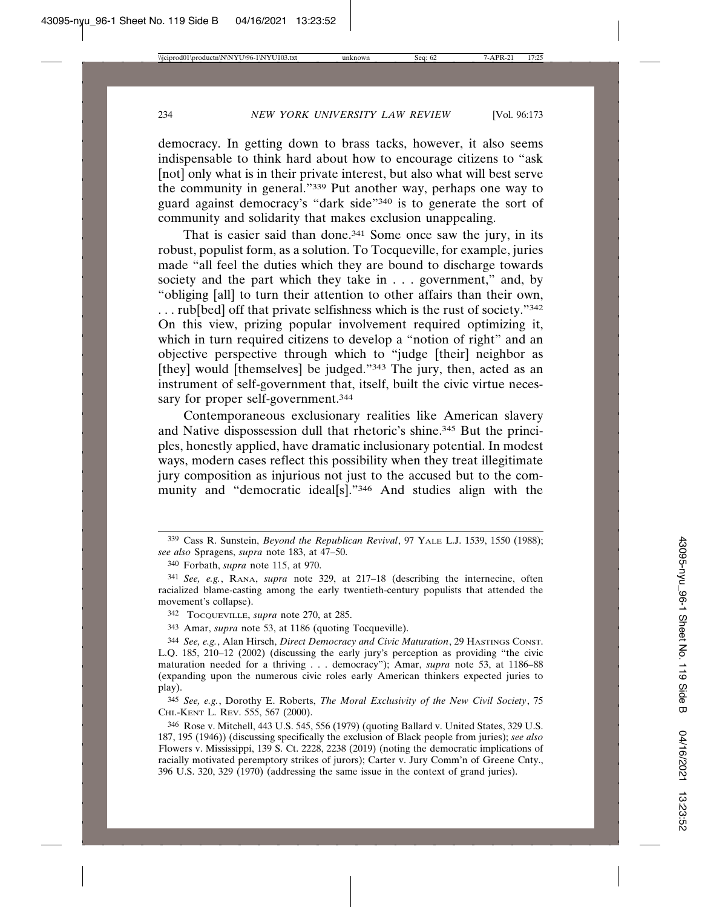democracy. In getting down to brass tacks, however, it also seems indispensable to think hard about how to encourage citizens to "ask [not] only what is in their private interest, but also what will best serve the community in general."339 Put another way, perhaps one way to guard against democracy's "dark side"340 is to generate the sort of community and solidarity that makes exclusion unappealing.

That is easier said than done.<sup>341</sup> Some once saw the jury, in its robust, populist form, as a solution. To Tocqueville, for example, juries made "all feel the duties which they are bound to discharge towards society and the part which they take in . . . government," and, by "obliging [all] to turn their attention to other affairs than their own, ... rub[bed] off that private selfishness which is the rust of society."342 On this view, prizing popular involvement required optimizing it, which in turn required citizens to develop a "notion of right" and an objective perspective through which to "judge [their] neighbor as [they] would [themselves] be judged."<sup>343</sup> The jury, then, acted as an instrument of self-government that, itself, built the civic virtue necessary for proper self-government.<sup>344</sup>

Contemporaneous exclusionary realities like American slavery and Native dispossession dull that rhetoric's shine.345 But the principles, honestly applied, have dramatic inclusionary potential. In modest ways, modern cases reflect this possibility when they treat illegitimate jury composition as injurious not just to the accused but to the community and "democratic ideal[s]."346 And studies align with the

<sup>339</sup> Cass R. Sunstein, *Beyond the Republican Revival*, 97 YALE L.J. 1539, 1550 (1988); *see also* Spragens, *supra* note 183, at 47–50.

<sup>340</sup> Forbath, *supra* note 115, at 970.

<sup>341</sup> *See, e.g.*, RANA, *supra* note 329, at 217–18 (describing the internecine, often racialized blame-casting among the early twentieth-century populists that attended the movement's collapse).

<sup>342</sup> TOCQUEVILLE, *supra* note 270, at 285.

<sup>343</sup> Amar, *supra* note 53, at 1186 (quoting Tocqueville).

<sup>344</sup> *See, e.g.*, Alan Hirsch, *Direct Democracy and Civic Maturation*, 29 HASTINGS CONST. L.Q. 185, 210–12 (2002) (discussing the early jury's perception as providing "the civic maturation needed for a thriving . . . democracy"); Amar, *supra* note 53, at 1186–88 (expanding upon the numerous civic roles early American thinkers expected juries to play).

<sup>345</sup> *See, e.g.*, Dorothy E. Roberts, *The Moral Exclusivity of the New Civil Society*, 75 CHI.-KENT L. REV. 555, 567 (2000).

<sup>346</sup> Rose v. Mitchell, 443 U.S. 545, 556 (1979) (quoting Ballard v. United States, 329 U.S. 187, 195 (1946)) (discussing specifically the exclusion of Black people from juries); *see also* Flowers v. Mississippi, 139 S. Ct. 2228, 2238 (2019) (noting the democratic implications of racially motivated peremptory strikes of jurors); Carter v. Jury Comm'n of Greene Cnty., 396 U.S. 320, 329 (1970) (addressing the same issue in the context of grand juries).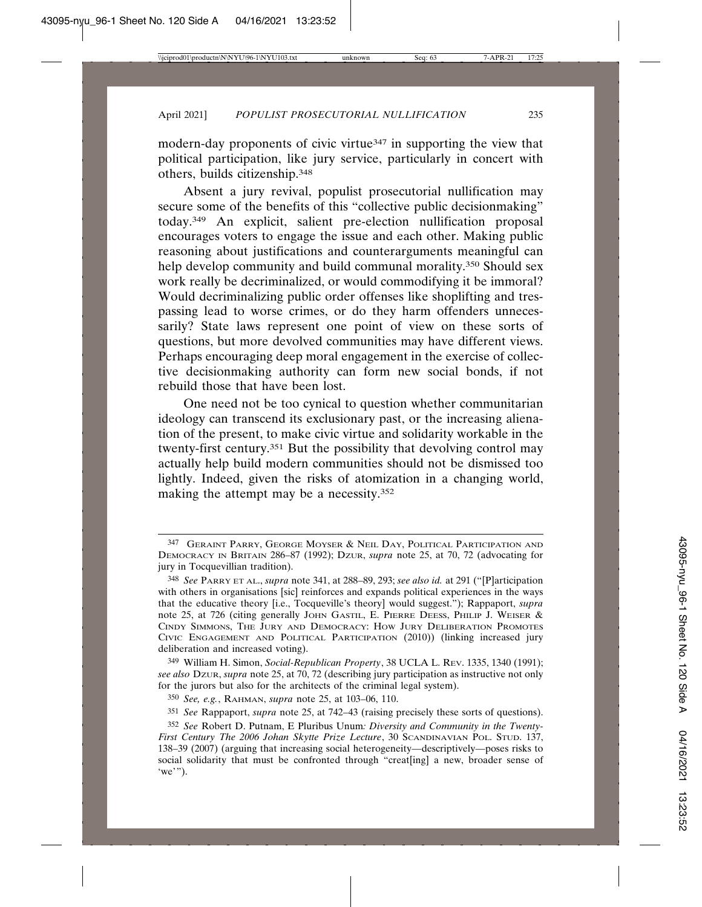modern-day proponents of civic virtue<sup>347</sup> in supporting the view that political participation, like jury service, particularly in concert with others, builds citizenship.348

Absent a jury revival, populist prosecutorial nullification may secure some of the benefits of this "collective public decisionmaking" today.349 An explicit, salient pre-election nullification proposal encourages voters to engage the issue and each other. Making public reasoning about justifications and counterarguments meaningful can help develop community and build communal morality.<sup>350</sup> Should sex work really be decriminalized, or would commodifying it be immoral? Would decriminalizing public order offenses like shoplifting and trespassing lead to worse crimes, or do they harm offenders unnecessarily? State laws represent one point of view on these sorts of questions, but more devolved communities may have different views. Perhaps encouraging deep moral engagement in the exercise of collective decisionmaking authority can form new social bonds, if not rebuild those that have been lost.

One need not be too cynical to question whether communitarian ideology can transcend its exclusionary past, or the increasing alienation of the present, to make civic virtue and solidarity workable in the twenty-first century.351 But the possibility that devolving control may actually help build modern communities should not be dismissed too lightly. Indeed, given the risks of atomization in a changing world, making the attempt may be a necessity.352

<sup>347</sup> GERAINT PARRY, GEORGE MOYSER & NEIL DAY, POLITICAL PARTICIPATION AND DEMOCRACY IN BRITAIN 286–87 (1992); DZUR, *supra* note 25, at 70, 72 (advocating for jury in Tocquevillian tradition).

<sup>348</sup> *See* PARRY ET AL., *supra* note 341, at 288–89, 293; *see also id.* at 291 ("[P]articipation with others in organisations [sic] reinforces and expands political experiences in the ways that the educative theory [i.e., Tocqueville's theory] would suggest."); Rappaport, *supra* note 25, at 726 (citing generally JOHN GASTIL, E. PIERRE DEESS, PHILIP J. WEISER & CINDY SIMMONS, THE JURY AND DEMOCRACY: HOW JURY DELIBERATION PROMOTES CIVIC ENGAGEMENT AND POLITICAL PARTICIPATION (2010)) (linking increased jury deliberation and increased voting).

<sup>349</sup> William H. Simon, *Social-Republican Property*, 38 UCLA L. REV. 1335, 1340 (1991); *see also* DZUR, *supra* note 25, at 70, 72 (describing jury participation as instructive not only for the jurors but also for the architects of the criminal legal system).

<sup>350</sup> *See, e.g.*, RAHMAN, *supra* note 25, at 103–06, 110.

<sup>351</sup> *See* Rappaport, *supra* note 25, at 742–43 (raising precisely these sorts of questions).

<sup>352</sup> *See* Robert D. Putnam, E Pluribus Unum*: Diversity and Community in the Twenty-First Century The 2006 Johan Skytte Prize Lecture*, 30 SCANDINAVIAN POL. STUD. 137, 138–39 (2007) (arguing that increasing social heterogeneity—descriptively—poses risks to social solidarity that must be confronted through "creat[ing] a new, broader sense of 'we'").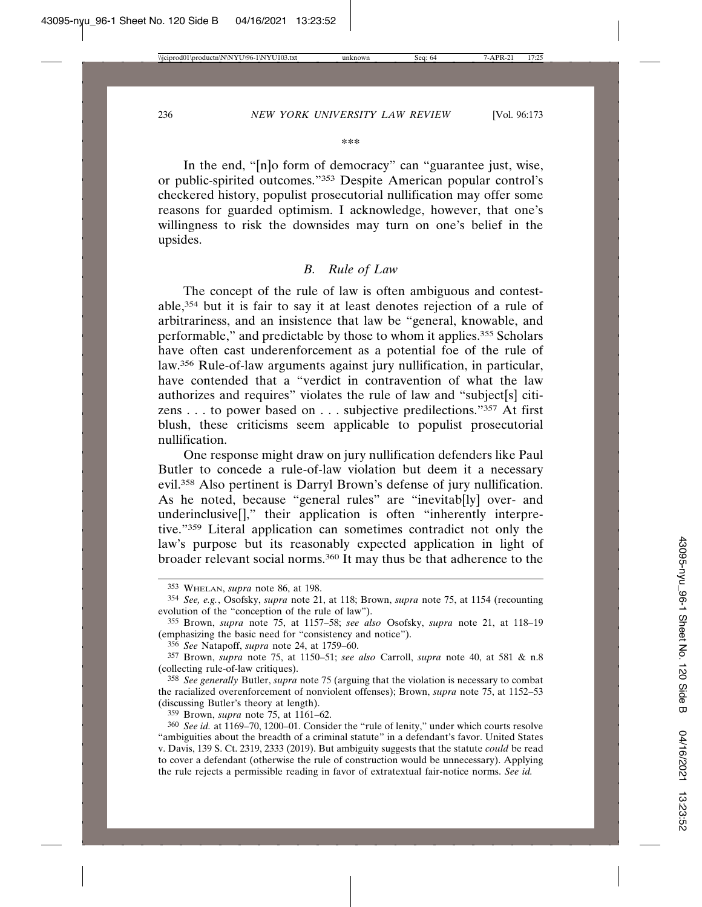#### \*\*\*

In the end, "[n]o form of democracy" can "guarantee just, wise, or public-spirited outcomes."353 Despite American popular control's checkered history, populist prosecutorial nullification may offer some reasons for guarded optimism. I acknowledge, however, that one's willingness to risk the downsides may turn on one's belief in the upsides.

### *B. Rule of Law*

The concept of the rule of law is often ambiguous and contestable,354 but it is fair to say it at least denotes rejection of a rule of arbitrariness, and an insistence that law be "general, knowable, and performable," and predictable by those to whom it applies.355 Scholars have often cast underenforcement as a potential foe of the rule of law.356 Rule-of-law arguments against jury nullification, in particular, have contended that a "verdict in contravention of what the law authorizes and requires" violates the rule of law and "subject[s] citizens . . . to power based on . . . subjective predilections."357 At first blush, these criticisms seem applicable to populist prosecutorial nullification.

One response might draw on jury nullification defenders like Paul Butler to concede a rule-of-law violation but deem it a necessary evil.358 Also pertinent is Darryl Brown's defense of jury nullification. As he noted, because "general rules" are "inevitab[ly] over- and underinclusive[]," their application is often "inherently interpretive."359 Literal application can sometimes contradict not only the law's purpose but its reasonably expected application in light of broader relevant social norms.360 It may thus be that adherence to the

356 *See* Natapoff, *supra* note 24, at 1759–60.

358 *See generally* Butler, *supra* note 75 (arguing that the violation is necessary to combat the racialized overenforcement of nonviolent offenses); Brown, *supra* note 75, at 1152–53 (discussing Butler's theory at length).

359 Brown, *supra* note 75, at 1161–62.

<sup>353</sup> WHELAN, *supra* note 86, at 198.

<sup>354</sup> *See, e.g.*, Osofsky, *supra* note 21, at 118; Brown, *supra* note 75, at 1154 (recounting evolution of the "conception of the rule of law").

<sup>355</sup> Brown, *supra* note 75, at 1157–58; *see also* Osofsky, *supra* note 21, at 118–19 (emphasizing the basic need for "consistency and notice").

<sup>357</sup> Brown, *supra* note 75, at 1150–51; *see also* Carroll, *supra* note 40, at 581 & n.8 (collecting rule-of-law critiques).

<sup>360</sup> *See id.* at 1169–70, 1200–01. Consider the "rule of lenity," under which courts resolve "ambiguities about the breadth of a criminal statute" in a defendant's favor. United States v. Davis, 139 S. Ct. 2319, 2333 (2019). But ambiguity suggests that the statute *could* be read to cover a defendant (otherwise the rule of construction would be unnecessary). Applying the rule rejects a permissible reading in favor of extratextual fair-notice norms. *See id.*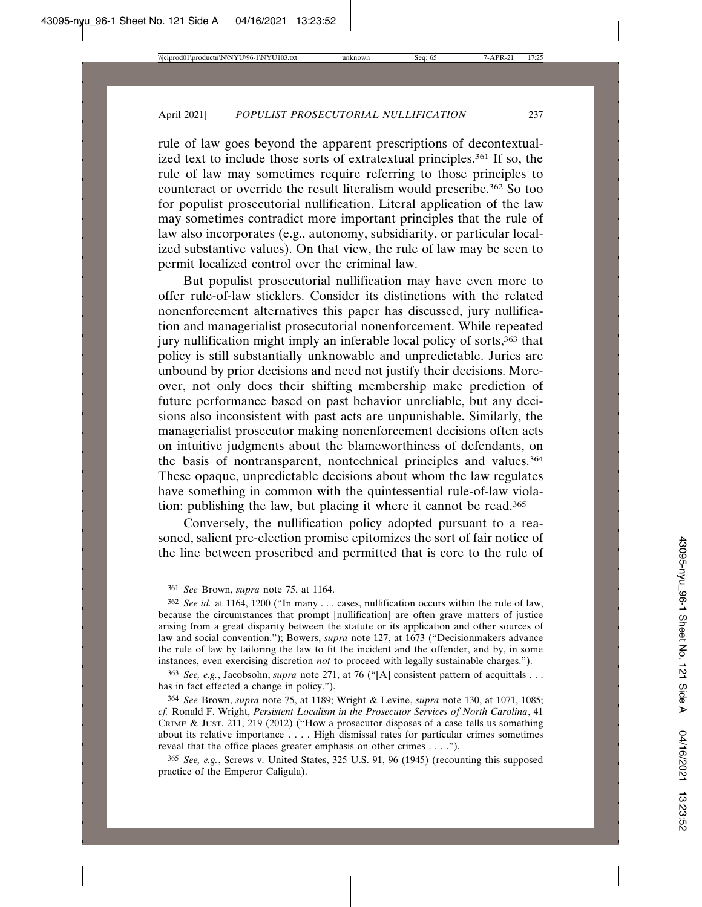rule of law goes beyond the apparent prescriptions of decontextualized text to include those sorts of extratextual principles.361 If so, the rule of law may sometimes require referring to those principles to counteract or override the result literalism would prescribe.362 So too for populist prosecutorial nullification. Literal application of the law may sometimes contradict more important principles that the rule of law also incorporates (e.g., autonomy, subsidiarity, or particular localized substantive values). On that view, the rule of law may be seen to permit localized control over the criminal law.

But populist prosecutorial nullification may have even more to offer rule-of-law sticklers. Consider its distinctions with the related nonenforcement alternatives this paper has discussed, jury nullification and managerialist prosecutorial nonenforcement. While repeated jury nullification might imply an inferable local policy of sorts,<sup>363</sup> that policy is still substantially unknowable and unpredictable. Juries are unbound by prior decisions and need not justify their decisions. Moreover, not only does their shifting membership make prediction of future performance based on past behavior unreliable, but any decisions also inconsistent with past acts are unpunishable. Similarly, the managerialist prosecutor making nonenforcement decisions often acts on intuitive judgments about the blameworthiness of defendants, on the basis of nontransparent, nontechnical principles and values.364 These opaque, unpredictable decisions about whom the law regulates have something in common with the quintessential rule-of-law violation: publishing the law, but placing it where it cannot be read.365

Conversely, the nullification policy adopted pursuant to a reasoned, salient pre-election promise epitomizes the sort of fair notice of the line between proscribed and permitted that is core to the rule of

<sup>361</sup> *See* Brown, *supra* note 75, at 1164.

<sup>362</sup> *See id.* at 1164, 1200 ("In many . . . cases, nullification occurs within the rule of law, because the circumstances that prompt [nullification] are often grave matters of justice arising from a great disparity between the statute or its application and other sources of law and social convention."); Bowers, *supra* note 127, at 1673 ("Decisionmakers advance the rule of law by tailoring the law to fit the incident and the offender, and by, in some instances, even exercising discretion *not* to proceed with legally sustainable charges.").

<sup>363</sup> *See, e.g.*, Jacobsohn, *supra* note 271, at 76 ("[A] consistent pattern of acquittals . . . has in fact effected a change in policy.").

<sup>364</sup> *See* Brown, *supra* note 75, at 1189; Wright & Levine, *supra* note 130, at 1071, 1085; *cf.* Ronald F. Wright, *Persistent Localism in the Prosecutor Services of North Carolina*, 41 CRIME & JUST. 211, 219 (2012) ("How a prosecutor disposes of a case tells us something about its relative importance . . . . High dismissal rates for particular crimes sometimes reveal that the office places greater emphasis on other crimes . . . .").

<sup>365</sup> *See, e.g.*, Screws v. United States, 325 U.S. 91, 96 (1945) (recounting this supposed practice of the Emperor Caligula).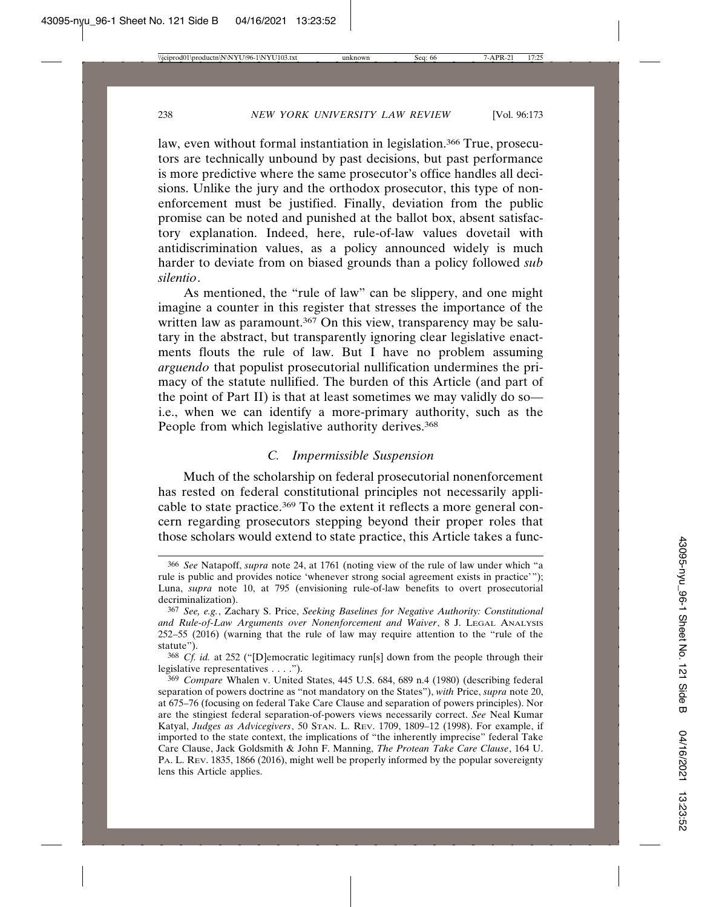law, even without formal instantiation in legislation.366 True, prosecutors are technically unbound by past decisions, but past performance is more predictive where the same prosecutor's office handles all decisions. Unlike the jury and the orthodox prosecutor, this type of nonenforcement must be justified. Finally, deviation from the public promise can be noted and punished at the ballot box, absent satisfactory explanation. Indeed, here, rule-of-law values dovetail with antidiscrimination values, as a policy announced widely is much harder to deviate from on biased grounds than a policy followed *sub silentio*.

As mentioned, the "rule of law" can be slippery, and one might imagine a counter in this register that stresses the importance of the written law as paramount.<sup>367</sup> On this view, transparency may be salutary in the abstract, but transparently ignoring clear legislative enactments flouts the rule of law. But I have no problem assuming *arguendo* that populist prosecutorial nullification undermines the primacy of the statute nullified. The burden of this Article (and part of the point of Part II) is that at least sometimes we may validly do so i.e., when we can identify a more-primary authority, such as the People from which legislative authority derives.<sup>368</sup>

# *C. Impermissible Suspension*

Much of the scholarship on federal prosecutorial nonenforcement has rested on federal constitutional principles not necessarily applicable to state practice.369 To the extent it reflects a more general concern regarding prosecutors stepping beyond their proper roles that those scholars would extend to state practice, this Article takes a func-

<sup>366</sup> *See* Natapoff, *supra* note 24, at 1761 (noting view of the rule of law under which "a rule is public and provides notice 'whenever strong social agreement exists in practice'"); Luna, *supra* note 10, at 795 (envisioning rule-of-law benefits to overt prosecutorial decriminalization).

<sup>367</sup> *See, e.g.*, Zachary S. Price, *Seeking Baselines for Negative Authority: Constitutional and Rule-of-Law Arguments over Nonenforcement and Waiver*, 8 J. LEGAL ANALYSIS 252–55 (2016) (warning that the rule of law may require attention to the "rule of the statute").

<sup>368</sup> *Cf. id.* at 252 ("[D]emocratic legitimacy run[s] down from the people through their legislative representatives . . . .").

<sup>369</sup> *Compare* Whalen v. United States, 445 U.S. 684, 689 n.4 (1980) (describing federal separation of powers doctrine as "not mandatory on the States"), *with* Price, *supra* note 20, at 675–76 (focusing on federal Take Care Clause and separation of powers principles). Nor are the stingiest federal separation-of-powers views necessarily correct. *See* Neal Kumar Katyal, *Judges as Advicegivers*, 50 STAN. L. REV. 1709, 1809–12 (1998). For example, if imported to the state context, the implications of "the inherently imprecise" federal Take Care Clause, Jack Goldsmith & John F. Manning, *The Protean Take Care Clause*, 164 U. PA. L. REV. 1835, 1866 (2016), might well be properly informed by the popular sovereignty lens this Article applies.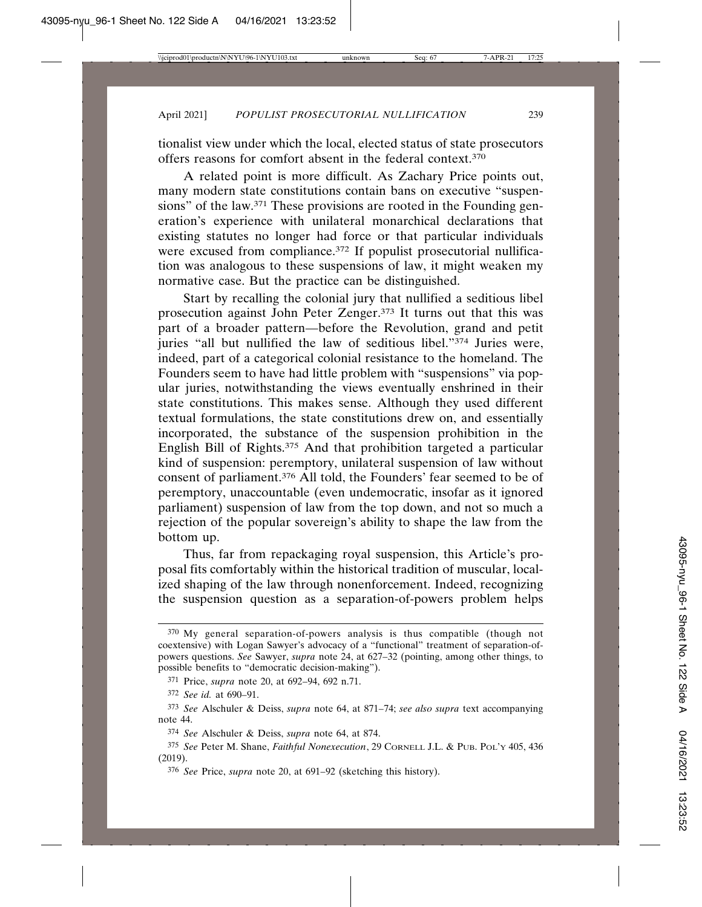tionalist view under which the local, elected status of state prosecutors offers reasons for comfort absent in the federal context.370

A related point is more difficult. As Zachary Price points out, many modern state constitutions contain bans on executive "suspensions" of the law.<sup>371</sup> These provisions are rooted in the Founding generation's experience with unilateral monarchical declarations that existing statutes no longer had force or that particular individuals were excused from compliance.<sup>372</sup> If populist prosecutorial nullification was analogous to these suspensions of law, it might weaken my normative case. But the practice can be distinguished.

Start by recalling the colonial jury that nullified a seditious libel prosecution against John Peter Zenger.373 It turns out that this was part of a broader pattern—before the Revolution, grand and petit juries "all but nullified the law of seditious libel."374 Juries were, indeed, part of a categorical colonial resistance to the homeland. The Founders seem to have had little problem with "suspensions" via popular juries, notwithstanding the views eventually enshrined in their state constitutions. This makes sense. Although they used different textual formulations, the state constitutions drew on, and essentially incorporated, the substance of the suspension prohibition in the English Bill of Rights.375 And that prohibition targeted a particular kind of suspension: peremptory, unilateral suspension of law without consent of parliament.376 All told, the Founders' fear seemed to be of peremptory, unaccountable (even undemocratic, insofar as it ignored parliament) suspension of law from the top down, and not so much a rejection of the popular sovereign's ability to shape the law from the bottom up.

Thus, far from repackaging royal suspension, this Article's proposal fits comfortably within the historical tradition of muscular, localized shaping of the law through nonenforcement. Indeed, recognizing the suspension question as a separation-of-powers problem helps

<sup>370</sup> My general separation-of-powers analysis is thus compatible (though not coextensive) with Logan Sawyer's advocacy of a "functional" treatment of separation-ofpowers questions. *See* Sawyer, *supra* note 24, at 627–32 (pointing, among other things, to possible benefits to "democratic decision-making").

<sup>371</sup> Price, *supra* note 20, at 692–94, 692 n.71.

<sup>372</sup> *See id.* at 690–91.

<sup>373</sup> *See* Alschuler & Deiss, *supra* note 64, at 871–74; *see also supra* text accompanying note 44.

<sup>374</sup> *See* Alschuler & Deiss, *supra* note 64, at 874.

<sup>375</sup> *See* Peter M. Shane, *Faithful Nonexecution*, 29 CORNELL J.L. & PUB. POL'Y 405, 436 (2019).

<sup>376</sup> *See* Price, *supra* note 20, at 691–92 (sketching this history).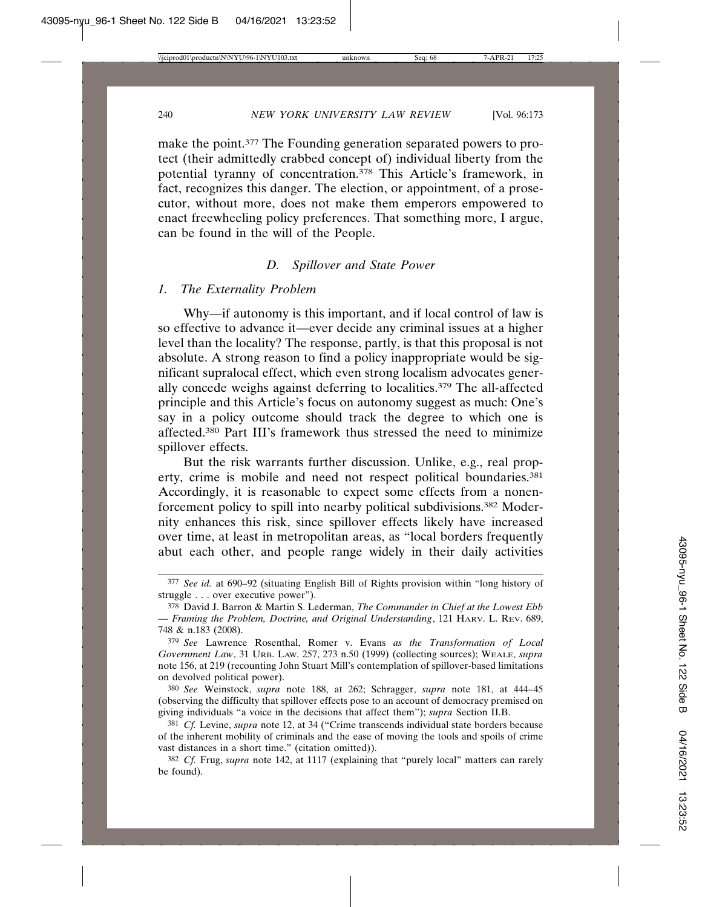make the point.377 The Founding generation separated powers to protect (their admittedly crabbed concept of) individual liberty from the potential tyranny of concentration.378 This Article's framework, in fact, recognizes this danger. The election, or appointment, of a prosecutor, without more, does not make them emperors empowered to enact freewheeling policy preferences. That something more, I argue, can be found in the will of the People.

# *D. Spillover and State Power*

#### *1. The Externality Problem*

Why—if autonomy is this important, and if local control of law is so effective to advance it—ever decide any criminal issues at a higher level than the locality? The response, partly, is that this proposal is not absolute. A strong reason to find a policy inappropriate would be significant supralocal effect, which even strong localism advocates generally concede weighs against deferring to localities.379 The all-affected principle and this Article's focus on autonomy suggest as much: One's say in a policy outcome should track the degree to which one is affected.380 Part III's framework thus stressed the need to minimize spillover effects.

But the risk warrants further discussion. Unlike, e.g., real property, crime is mobile and need not respect political boundaries.381 Accordingly, it is reasonable to expect some effects from a nonenforcement policy to spill into nearby political subdivisions.382 Modernity enhances this risk, since spillover effects likely have increased over time, at least in metropolitan areas, as "local borders frequently abut each other, and people range widely in their daily activities

380 *See* Weinstock, *supra* note 188, at 262; Schragger, *supra* note 181, at 444–45 (observing the difficulty that spillover effects pose to an account of democracy premised on giving individuals "a voice in the decisions that affect them"); *supra* Section II.B.

381 *Cf.* Levine, *supra* note 12, at 34 ("Crime transcends individual state borders because of the inherent mobility of criminals and the ease of moving the tools and spoils of crime vast distances in a short time." (citation omitted)).

382 *Cf.* Frug, *supra* note 142, at 1117 (explaining that "purely local" matters can rarely be found).

<sup>377</sup> *See id.* at 690–92 (situating English Bill of Rights provision within "long history of struggle . . . over executive power").

<sup>378</sup> David J. Barron & Martin S. Lederman, *The Commander in Chief at the Lowest Ebb — Framing the Problem, Doctrine, and Original Understanding*, 121 HARV. L. REV. 689, 748 & n.183 (2008).

<sup>379</sup> *See* Lawrence Rosenthal, Romer v. Evans *as the Transformation of Local Government Law*, 31 URB. LAW. 257, 273 n.50 (1999) (collecting sources); WEALE, *supra* note 156, at 219 (recounting John Stuart Mill's contemplation of spillover-based limitations on devolved political power).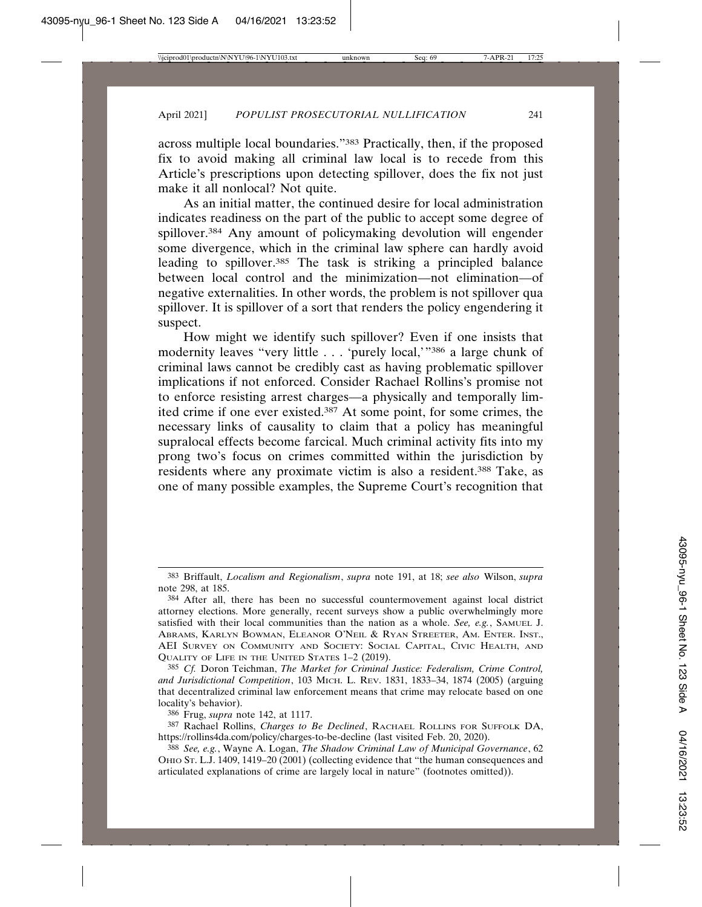across multiple local boundaries."383 Practically, then, if the proposed fix to avoid making all criminal law local is to recede from this Article's prescriptions upon detecting spillover, does the fix not just make it all nonlocal? Not quite.

As an initial matter, the continued desire for local administration indicates readiness on the part of the public to accept some degree of spillover.384 Any amount of policymaking devolution will engender some divergence, which in the criminal law sphere can hardly avoid leading to spillover.385 The task is striking a principled balance between local control and the minimization—not elimination—of negative externalities. In other words, the problem is not spillover qua spillover. It is spillover of a sort that renders the policy engendering it suspect.

How might we identify such spillover? Even if one insists that modernity leaves "very little . . . 'purely local,'"386 a large chunk of criminal laws cannot be credibly cast as having problematic spillover implications if not enforced. Consider Rachael Rollins's promise not to enforce resisting arrest charges—a physically and temporally limited crime if one ever existed.387 At some point, for some crimes, the necessary links of causality to claim that a policy has meaningful supralocal effects become farcical. Much criminal activity fits into my prong two's focus on crimes committed within the jurisdiction by residents where any proximate victim is also a resident.388 Take, as one of many possible examples, the Supreme Court's recognition that

<sup>383</sup> Briffault, *Localism and Regionalism*, *supra* note 191, at 18; *see also* Wilson, *supra* note 298, at 185.

<sup>384</sup> After all, there has been no successful countermovement against local district attorney elections. More generally, recent surveys show a public overwhelmingly more satisfied with their local communities than the nation as a whole. *See, e.g.*, SAMUEL J. ABRAMS, KARLYN BOWMAN, ELEANOR O'NEIL & RYAN STREETER, AM. ENTER. INST., AEI SURVEY ON COMMUNITY AND SOCIETY: SOCIAL CAPITAL, CIVIC HEALTH, AND QUALITY OF LIFE IN THE UNITED STATES 1–2 (2019).

<sup>385</sup> *Cf.* Doron Teichman, *The Market for Criminal Justice: Federalism, Crime Control, and Jurisdictional Competition*, 103 MICH. L. REV. 1831, 1833–34, 1874 (2005) (arguing that decentralized criminal law enforcement means that crime may relocate based on one locality's behavior).

<sup>386</sup> Frug, *supra* note 142, at 1117.

<sup>387</sup> Rachael Rollins, *Charges to Be Declined*, RACHAEL ROLLINS FOR SUFFOLK DA, https://rollins4da.com/policy/charges-to-be-decline (last visited Feb. 20, 2020).

<sup>388</sup> *See, e.g.*, Wayne A. Logan, *The Shadow Criminal Law of Municipal Governance*, 62 OHIO ST. L.J. 1409, 1419–20 (2001) (collecting evidence that "the human consequences and articulated explanations of crime are largely local in nature" (footnotes omitted)).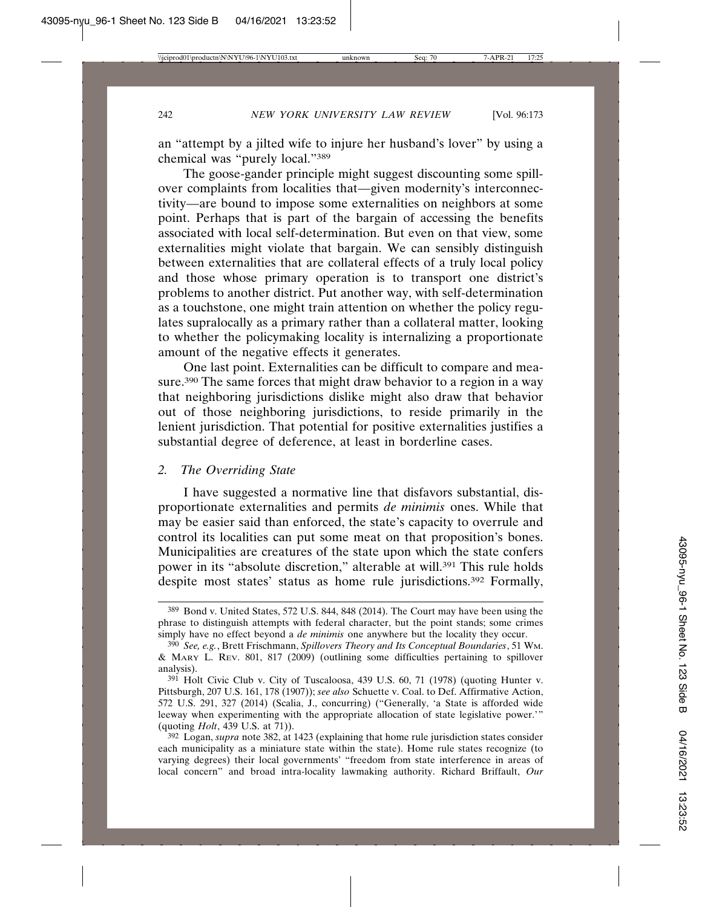an "attempt by a jilted wife to injure her husband's lover" by using a chemical was "purely local."389

The goose-gander principle might suggest discounting some spillover complaints from localities that—given modernity's interconnectivity—are bound to impose some externalities on neighbors at some point. Perhaps that is part of the bargain of accessing the benefits associated with local self-determination. But even on that view, some externalities might violate that bargain. We can sensibly distinguish between externalities that are collateral effects of a truly local policy and those whose primary operation is to transport one district's problems to another district. Put another way, with self-determination as a touchstone, one might train attention on whether the policy regulates supralocally as a primary rather than a collateral matter, looking to whether the policymaking locality is internalizing a proportionate amount of the negative effects it generates.

One last point. Externalities can be difficult to compare and measure.390 The same forces that might draw behavior to a region in a way that neighboring jurisdictions dislike might also draw that behavior out of those neighboring jurisdictions, to reside primarily in the lenient jurisdiction. That potential for positive externalities justifies a substantial degree of deference, at least in borderline cases.

### *2. The Overriding State*

I have suggested a normative line that disfavors substantial, disproportionate externalities and permits *de minimis* ones. While that may be easier said than enforced, the state's capacity to overrule and control its localities can put some meat on that proposition's bones. Municipalities are creatures of the state upon which the state confers power in its "absolute discretion," alterable at will.<sup>391</sup> This rule holds despite most states' status as home rule jurisdictions.<sup>392</sup> Formally,

<sup>389</sup> Bond v. United States, 572 U.S. 844, 848 (2014). The Court may have been using the phrase to distinguish attempts with federal character, but the point stands; some crimes simply have no effect beyond a *de minimis* one anywhere but the locality they occur.

<sup>390</sup> *See, e.g.*, Brett Frischmann, *Spillovers Theory and Its Conceptual Boundaries*, 51 WM. & MARY L. REV. 801, 817 (2009) (outlining some difficulties pertaining to spillover analysis).

<sup>391</sup> Holt Civic Club v. City of Tuscaloosa, 439 U.S. 60, 71 (1978) (quoting Hunter v. Pittsburgh, 207 U.S. 161, 178 (1907)); *see also* Schuette v. Coal. to Def. Affirmative Action, 572 U.S. 291, 327 (2014) (Scalia, J., concurring) ("Generally, 'a State is afforded wide leeway when experimenting with the appropriate allocation of state legislative power.'" (quoting *Holt*, 439 U.S. at 71)).

<sup>392</sup> Logan, *supra* note 382, at 1423 (explaining that home rule jurisdiction states consider each municipality as a miniature state within the state). Home rule states recognize (to varying degrees) their local governments' "freedom from state interference in areas of local concern" and broad intra-locality lawmaking authority. Richard Briffault, *Our*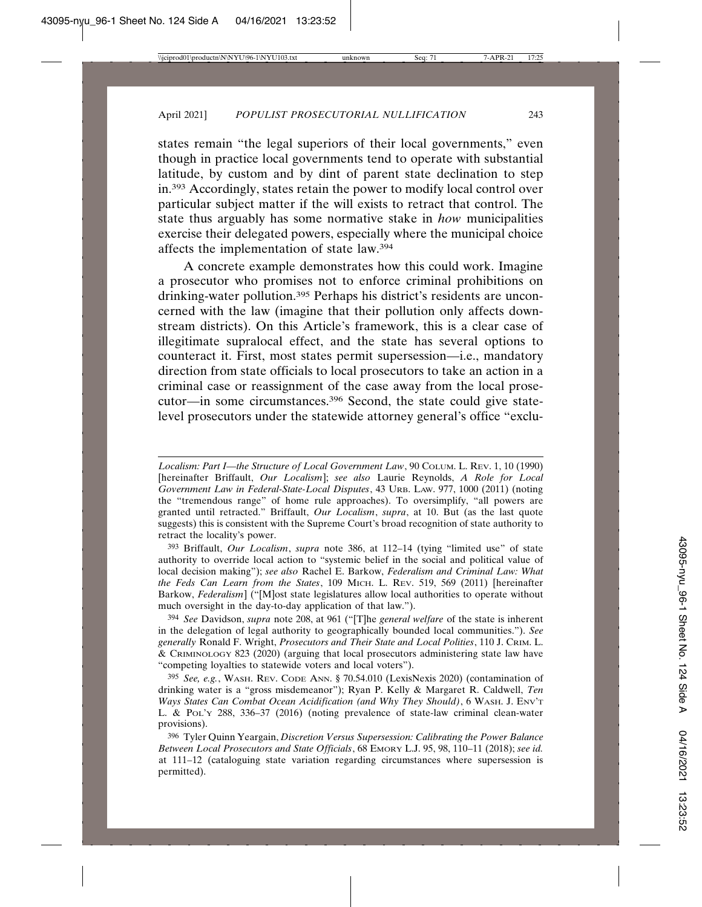states remain "the legal superiors of their local governments," even though in practice local governments tend to operate with substantial latitude, by custom and by dint of parent state declination to step in.393 Accordingly, states retain the power to modify local control over particular subject matter if the will exists to retract that control. The state thus arguably has some normative stake in *how* municipalities exercise their delegated powers, especially where the municipal choice affects the implementation of state law.394

A concrete example demonstrates how this could work. Imagine a prosecutor who promises not to enforce criminal prohibitions on drinking-water pollution.395 Perhaps his district's residents are unconcerned with the law (imagine that their pollution only affects downstream districts). On this Article's framework, this is a clear case of illegitimate supralocal effect, and the state has several options to counteract it. First, most states permit supersession—i.e., mandatory direction from state officials to local prosecutors to take an action in a criminal case or reassignment of the case away from the local prosecutor—in some circumstances.396 Second, the state could give statelevel prosecutors under the statewide attorney general's office "exclu-

393 Briffault, *Our Localism*, *supra* note 386, at 112–14 (tying "limited use" of state authority to override local action to "systemic belief in the social and political value of local decision making"); *see also* Rachel E. Barkow, *Federalism and Criminal Law: What the Feds Can Learn from the States*, 109 MICH. L. REV. 519, 569 (2011) [hereinafter Barkow, *Federalism*] ("[M]ost state legislatures allow local authorities to operate without much oversight in the day-to-day application of that law.").

394 *See* Davidson, *supra* note 208, at 961 ("[T]he *general welfare* of the state is inherent in the delegation of legal authority to geographically bounded local communities."). *See generally* Ronald F. Wright, *Prosecutors and Their State and Local Polities*, 110 J. CRIM. L. & CRIMINOLOGY 823 (2020) (arguing that local prosecutors administering state law have "competing loyalties to statewide voters and local voters").

395 *See, e.g.*, WASH. REV. CODE ANN. § 70.54.010 (LexisNexis 2020) (contamination of drinking water is a "gross misdemeanor"); Ryan P. Kelly & Margaret R. Caldwell, *Ten Ways States Can Combat Ocean Acidification (and Why They Should)*, 6 WASH. J. ENV'T L. & POL'Y 288, 336–37 (2016) (noting prevalence of state-law criminal clean-water provisions).

396 Tyler Quinn Yeargain, *Discretion Versus Supersession: Calibrating the Power Balance Between Local Prosecutors and State Officials*, 68 EMORY L.J. 95, 98, 110–11 (2018); *see id.* at 111–12 (cataloguing state variation regarding circumstances where supersession is permitted).

*Localism: Part I—the Structure of Local Government Law*, 90 COLUM. L. REV. 1, 10 (1990) [hereinafter Briffault, *Our Localism*]; *see also* Laurie Reynolds, *A Role for Local Government Law in Federal-State-Local Disputes*, 43 URB. LAW. 977, 1000 (2011) (noting the "tremendous range" of home rule approaches). To oversimplify, "all powers are granted until retracted." Briffault, *Our Localism*, *supra*, at 10. But (as the last quote suggests) this is consistent with the Supreme Court's broad recognition of state authority to retract the locality's power.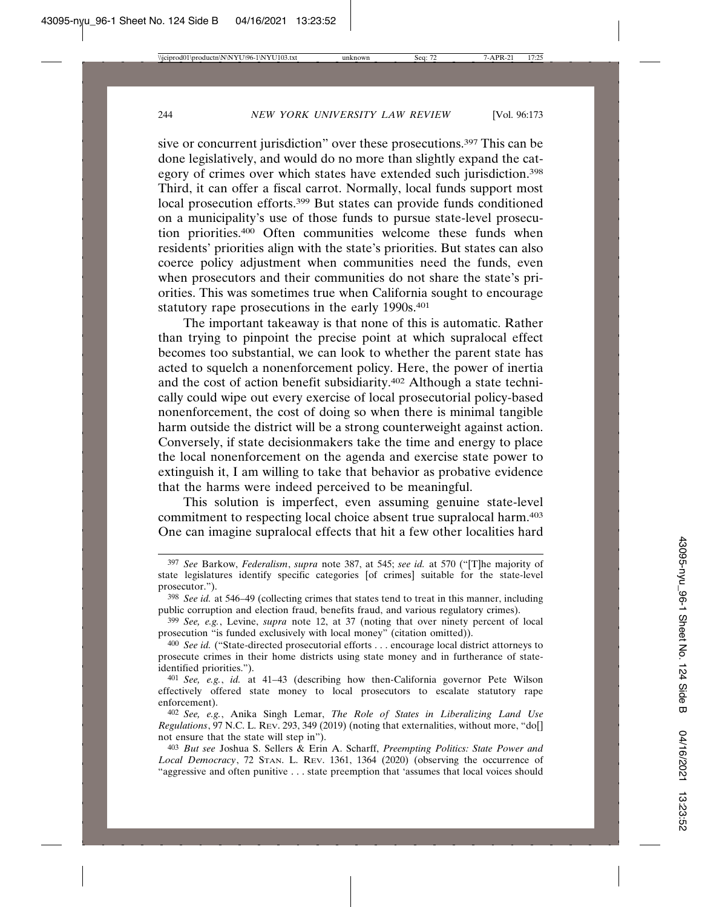sive or concurrent jurisdiction" over these prosecutions.<sup>397</sup> This can be done legislatively, and would do no more than slightly expand the category of crimes over which states have extended such jurisdiction.398 Third, it can offer a fiscal carrot. Normally, local funds support most local prosecution efforts.399 But states can provide funds conditioned on a municipality's use of those funds to pursue state-level prosecution priorities.400 Often communities welcome these funds when residents' priorities align with the state's priorities. But states can also coerce policy adjustment when communities need the funds, even when prosecutors and their communities do not share the state's priorities. This was sometimes true when California sought to encourage statutory rape prosecutions in the early 1990s.<sup>401</sup>

The important takeaway is that none of this is automatic. Rather than trying to pinpoint the precise point at which supralocal effect becomes too substantial, we can look to whether the parent state has acted to squelch a nonenforcement policy. Here, the power of inertia and the cost of action benefit subsidiarity.402 Although a state technically could wipe out every exercise of local prosecutorial policy-based nonenforcement, the cost of doing so when there is minimal tangible harm outside the district will be a strong counterweight against action. Conversely, if state decisionmakers take the time and energy to place the local nonenforcement on the agenda and exercise state power to extinguish it, I am willing to take that behavior as probative evidence that the harms were indeed perceived to be meaningful.

This solution is imperfect, even assuming genuine state-level commitment to respecting local choice absent true supralocal harm.403 One can imagine supralocal effects that hit a few other localities hard

<sup>397</sup> *See* Barkow, *Federalism*, *supra* note 387, at 545; *see id.* at 570 ("[T]he majority of state legislatures identify specific categories [of crimes] suitable for the state-level prosecutor.").

<sup>398</sup> *See id.* at 546–49 (collecting crimes that states tend to treat in this manner, including public corruption and election fraud, benefits fraud, and various regulatory crimes).

<sup>399</sup> *See, e.g.*, Levine, *supra* note 12, at 37 (noting that over ninety percent of local prosecution "is funded exclusively with local money" (citation omitted)).

<sup>400</sup> *See id.* ("State-directed prosecutorial efforts . . . encourage local district attorneys to prosecute crimes in their home districts using state money and in furtherance of stateidentified priorities.").

<sup>401</sup> *See, e.g.*, *id.* at 41–43 (describing how then-California governor Pete Wilson effectively offered state money to local prosecutors to escalate statutory rape enforcement).

<sup>402</sup> *See, e.g.*, Anika Singh Lemar, *The Role of States in Liberalizing Land Use Regulations*, 97 N.C. L. REV. 293, 349 (2019) (noting that externalities, without more, "do[] not ensure that the state will step in").

<sup>403</sup> *But see* Joshua S. Sellers & Erin A. Scharff, *Preempting Politics: State Power and Local Democracy*, 72 STAN. L. REV. 1361, 1364 (2020) (observing the occurrence of "aggressive and often punitive . . . state preemption that 'assumes that local voices should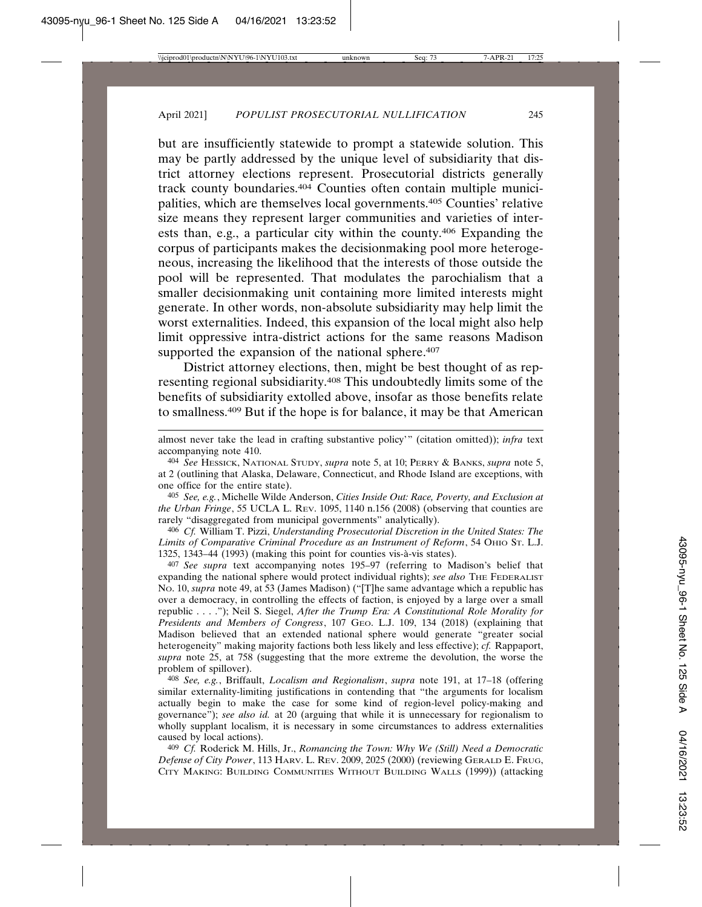but are insufficiently statewide to prompt a statewide solution. This may be partly addressed by the unique level of subsidiarity that district attorney elections represent. Prosecutorial districts generally track county boundaries.404 Counties often contain multiple municipalities, which are themselves local governments.405 Counties' relative size means they represent larger communities and varieties of interests than, e.g., a particular city within the county.406 Expanding the corpus of participants makes the decisionmaking pool more heterogeneous, increasing the likelihood that the interests of those outside the pool will be represented. That modulates the parochialism that a smaller decisionmaking unit containing more limited interests might generate. In other words, non-absolute subsidiarity may help limit the worst externalities. Indeed, this expansion of the local might also help limit oppressive intra-district actions for the same reasons Madison supported the expansion of the national sphere.<sup>407</sup>

District attorney elections, then, might be best thought of as representing regional subsidiarity.408 This undoubtedly limits some of the benefits of subsidiarity extolled above, insofar as those benefits relate to smallness.409 But if the hope is for balance, it may be that American

405 *See, e.g.*, Michelle Wilde Anderson, *Cities Inside Out: Race, Poverty, and Exclusion at the Urban Fringe*, 55 UCLA L. REV. 1095, 1140 n.156 (2008) (observing that counties are rarely "disaggregated from municipal governments" analytically).

406 *Cf.* William T. Pizzi, *Understanding Prosecutorial Discretion in the United States: The* Limits of Comparative Criminal Procedure as an Instrument of Reform, 54 OHIO ST. L.J. 1325, 1343–44 (1993) (making this point for counties vis-à-vis states).

407 *See supra* text accompanying notes 195–97 (referring to Madison's belief that expanding the national sphere would protect individual rights); *see also* THE FEDERALIST NO. 10, *supra* note 49, at 53 (James Madison) ("[T]he same advantage which a republic has over a democracy, in controlling the effects of faction, is enjoyed by a large over a small republic . . . ."); Neil S. Siegel, *After the Trump Era: A Constitutional Role Morality for Presidents and Members of Congress*, 107 GEO. L.J. 109, 134 (2018) (explaining that Madison believed that an extended national sphere would generate "greater social heterogeneity" making majority factions both less likely and less effective); *cf.* Rappaport, *supra* note 25, at 758 (suggesting that the more extreme the devolution, the worse the problem of spillover).

408 *See, e.g.*, Briffault, *Localism and Regionalism*, *supra* note 191, at 17–18 (offering similar externality-limiting justifications in contending that "the arguments for localism actually begin to make the case for some kind of region-level policy-making and governance"); *see also id.* at 20 (arguing that while it is unnecessary for regionalism to wholly supplant localism, it is necessary in some circumstances to address externalities caused by local actions).

409 *Cf.* Roderick M. Hills, Jr., *Romancing the Town: Why We (Still) Need a Democratic Defense of City Power*, 113 HARV. L. REV. 2009, 2025 (2000) (reviewing GERALD E. FRUG, CITY MAKING: BUILDING COMMUNITIES WITHOUT BUILDING WALLS (1999)) (attacking

almost never take the lead in crafting substantive policy'" (citation omitted)); *infra* text accompanying note 410.

<sup>404</sup> *See* HESSICK, NATIONAL STUDY, *supra* note 5, at 10; PERRY & BANKS, *supra* note 5, at 2 (outlining that Alaska, Delaware, Connecticut, and Rhode Island are exceptions, with one office for the entire state).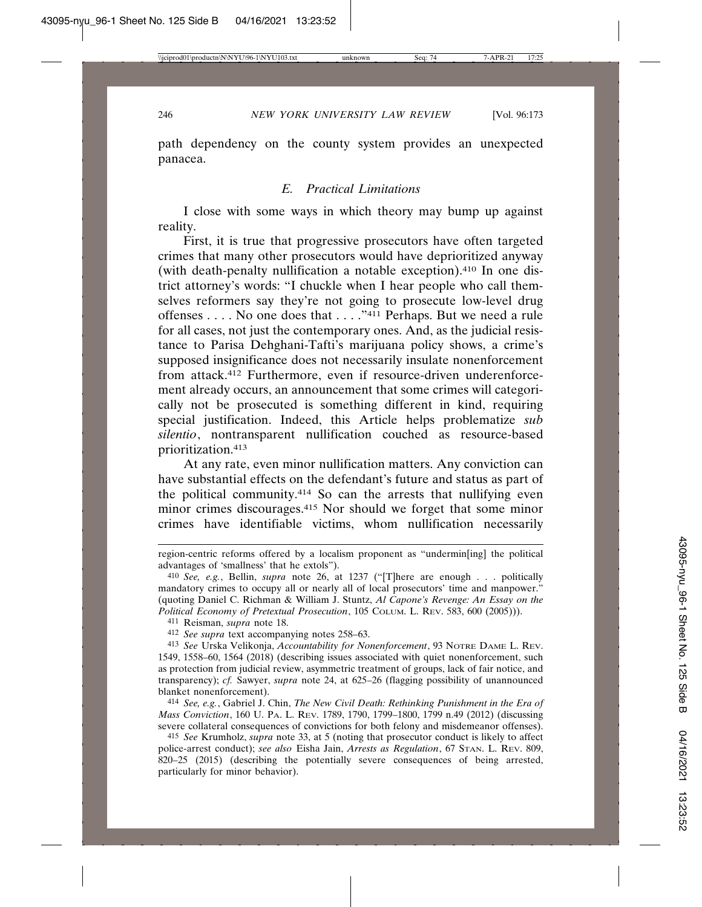path dependency on the county system provides an unexpected panacea.

### *E. Practical Limitations*

I close with some ways in which theory may bump up against reality.

First, it is true that progressive prosecutors have often targeted crimes that many other prosecutors would have deprioritized anyway (with death-penalty nullification a notable exception).410 In one district attorney's words: "I chuckle when I hear people who call themselves reformers say they're not going to prosecute low-level drug offenses . . . . No one does that . . . ."411 Perhaps. But we need a rule for all cases, not just the contemporary ones. And, as the judicial resistance to Parisa Dehghani-Tafti's marijuana policy shows, a crime's supposed insignificance does not necessarily insulate nonenforcement from attack.412 Furthermore, even if resource-driven underenforcement already occurs, an announcement that some crimes will categorically not be prosecuted is something different in kind, requiring special justification. Indeed, this Article helps problematize *sub silentio*, nontransparent nullification couched as resource-based prioritization.413

At any rate, even minor nullification matters. Any conviction can have substantial effects on the defendant's future and status as part of the political community.414 So can the arrests that nullifying even minor crimes discourages.415 Nor should we forget that some minor crimes have identifiable victims, whom nullification necessarily

region-centric reforms offered by a localism proponent as "undermin[ing] the political advantages of 'smallness' that he extols").

<sup>410</sup> *See, e.g.*, Bellin, *supra* note 26, at 1237 ("[T]here are enough . . . politically mandatory crimes to occupy all or nearly all of local prosecutors' time and manpower." (quoting Daniel C. Richman & William J. Stuntz, *Al Capone's Revenge: An Essay on the Political Economy of Pretextual Prosecution*, 105 COLUM. L. REV. 583, 600 (2005))).

<sup>411</sup> Reisman, *supra* note 18.

<sup>412</sup> *See supra* text accompanying notes 258–63.

<sup>413</sup> *See* Urska Velikonja, *Accountability for Nonenforcement*, 93 NOTRE DAME L. REV. 1549, 1558–60, 1564 (2018) (describing issues associated with quiet nonenforcement, such as protection from judicial review, asymmetric treatment of groups, lack of fair notice, and transparency); *cf.* Sawyer, *supra* note 24, at 625–26 (flagging possibility of unannounced blanket nonenforcement).

<sup>414</sup> *See, e.g.*, Gabriel J. Chin, *The New Civil Death: Rethinking Punishment in the Era of Mass Conviction*, 160 U. PA. L. REV. 1789, 1790, 1799–1800, 1799 n.49 (2012) (discussing severe collateral consequences of convictions for both felony and misdemeanor offenses).

<sup>415</sup> *See* Krumholz, *supra* note 33, at 5 (noting that prosecutor conduct is likely to affect police-arrest conduct); *see also* Eisha Jain, *Arrests as Regulation*, 67 STAN. L. REV. 809, 820–25 (2015) (describing the potentially severe consequences of being arrested, particularly for minor behavior).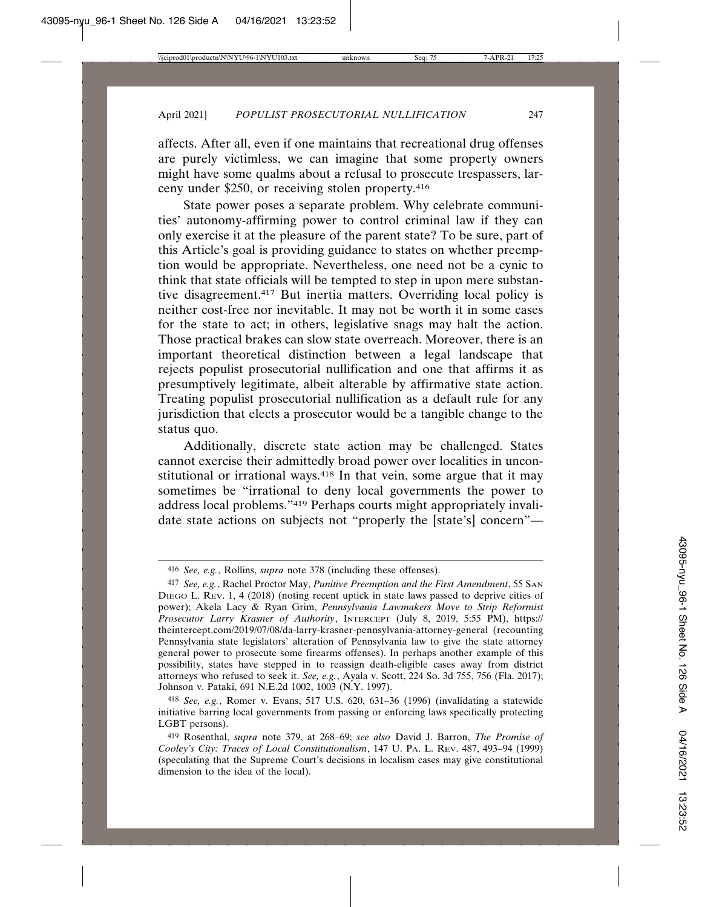affects. After all, even if one maintains that recreational drug offenses are purely victimless, we can imagine that some property owners might have some qualms about a refusal to prosecute trespassers, larceny under \$250, or receiving stolen property.416

State power poses a separate problem. Why celebrate communities' autonomy-affirming power to control criminal law if they can only exercise it at the pleasure of the parent state? To be sure, part of this Article's goal is providing guidance to states on whether preemption would be appropriate. Nevertheless, one need not be a cynic to think that state officials will be tempted to step in upon mere substantive disagreement.417 But inertia matters. Overriding local policy is neither cost-free nor inevitable. It may not be worth it in some cases for the state to act; in others, legislative snags may halt the action. Those practical brakes can slow state overreach. Moreover, there is an important theoretical distinction between a legal landscape that rejects populist prosecutorial nullification and one that affirms it as presumptively legitimate, albeit alterable by affirmative state action. Treating populist prosecutorial nullification as a default rule for any jurisdiction that elects a prosecutor would be a tangible change to the status quo.

Additionally, discrete state action may be challenged. States cannot exercise their admittedly broad power over localities in unconstitutional or irrational ways.418 In that vein, some argue that it may sometimes be "irrational to deny local governments the power to address local problems."419 Perhaps courts might appropriately invalidate state actions on subjects not "properly the [state's] concern"—

<sup>416</sup> *See, e.g.*, Rollins, *supra* note 378 (including these offenses).

<sup>417</sup> *See, e.g.*, Rachel Proctor May, *Punitive Preemption and the First Amendment*, 55 SAN DIEGO L. REV. 1, 4 (2018) (noting recent uptick in state laws passed to deprive cities of power); Akela Lacy & Ryan Grim, *Pennsylvania Lawmakers Move to Strip Reformist Prosecutor Larry Krasner of Authority*, INTERCEPT (July 8, 2019, 5:55 PM), https:// theintercept.com/2019/07/08/da-larry-krasner-pennsylvania-attorney-general (recounting Pennsylvania state legislators' alteration of Pennsylvania law to give the state attorney general power to prosecute some firearms offenses). In perhaps another example of this possibility, states have stepped in to reassign death-eligible cases away from district attorneys who refused to seek it. *See, e.g.*, Ayala v. Scott, 224 So. 3d 755, 756 (Fla. 2017); Johnson v. Pataki, 691 N.E.2d 1002, 1003 (N.Y. 1997).

<sup>418</sup> *See, e.g.*, Romer v. Evans, 517 U.S. 620, 631–36 (1996) (invalidating a statewide initiative barring local governments from passing or enforcing laws specifically protecting LGBT persons).

<sup>419</sup> Rosenthal, *supra* note 379, at 268–69; *see also* David J. Barron, *The Promise of Cooley's City: Traces of Local Constitutionalism*, 147 U. PA. L. REV. 487, 493–94 (1999) (speculating that the Supreme Court's decisions in localism cases may give constitutional dimension to the idea of the local).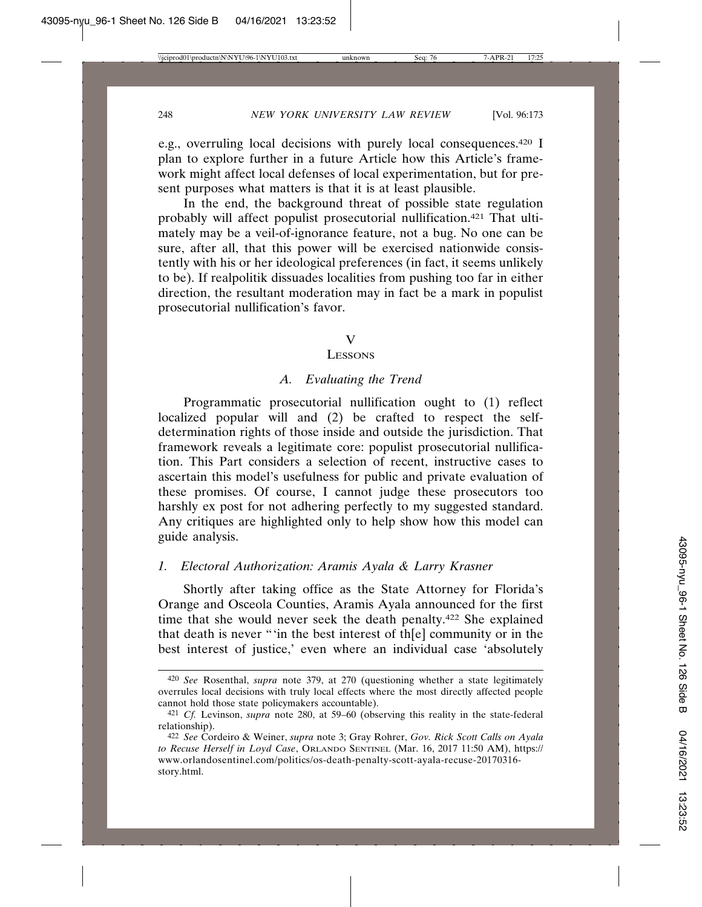e.g., overruling local decisions with purely local consequences.420 I plan to explore further in a future Article how this Article's framework might affect local defenses of local experimentation, but for present purposes what matters is that it is at least plausible.

In the end, the background threat of possible state regulation probably will affect populist prosecutorial nullification.421 That ultimately may be a veil-of-ignorance feature, not a bug. No one can be sure, after all, that this power will be exercised nationwide consistently with his or her ideological preferences (in fact, it seems unlikely to be). If realpolitik dissuades localities from pushing too far in either direction, the resultant moderation may in fact be a mark in populist prosecutorial nullification's favor.

### V

#### **LESSONS**

### *A. Evaluating the Trend*

Programmatic prosecutorial nullification ought to (1) reflect localized popular will and (2) be crafted to respect the selfdetermination rights of those inside and outside the jurisdiction. That framework reveals a legitimate core: populist prosecutorial nullification. This Part considers a selection of recent, instructive cases to ascertain this model's usefulness for public and private evaluation of these promises. Of course, I cannot judge these prosecutors too harshly ex post for not adhering perfectly to my suggested standard. Any critiques are highlighted only to help show how this model can guide analysis.

# *1. Electoral Authorization: Aramis Ayala & Larry Krasner*

Shortly after taking office as the State Attorney for Florida's Orange and Osceola Counties, Aramis Ayala announced for the first time that she would never seek the death penalty.422 She explained that death is never "'in the best interest of th[e] community or in the best interest of justice,' even where an individual case 'absolutely

<sup>420</sup> *See* Rosenthal, *supra* note 379, at 270 (questioning whether a state legitimately overrules local decisions with truly local effects where the most directly affected people cannot hold those state policymakers accountable).

<sup>421</sup> *Cf.* Levinson, *supra* note 280, at 59–60 (observing this reality in the state-federal relationship).

<sup>422</sup> *See* Cordeiro & Weiner, *supra* note 3; Gray Rohrer, *Gov. Rick Scott Calls on Ayala to Recuse Herself in Loyd Case*, ORLANDO SENTINEL (Mar. 16, 2017 11:50 AM), https:// www.orlandosentinel.com/politics/os-death-penalty-scott-ayala-recuse-20170316 story.html.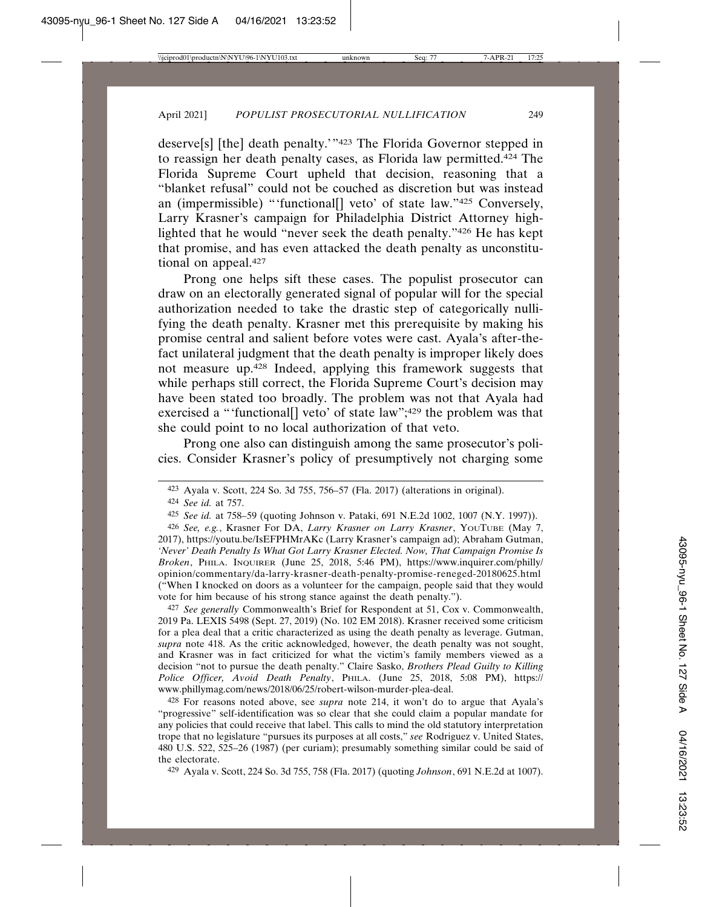deserve[s] [the] death penalty.'"423 The Florida Governor stepped in to reassign her death penalty cases, as Florida law permitted.424 The Florida Supreme Court upheld that decision, reasoning that a "blanket refusal" could not be couched as discretion but was instead an (impermissible) "'functional[] veto' of state law."425 Conversely, Larry Krasner's campaign for Philadelphia District Attorney highlighted that he would "never seek the death penalty."426 He has kept that promise, and has even attacked the death penalty as unconstitutional on appeal.427

Prong one helps sift these cases. The populist prosecutor can draw on an electorally generated signal of popular will for the special authorization needed to take the drastic step of categorically nullifying the death penalty. Krasner met this prerequisite by making his promise central and salient before votes were cast. Ayala's after-thefact unilateral judgment that the death penalty is improper likely does not measure up.428 Indeed, applying this framework suggests that while perhaps still correct, the Florida Supreme Court's decision may have been stated too broadly. The problem was not that Ayala had exercised a "'functional[] veto' of state law";<sup>429</sup> the problem was that she could point to no local authorization of that veto.

Prong one also can distinguish among the same prosecutor's policies. Consider Krasner's policy of presumptively not charging some

426 *See, e.g.*, Krasner For DA, *Larry Krasner on Larry Krasner*, YOUTUBE (May 7, 2017), https://youtu.be/IsEFPHMrAKc (Larry Krasner's campaign ad); Abraham Gutman, *'Never' Death Penalty Is What Got Larry Krasner Elected. Now, That Campaign Promise Is Broken*, PHILA. INQUIRER (June 25, 2018, 5:46 PM), https://www.inquirer.com/philly/ opinion/commentary/da-larry-krasner-death-penalty-promise-reneged-20180625.html ("When I knocked on doors as a volunteer for the campaign, people said that they would vote for him because of his strong stance against the death penalty.").

427 *See generally* Commonwealth's Brief for Respondent at 51, Cox v. Commonwealth, 2019 Pa. LEXIS 5498 (Sept. 27, 2019) (No. 102 EM 2018). Krasner received some criticism for a plea deal that a critic characterized as using the death penalty as leverage. Gutman, *supra* note 418. As the critic acknowledged, however, the death penalty was not sought, and Krasner was in fact criticized for what the victim's family members viewed as a decision "not to pursue the death penalty." Claire Sasko, *Brothers Plead Guilty to Killing Police Officer, Avoid Death Penalty*, PHILA. (June 25, 2018, 5:08 PM), https:// www.phillymag.com/news/2018/06/25/robert-wilson-murder-plea-deal.

428 For reasons noted above, see *supra* note 214, it won't do to argue that Ayala's "progressive" self-identification was so clear that she could claim a popular mandate for any policies that could receive that label. This calls to mind the old statutory interpretation trope that no legislature "pursues its purposes at all costs," *see* Rodriguez v. United States, 480 U.S. 522, 525–26 (1987) (per curiam); presumably something similar could be said of the electorate.

429 Ayala v. Scott, 224 So. 3d 755, 758 (Fla. 2017) (quoting *Johnson*, 691 N.E.2d at 1007).

<sup>423</sup> Ayala v. Scott, 224 So. 3d 755, 756–57 (Fla. 2017) (alterations in original).

<sup>424</sup> *See id.* at 757.

<sup>425</sup> *See id.* at 758–59 (quoting Johnson v. Pataki, 691 N.E.2d 1002, 1007 (N.Y. 1997)).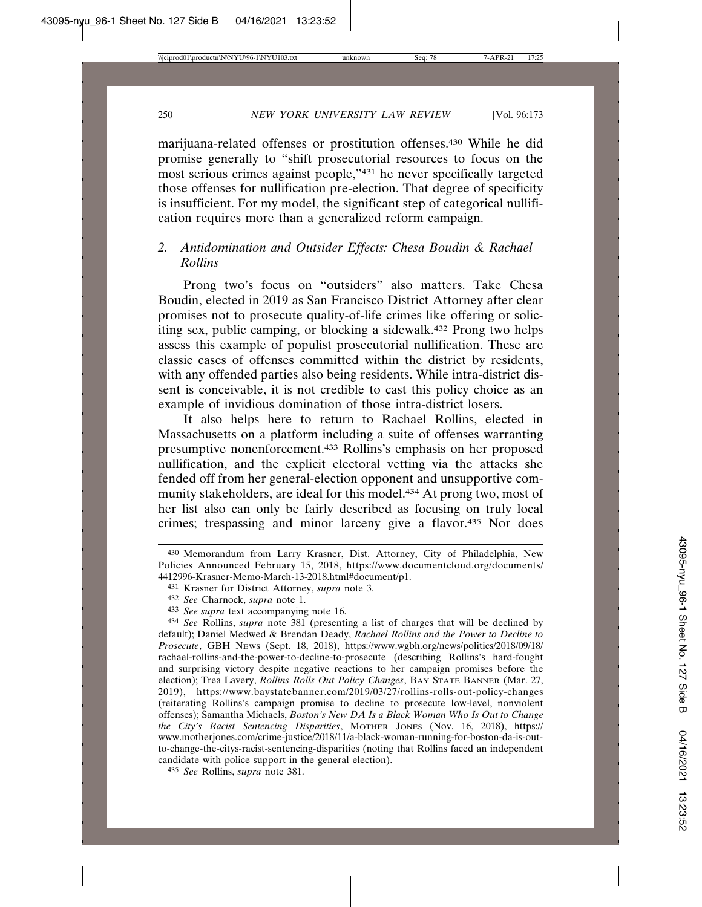marijuana-related offenses or prostitution offenses.430 While he did promise generally to "shift prosecutorial resources to focus on the most serious crimes against people,"431 he never specifically targeted those offenses for nullification pre-election. That degree of specificity is insufficient. For my model, the significant step of categorical nullification requires more than a generalized reform campaign.

# *2. Antidomination and Outsider Effects: Chesa Boudin & Rachael Rollins*

Prong two's focus on "outsiders" also matters. Take Chesa Boudin, elected in 2019 as San Francisco District Attorney after clear promises not to prosecute quality-of-life crimes like offering or soliciting sex, public camping, or blocking a sidewalk.432 Prong two helps assess this example of populist prosecutorial nullification. These are classic cases of offenses committed within the district by residents, with any offended parties also being residents. While intra-district dissent is conceivable, it is not credible to cast this policy choice as an example of invidious domination of those intra-district losers.

It also helps here to return to Rachael Rollins, elected in Massachusetts on a platform including a suite of offenses warranting presumptive nonenforcement.433 Rollins's emphasis on her proposed nullification, and the explicit electoral vetting via the attacks she fended off from her general-election opponent and unsupportive community stakeholders, are ideal for this model.434 At prong two, most of her list also can only be fairly described as focusing on truly local crimes; trespassing and minor larceny give a flavor.435 Nor does

<sup>430</sup> Memorandum from Larry Krasner, Dist. Attorney, City of Philadelphia, New Policies Announced February 15, 2018, https://www.documentcloud.org/documents/ 4412996-Krasner-Memo-March-13-2018.html#document/p1.

<sup>431</sup> Krasner for District Attorney, *supra* note 3.

<sup>432</sup> *See* Charnock, *supra* note 1.

<sup>433</sup> *See supra* text accompanying note 16.

<sup>434</sup> *See* Rollins, *supra* note 381 (presenting a list of charges that will be declined by default); Daniel Medwed & Brendan Deady, *Rachael Rollins and the Power to Decline to Prosecute*, GBH NEWS (Sept. 18, 2018), https://www.wgbh.org/news/politics/2018/09/18/ rachael-rollins-and-the-power-to-decline-to-prosecute (describing Rollins's hard-fought and surprising victory despite negative reactions to her campaign promises before the election); Trea Lavery, *Rollins Rolls Out Policy Changes*, BAY STATE BANNER (Mar. 27, 2019), https://www.baystatebanner.com/2019/03/27/rollins-rolls-out-policy-changes (reiterating Rollins's campaign promise to decline to prosecute low-level, nonviolent offenses); Samantha Michaels, *Boston's New DA Is a Black Woman Who Is Out to Change the City's Racist Sentencing Disparities*, MOTHER JONES (Nov. 16, 2018), https:// www.motherjones.com/crime-justice/2018/11/a-black-woman-running-for-boston-da-is-outto-change-the-citys-racist-sentencing-disparities (noting that Rollins faced an independent candidate with police support in the general election).

<sup>435</sup> *See* Rollins, *supra* note 381.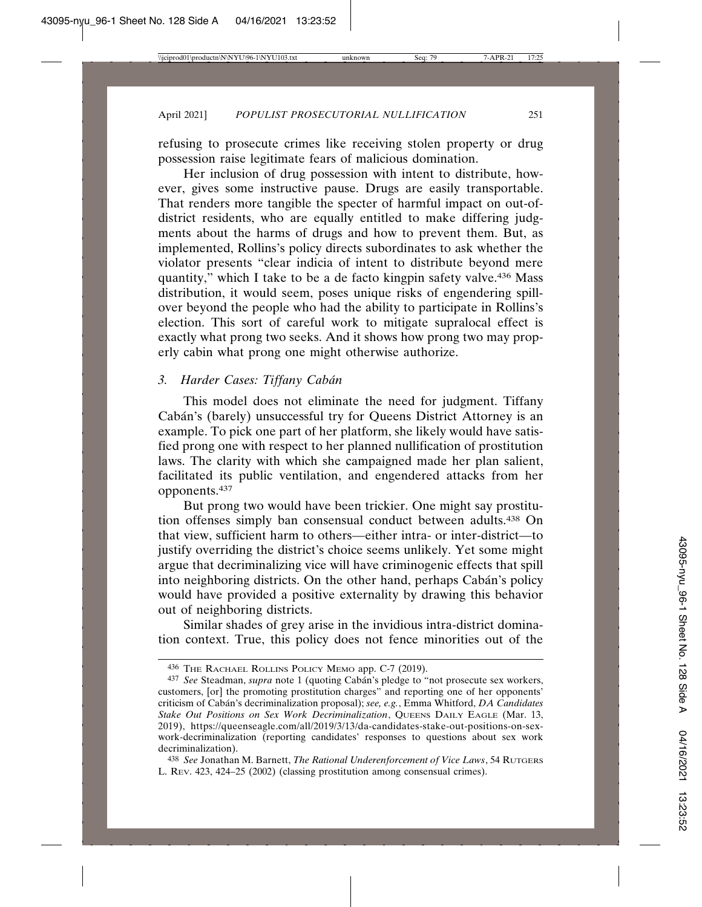refusing to prosecute crimes like receiving stolen property or drug possession raise legitimate fears of malicious domination.

Her inclusion of drug possession with intent to distribute, however, gives some instructive pause. Drugs are easily transportable. That renders more tangible the specter of harmful impact on out-ofdistrict residents, who are equally entitled to make differing judgments about the harms of drugs and how to prevent them. But, as implemented, Rollins's policy directs subordinates to ask whether the violator presents "clear indicia of intent to distribute beyond mere quantity," which I take to be a de facto kingpin safety valve.<sup>436</sup> Mass distribution, it would seem, poses unique risks of engendering spillover beyond the people who had the ability to participate in Rollins's election. This sort of careful work to mitigate supralocal effect is exactly what prong two seeks. And it shows how prong two may properly cabin what prong one might otherwise authorize.

## *3. Harder Cases: Tiffany Cab´an*

This model does not eliminate the need for judgment. Tiffany Cabán's (barely) unsuccessful try for Queens District Attorney is an example. To pick one part of her platform, she likely would have satisfied prong one with respect to her planned nullification of prostitution laws. The clarity with which she campaigned made her plan salient, facilitated its public ventilation, and engendered attacks from her opponents.437

But prong two would have been trickier. One might say prostitution offenses simply ban consensual conduct between adults.438 On that view, sufficient harm to others—either intra- or inter-district—to justify overriding the district's choice seems unlikely. Yet some might argue that decriminalizing vice will have criminogenic effects that spill into neighboring districts. On the other hand, perhaps Cabán's policy would have provided a positive externality by drawing this behavior out of neighboring districts.

Similar shades of grey arise in the invidious intra-district domination context. True, this policy does not fence minorities out of the

<sup>436</sup> THE RACHAEL ROLLINS POLICY MEMO app. C-7 (2019).

<sup>&</sup>lt;sup>437</sup> See Steadman, *supra* note 1 (quoting Cabán's pledge to "not prosecute sex workers, customers, [or] the promoting prostitution charges" and reporting one of her opponents' criticism of Cabán's decriminalization proposal); see, e.g., Emma Whitford, *DA Candidates Stake Out Positions on Sex Work Decriminalization*, QUEENS DAILY EAGLE (Mar. 13, 2019), https://queenseagle.com/all/2019/3/13/da-candidates-stake-out-positions-on-sexwork-decriminalization (reporting candidates' responses to questions about sex work decriminalization).

<sup>438</sup> *See* Jonathan M. Barnett, *The Rational Underenforcement of Vice Laws*, 54 RUTGERS L. REV. 423, 424–25 (2002) (classing prostitution among consensual crimes).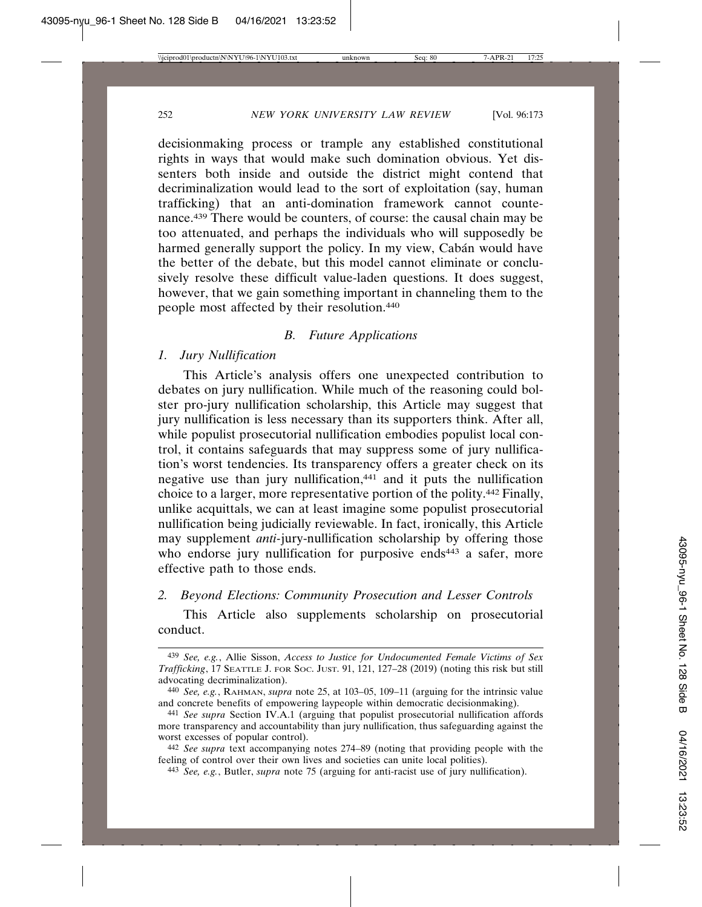decisionmaking process or trample any established constitutional rights in ways that would make such domination obvious. Yet dissenters both inside and outside the district might contend that decriminalization would lead to the sort of exploitation (say, human trafficking) that an anti-domination framework cannot countenance.439 There would be counters, of course: the causal chain may be too attenuated, and perhaps the individuals who will supposedly be harmed generally support the policy. In my view, Cabán would have the better of the debate, but this model cannot eliminate or conclusively resolve these difficult value-laden questions. It does suggest, however, that we gain something important in channeling them to the people most affected by their resolution.440

### *B. Future Applications*

## *1. Jury Nullification*

This Article's analysis offers one unexpected contribution to debates on jury nullification. While much of the reasoning could bolster pro-jury nullification scholarship, this Article may suggest that jury nullification is less necessary than its supporters think. After all, while populist prosecutorial nullification embodies populist local control, it contains safeguards that may suppress some of jury nullification's worst tendencies. Its transparency offers a greater check on its negative use than jury nullification,441 and it puts the nullification choice to a larger, more representative portion of the polity.442 Finally, unlike acquittals, we can at least imagine some populist prosecutorial nullification being judicially reviewable. In fact, ironically, this Article may supplement *anti-*jury-nullification scholarship by offering those who endorse jury nullification for purposive ends<sup>443</sup> a safer, more effective path to those ends.

### *2. Beyond Elections: Community Prosecution and Lesser Controls*

This Article also supplements scholarship on prosecutorial conduct.

<sup>439</sup> *See, e.g.*, Allie Sisson, *Access to Justice for Undocumented Female Victims of Sex Trafficking*, 17 SEATTLE J. FOR SOC. JUST. 91, 121, 127–28 (2019) (noting this risk but still advocating decriminalization).

<sup>440</sup> *See, e.g.*, RAHMAN, *supra* note 25, at 103–05, 109–11 (arguing for the intrinsic value and concrete benefits of empowering laypeople within democratic decisionmaking).

<sup>441</sup> *See supra* Section IV.A.1 (arguing that populist prosecutorial nullification affords more transparency and accountability than jury nullification, thus safeguarding against the worst excesses of popular control).

<sup>442</sup> *See supra* text accompanying notes 274–89 (noting that providing people with the feeling of control over their own lives and societies can unite local polities).

<sup>443</sup> *See, e.g.*, Butler, *supra* note 75 (arguing for anti-racist use of jury nullification).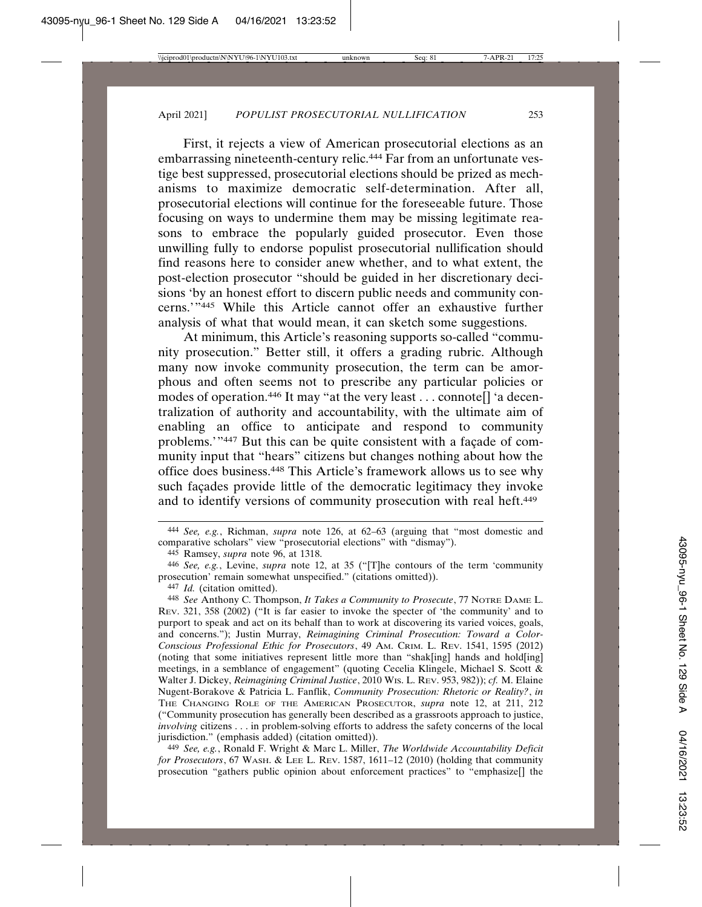First, it rejects a view of American prosecutorial elections as an embarrassing nineteenth-century relic.444 Far from an unfortunate vestige best suppressed, prosecutorial elections should be prized as mechanisms to maximize democratic self-determination. After all, prosecutorial elections will continue for the foreseeable future. Those focusing on ways to undermine them may be missing legitimate reasons to embrace the popularly guided prosecutor. Even those unwilling fully to endorse populist prosecutorial nullification should find reasons here to consider anew whether, and to what extent, the post-election prosecutor "should be guided in her discretionary decisions 'by an honest effort to discern public needs and community concerns.'"445 While this Article cannot offer an exhaustive further analysis of what that would mean, it can sketch some suggestions.

At minimum, this Article's reasoning supports so-called "community prosecution." Better still, it offers a grading rubric. Although many now invoke community prosecution, the term can be amorphous and often seems not to prescribe any particular policies or modes of operation.<sup>446</sup> It may "at the very least . . . connote  $\lceil$  'a decentralization of authority and accountability, with the ultimate aim of enabling an office to anticipate and respond to community problems.'"<sup>447</sup> But this can be quite consistent with a facade of community input that "hears" citizens but changes nothing about how the office does business.448 This Article's framework allows us to see why such facades provide little of the democratic legitimacy they invoke and to identify versions of community prosecution with real heft.449

446 *See, e.g.*, Levine, *supra* note 12, at 35 ("[T]he contours of the term 'community prosecution' remain somewhat unspecified." (citations omitted)).

449 *See, e.g.*, Ronald F. Wright & Marc L. Miller, *The Worldwide Accountability Deficit for Prosecutors*, 67 WASH. & LEE L. REV. 1587, 1611–12 (2010) (holding that community prosecution "gathers public opinion about enforcement practices" to "emphasize[] the

<sup>444</sup> *See, e.g.*, Richman, *supra* note 126, at 62–63 (arguing that "most domestic and comparative scholars" view "prosecutorial elections" with "dismay").

<sup>445</sup> Ramsey, *supra* note 96, at 1318.

<sup>447</sup> *Id.* (citation omitted).

<sup>448</sup> *See* Anthony C. Thompson, *It Takes a Community to Prosecute*, 77 NOTRE DAME L. REV. 321, 358 (2002) ("It is far easier to invoke the specter of 'the community' and to purport to speak and act on its behalf than to work at discovering its varied voices, goals, and concerns."); Justin Murray, *Reimagining Criminal Prosecution: Toward a Color-Conscious Professional Ethic for Prosecutors*, 49 AM. CRIM. L. REV. 1541, 1595 (2012) (noting that some initiatives represent little more than "shak[ing] hands and hold[ing] meetings, in a semblance of engagement" (quoting Cecelia Klingele, Michael S. Scott & Walter J. Dickey, *Reimagining Criminal Justice*, 2010 WIS. L. REV. 953, 982)); *cf.* M. Elaine Nugent-Borakove & Patricia L. Fanflik, *Community Prosecution: Rhetoric or Reality?*, *in* THE CHANGING ROLE OF THE AMERICAN PROSECUTOR, *supra* note 12, at 211, 212 ("Community prosecution has generally been described as a grassroots approach to justice, *involving* citizens . . . in problem-solving efforts to address the safety concerns of the local jurisdiction." (emphasis added) (citation omitted)).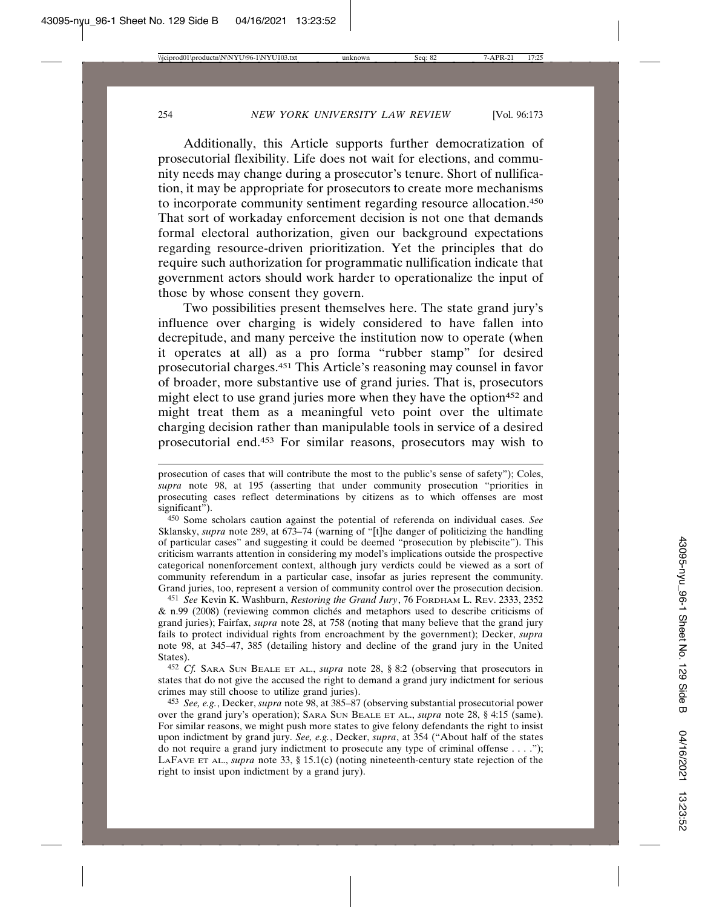Additionally, this Article supports further democratization of prosecutorial flexibility. Life does not wait for elections, and community needs may change during a prosecutor's tenure. Short of nullification, it may be appropriate for prosecutors to create more mechanisms to incorporate community sentiment regarding resource allocation.450 That sort of workaday enforcement decision is not one that demands formal electoral authorization, given our background expectations regarding resource-driven prioritization. Yet the principles that do require such authorization for programmatic nullification indicate that government actors should work harder to operationalize the input of those by whose consent they govern.

Two possibilities present themselves here. The state grand jury's influence over charging is widely considered to have fallen into decrepitude, and many perceive the institution now to operate (when it operates at all) as a pro forma "rubber stamp" for desired prosecutorial charges.451 This Article's reasoning may counsel in favor of broader, more substantive use of grand juries. That is, prosecutors might elect to use grand juries more when they have the option<sup>452</sup> and might treat them as a meaningful veto point over the ultimate charging decision rather than manipulable tools in service of a desired prosecutorial end.453 For similar reasons, prosecutors may wish to

450 Some scholars caution against the potential of referenda on individual cases. *See* Sklansky, *supra* note 289, at 673–74 (warning of "[t]he danger of politicizing the handling of particular cases" and suggesting it could be deemed "prosecution by plebiscite"). This criticism warrants attention in considering my model's implications outside the prospective categorical nonenforcement context, although jury verdicts could be viewed as a sort of community referendum in a particular case, insofar as juries represent the community. Grand juries, too, represent a version of community control over the prosecution decision.

451 *See* Kevin K. Washburn, *Restoring the Grand Jury*, 76 FORDHAM L. REV. 2333, 2352  $\&$  n.99 (2008) (reviewing common clichés and metaphors used to describe criticisms of grand juries); Fairfax, *supra* note 28, at 758 (noting that many believe that the grand jury fails to protect individual rights from encroachment by the government); Decker, *supra* note 98, at 345–47, 385 (detailing history and decline of the grand jury in the United States).

452 *Cf.* SARA SUN BEALE ET AL., *supra* note 28, § 8:2 (observing that prosecutors in states that do not give the accused the right to demand a grand jury indictment for serious crimes may still choose to utilize grand juries).

453 *See, e.g.*, Decker, *supra* note 98, at 385–87 (observing substantial prosecutorial power over the grand jury's operation); SARA SUN BEALE ET AL., *supra* note 28, § 4:15 (same). For similar reasons, we might push more states to give felony defendants the right to insist upon indictment by grand jury. *See, e.g.*, Decker, *supra*, at 354 ("About half of the states do not require a grand jury indictment to prosecute any type of criminal offense . . . ."); LAFAVE ET AL., *supra* note 33, § 15.1(c) (noting nineteenth-century state rejection of the right to insist upon indictment by a grand jury).

prosecution of cases that will contribute the most to the public's sense of safety"); Coles, *supra* note 98, at 195 (asserting that under community prosecution "priorities in prosecuting cases reflect determinations by citizens as to which offenses are most significant").